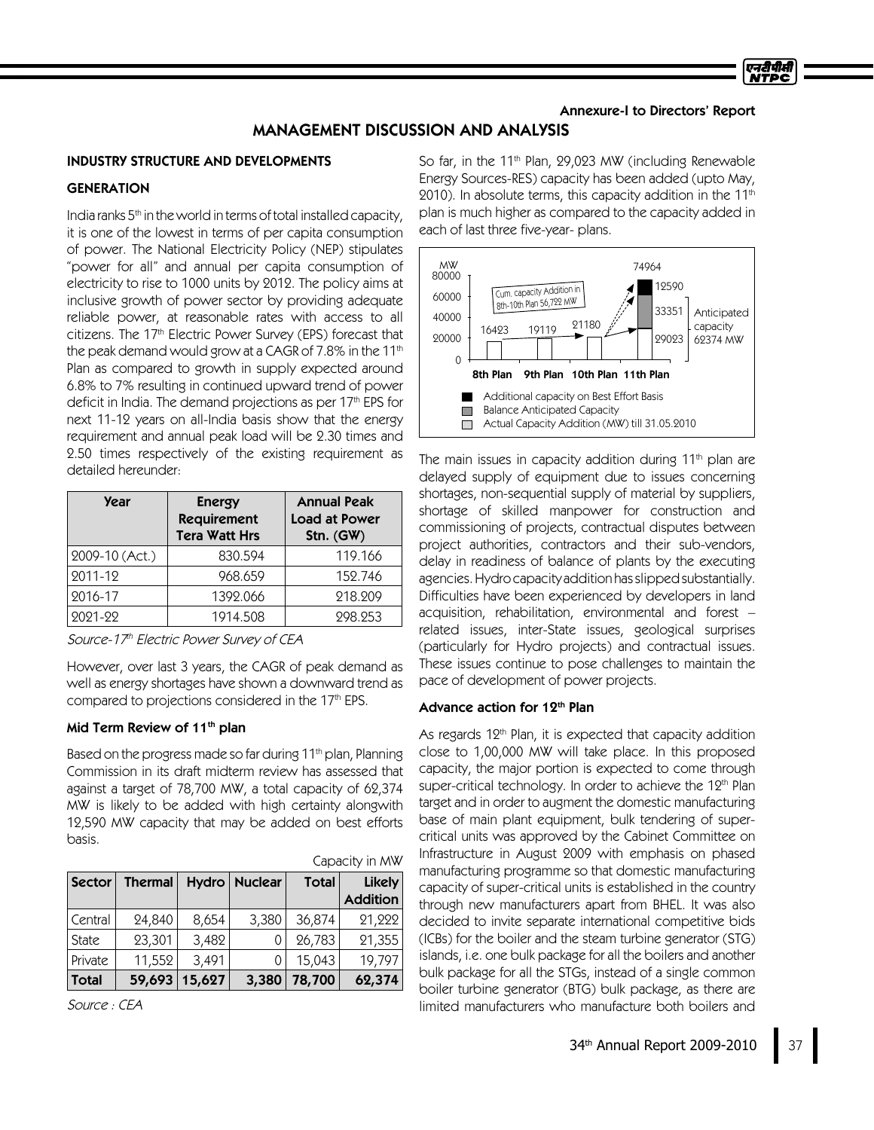### Annexure-I to Directors' Report

एनटीपीसी

## MANAGEMENT DISCUSSION AND ANALYSIS

### INDUSTRY STRUCTURE AND DEVELOPMENTS

## **GENERATION**

India ranks 5<sup>th</sup> in the world in terms of total installed capacity, it is one of the lowest in terms of per capita consumption of power. The National Electricity Policy (NEP) stipulates "power for all" and annual per capita consumption of electricity to rise to 1000 units by 2012. The policy aims at inclusive growth of power sector by providing adequate reliable power, at reasonable rates with access to all citizens. The 17th Electric Power Survey (EPS) forecast that the peak demand would grow at a CAGR of 7.8% in the 11<sup>th</sup> Plan as compared to growth in supply expected around 6.8% to 7% resulting in continued upward trend of power deficit in India. The demand projections as per 17th EPS for next 11-12 years on all-India basis show that the energy requirement and annual peak load will be 2.30 times and 2.50 times respectively of the existing requirement as detailed hereunder:

| <b>Year</b>    | <b>Energy</b><br><b>Requirement</b><br><b>Tera Watt Hrs</b> | <b>Annual Peak</b><br><b>Load at Power</b><br>Stn. (GW) |
|----------------|-------------------------------------------------------------|---------------------------------------------------------|
| 2009-10 (Act.) | 830.594                                                     | 119.166                                                 |
| 2011-12        | 968.659                                                     | 152.746                                                 |
| 2016-17        | 1392.066                                                    | 218,209                                                 |
| 2021-22        | 1914.508                                                    | 298.253                                                 |

Source-17th Electric Power Survey of CEA

However, over last 3 years, the CAGR of peak demand as well as energy shortages have shown a downward trend as compared to projections considered in the 17<sup>th</sup> EPS.

### Mid Term Review of 11<sup>th</sup> plan

Based on the progress made so far during 11<sup>th</sup> plan, Planning Commission in its draft midterm review has assessed that against a target of 78,700 MW, a total capacity of 62,374 MW is likely to be added with high certainty alongwith 12,590 MW capacity that may be added on best efforts basis.

| Capacity in MW |                |        |               |              |                 |
|----------------|----------------|--------|---------------|--------------|-----------------|
| Sector         | <b>Thermal</b> |        | Hydro Nuclear | <b>Total</b> | <b>Likely</b>   |
|                |                |        |               |              | <b>Addition</b> |
| Central        | 24,840         | 8,654  | 3,380         | 36,874       | 21,222          |
| State          | 23,301         | 3,482  |               | 26,783       | 21,355          |
| Private        | 11,552         | 3,491  |               | 15,043       | 19,797          |
| Total          | 59,693         | 15,627 | 3,380         | 78,700       | 62,374          |

Source : CEA

So far, in the 11<sup>th</sup> Plan, 29,023 MW (including Renewable Energy Sources-RES) capacity has been added (upto May, 2010). In absolute terms, this capacity addition in the 11th plan is much higher as compared to the capacity added in each of last three five-year- plans.



The main issues in capacity addition during 11 $^{\rm th}$  plan are delayed supply of equipment due to issues concerning shortages, non-sequential supply of material by suppliers, shortage of skilled manpower for construction and commissioning of projects, contractual disputes between project authorities, contractors and their sub-vendors, delay in readiness of balance of plants by the executing agencies. Hydro capacity addition has slipped substantially. Difficulties have been experienced by developers in land acquisition, rehabilitation, environmental and forest – related issues, inter-State issues, geological surprises (particularly for Hydro projects) and contractual issues. These issues continue to pose challenges to maintain the pace of development of power projects.

#### Advance action for 12<sup>th</sup> Plan

As regards 12<sup>th</sup> Plan, it is expected that capacity addition close to 1,00,000 MW will take place. In this proposed capacity, the major portion is expected to come through super-critical technology. In order to achieve the 12<sup>th</sup> Plan target and in order to augment the domestic manufacturing base of main plant equipment, bulk tendering of supercritical units was approved by the Cabinet Committee on Infrastructure in August 2009 with emphasis on phased manufacturing programme so that domestic manufacturing capacity of super-critical units is established in the country through new manufacturers apart from BHEL. It was also decided to invite separate international competitive bids (ICBs) for the boiler and the steam turbine generator (STG) islands, i.e. one bulk package for all the boilers and another bulk package for all the STGs, instead of a single common boiler turbine generator (BTG) bulk package, as there are limited manufacturers who manufacture both boilers and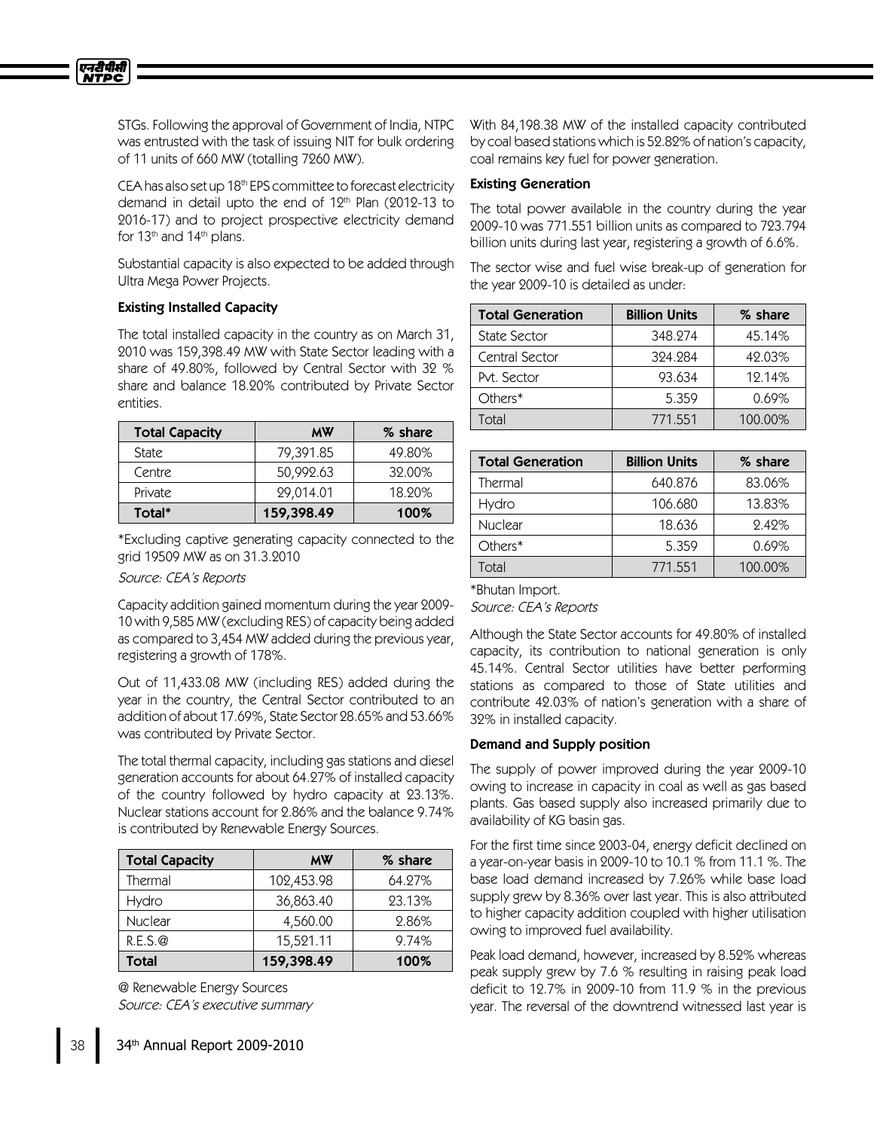

STGs. Following the approval of Government of India, NTPC was entrusted with the task of issuing NIT for bulk ordering of 11 units of 660 MW (totalling 7260 MW).

CEA has also set up 18<sup>th</sup> EPS committee to forecast electricity demand in detail upto the end of 12<sup>th</sup> Plan (2012-13 to 2016-17) and to project prospective electricity demand for 13<sup>th</sup> and 14<sup>th</sup> plans.

Substantial capacity is also expected to be added through Ultra Mega Power Projects.

## Existing Installed Capacity

The total installed capacity in the country as on March 31, 2010 was 159,398.49 MW with State Sector leading with a share of 49.80%, followed by Central Sector with 32 % share and balance 18.20% contributed by Private Sector entities.

| <b>Total Capacity</b> | <b>MW</b>  | % share |
|-----------------------|------------|---------|
| State                 | 79,391.85  | 49.80%  |
| Centre                | 50,992.63  | 32.00%  |
| Private               | 29,014.01  | 18.90%  |
| Total*                | 159,398.49 | 100%    |

\*Excluding captive generating capacity connected to the grid 19509 MW as on 31.3.2010

Source: CEA's Reports

Capacity addition gained momentum during the year 2009- 10 with 9,585 MW (excluding RES) of capacity being added as compared to 3,454MW added during the previous year, registering a growth of 178%.

Out of 11,433.08 MW (including RES) added during the year in the country, the Central Sector contributed to an addition of about 17.69%, State Sector 28.65% and 53.66% was contributed by Private Sector.

The total thermal capacity, including gas stations and diesel generation accounts for about 64.27% of installed capacity of the country followed by hydro capacity at 23.13%. Nuclear stations account for 2.86% and the balance 9.74% is contributed by Renewable Energy Sources.

| <b>Total Capacity</b> | <b>MW</b>  | % share |
|-----------------------|------------|---------|
| Thermal               | 102,453.98 | 64.27%  |
| Hydro                 | 36,863.40  | 23.13%  |
| Nuclear               | 4,560.00   | 2.86%   |
| R.E.S.Q               | 15,521.11  | 9.74%   |
| Total                 | 159,398.49 | 100%    |

@ Renewable Energy Sources Source: CEA's executive summary With 84,198.38 MW of the installed capacity contributed by coal based stations which is 52.82% of nation's capacity, coal remains key fuel for power generation.

### **Existing Generation**

The total power available in the country during the year 2009-10 was 771.551 billion units as compared to 723.794 billion units during last year, registering a growth of 6.6%.

The sector wise and fuel wise break-up of generation for the year 2009-10 is detailed as under:

| <b>Total Generation</b> | <b>Billion Units</b> | % share  |
|-------------------------|----------------------|----------|
| State Sector            | 348.274              | 45.14%   |
| Central Sector          | 324.284              | 42.03%   |
| Pvt. Sector             | 93.634               | 12.14%   |
| Others*                 | 5.359                | $0.69\%$ |
| Total                   | 771.551              | 100.00%  |

| <b>Total Generation</b> | <b>Billion Units</b> | % share |
|-------------------------|----------------------|---------|
| Thermal                 | 640.876              | 83.06%  |
| Hydro                   | 106.680              | 13.83%  |
| <b>Nuclear</b>          | 18.636               | 9.49%   |
| Others*                 | 5.359                | 0.69%   |
| Total                   | 771.551              | 100.00% |

\*Bhutan Import. Source: CEA's Reports

Although the State Sector accounts for 49.80% of installed capacity, its contribution to national generation is only 45.14%. Central Sector utilities have better performing stations as compared to those of State utilities and contribute 42.03% of nation's generation with a share of 32% in installed capacity.

## Demand and Supply position

The supply of power improved during the year 2009-10 owing to increase in capacity in coal as well as gas based plants. Gas based supply also increased primarily due to availability of KG basin gas.

For the first time since 2003-04, energy deficit declined on a year-on-year basis in 2009-10 to 10.1 % from 11.1 %. The base load demand increased by 7.26% while base load supply grew by 8.36% over last year. This is also attributed to higher capacity addition coupled with higher utilisation owing to improved fuel availability.

Peak load demand, however, increased by 8.52% whereas peak supply grew by 7.6 % resulting in raising peak load deficit to 12.7% in 2009-10 from 11.9 % in the previous year. The reversal of the downtrend witnessed last year is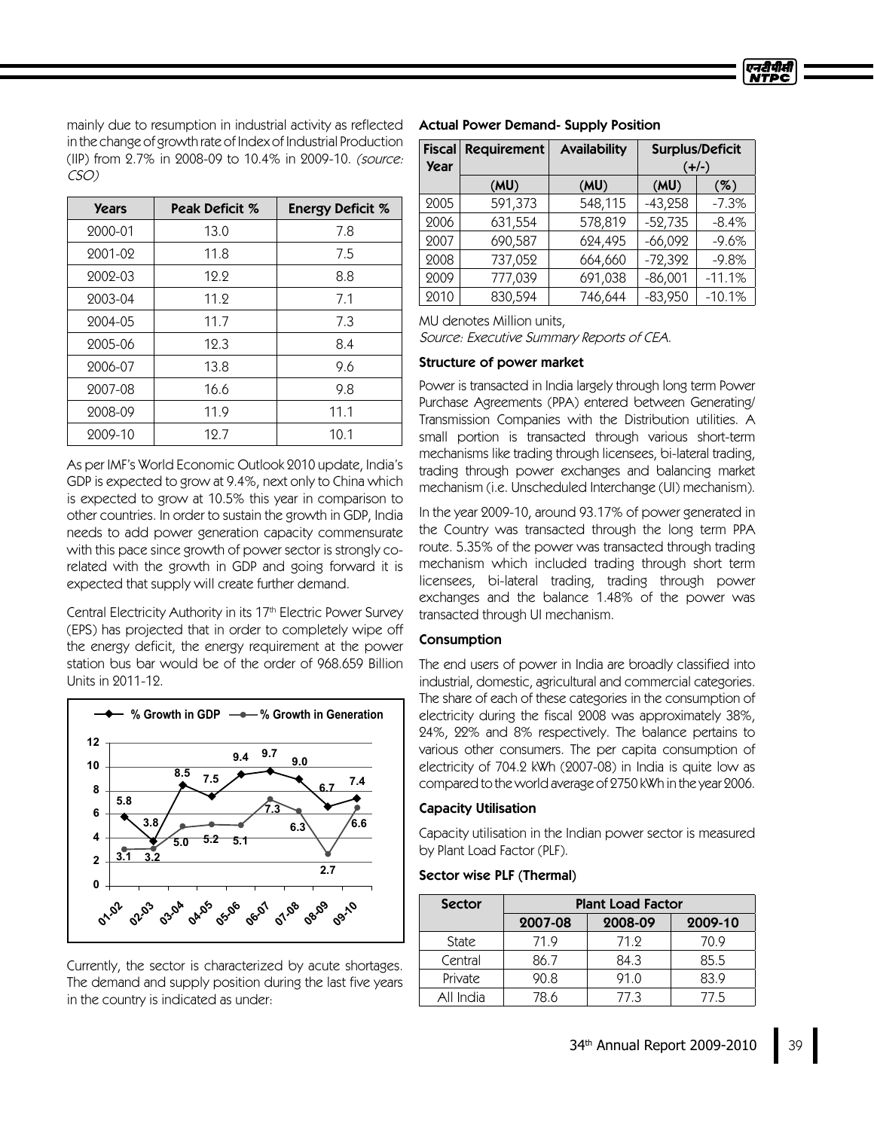mainly due to resumption in industrial activity as reflected in the change of growth rate of Index of Industrial Production (IIP) from 2.7% in 2008-09 to 10.4% in 2009-10. (source: CSO)

| <b>Years</b> | Peak Deficit % | <b>Energy Deficit %</b> |
|--------------|----------------|-------------------------|
| 2000-01      | 13.0           | 7.8                     |
| 2001-02      | 11.8           | 7.5                     |
| 2002-03      | 12.2           | 8.8                     |
| 2003-04      | 11.9           | 7.1                     |
| 2004-05      | 11.7           | 7.3                     |
| 2005-06      | 12.3           | 8.4                     |
| 2006-07      | 13.8           | 9.6                     |
| 2007-08      | 16.6           | 9.8                     |
| 2008-09      | 11.9           | 11.1                    |
| 2009-10      | 12.7           | 10.1                    |

As per IMF's World Economic Outlook 2010 update, India's GDP is expected to grow at 9.4%, next only to China which is expected to grow at 10.5% this year in comparison to other countries. In order to sustain the growth in GDP, India needs to add power generation capacity commensurate with this pace since growth of power sector is strongly corelated with the growth in GDP and going forward it is expected that supply will create further demand.

Central Electricity Authority in its 17 th Electric Power Survey (EPS) has projected that in order to completely wipe off the energy deficit, the energy requirement at the power station bus bar would be of the order of 968.659 Billion Units in 2011-12.



Currently, the sector is characterized by acute shortages. The demand and supply position during the last five years in the country is indicated as under:

| <b>Actual Power Demand- Supply Position</b> |  |  |  |
|---------------------------------------------|--|--|--|
|---------------------------------------------|--|--|--|

| <b>Fiscal</b><br><b>Year</b> | <b>Requirement</b> | <b>Availability</b> | <b>Surplus/Deficit</b><br>$(+/-)$ |          |
|------------------------------|--------------------|---------------------|-----------------------------------|----------|
|                              | (MU)               | (MU)                | (MU)                              | (%)      |
| 2005                         | 591,373            | 548,115             | $-43,258$                         | $-7.3%$  |
| 2006                         | 631,554            | 578,819             | $-52,735$                         | $-8.4%$  |
| 2007                         | 690,587            | 624,495             | $-66,092$                         | $-9.6%$  |
| 2008                         | 737,052            | 664,660             | $-72,392$                         | $-9.8%$  |
| 2009                         | 777,039            | 691,038             | $-86,001$                         | $-11.1%$ |
| 2010                         | 830,594            | 746,644             | $-83,950$                         | $-10.1%$ |

MU denotes Million units,

Source: Executive Summary Reports of CEA.

#### Structure of power market

Power is transacted in India largely through long term Power Purchase Agreements (PPA) entered between Generating/ Transmission Companies with the Distribution utilities. A small portion is transacted through various short-term mechanisms like trading through licensees, bi-lateral trading, trading through power exchanges and balancing market mechanism (i.e. Unscheduled Interchange (UI) mechanism).

In the year 2009-10, around 93.17% of power generated in the Country was transacted through the long term PPA route. 5.35% of the power was transacted through trading mechanism which included trading through short term licensees, bi-lateral trading, trading through power exchanges and the balance 1.48% of the power was transacted through UI mechanism.

### Consumption

The end users of power in India are broadly classified into industrial, domestic, agricultural and commercial categories. The share of each of these categories in the consumption of electricity during the fiscal 2008 was approximately 38%, 24%, 22% and 8% respectively. The balance pertains to various other consumers. The per capita consumption of electricity of 704.2 kWh (2007-08) in India is quite low as compared to the world average of 2750 kWh in the year 2006.

#### **Capacity Utilisation**

Capacity utilisation in the Indian power sector is measured by Plant Load Factor (PLF).

#### Sector wise PLF (Thermal)

| <b>Sector</b> | <b>Plant Load Factor</b> |         |      |  |
|---------------|--------------------------|---------|------|--|
|               | 2007-08                  | 2009-10 |      |  |
| State         | 71.9                     | 71.9    | 70.9 |  |
| Central       | 86.7                     | 84.3    | 85.5 |  |
| Private       | 90.8                     | 91.0    | 83.9 |  |
| All India     | 78.6                     | 77 3    | 77.5 |  |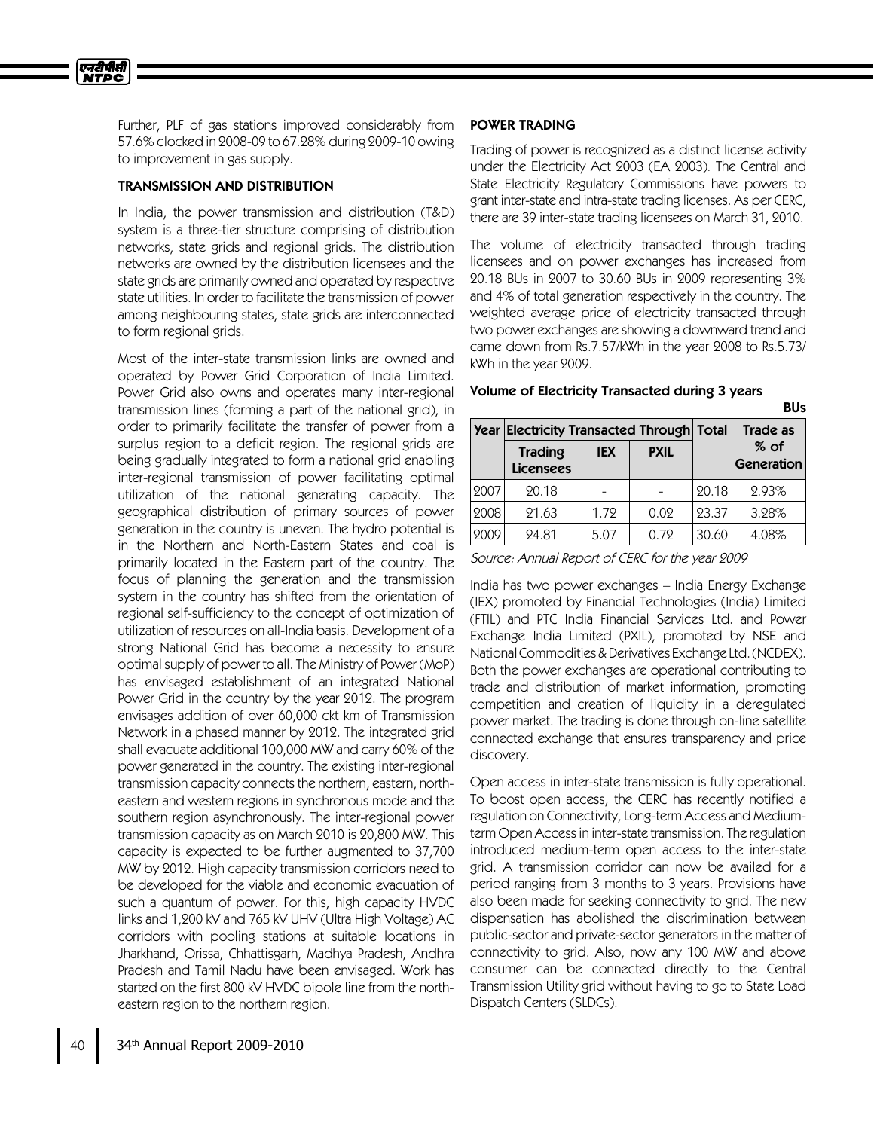Further, PLF of gas stations improved considerably from 57.6% clocked in 2008-09 to 67.28% during 2009-10 owing to improvement in gas supply.

### TRANSMISSION AND DISTRIBUTION

एनरीपीसी **NTPC** 

> In India, the power transmission and distribution (T&D) system is a three-tier structure comprising of distribution networks, state grids and regional grids. The distribution networks are owned by the distribution licensees and the state grids are primarily owned and operated by respective state utilities. In order to facilitate the transmission of power among neighbouring states, state grids are interconnected to form regional grids.

> Most of the inter-state transmission links are owned and operated by Power Grid Corporation of India Limited. Power Grid also owns and operates many inter-regional transmission lines (forming a part of the national grid), in order to primarily facilitate the transfer of power from a surplus region to a deficit region. The regional grids are being gradually integrated to form a national grid enabling inter-regional transmission of power facilitating optimal utilization of the national generating capacity. The geographical distribution of primary sources of power generation in the country is uneven. The hydro potential is in the Northern and North-Eastern States and coal is primarily located in the Eastern part of the country. The focus of planning the generation and the transmission system in the country has shifted from the orientation of regional self-sufficiency to the concept of optimization of utilization of resources on all-India basis. Development of a strong National Grid has become a necessity to ensure optimal supply of power to all. The Ministry of Power (MoP) has envisaged establishment of an integrated National Power Grid in the country by the year 2012. The program envisages addition of over 60,000 ckt km of Transmission Network in a phased manner by 2012. The integrated grid shall evacuate additional 100,000 MW and carry 60% of the power generated in the country. The existing inter-regional transmission capacity connects the northern, eastern, northeastern and western regions in synchronous mode and the southern region asynchronously. The inter-regional power transmission capacity as on March 2010 is 20,800 MW. This capacity is expected to be further augmented to 37,700 MW by 2012. High capacity transmission corridors need to be developed for the viable and economic evacuation of such a quantum of power. For this, high capacity HVDC links and 1,200 kV and 765 kV UHV (Ultra High Voltage) AC corridors with pooling stations at suitable locations in Jharkhand, Orissa, Chhattisgarh, Madhya Pradesh, Andhra Pradesh and Tamil Nadu have been envisaged. Work has started on the first 800 kV HVDC bipole line from the northeastern region to the northern region.

#### POWER TRADING

Trading of power is recognized as a distinct license activity under the Electricity Act 2003 (EA 2003). The Central and State Electricity Regulatory Commissions have powers to grant inter-state and intra-state trading licenses. As per CERC, there are 39 inter-state trading licensees on March 31, 2010.

The volume of electricity transacted through trading licensees and on power exchanges has increased from 20.18 BUs in 2007 to 30.60 BUs in 2009 representing 3% and 4% of total generation respectively in the country. The weighted average price of electricity transacted through two power exchanges are showing a downward trend and came down from Rs.7.57/kWh in the year 2008 to Rs.5.73/ kWh in the year 2009.

# Volume of Electricity Transacted during 3 years

|      | <b>Year Electricity Transacted Through Total</b> |                           |      | <b>Trade as</b> |                      |
|------|--------------------------------------------------|---------------------------|------|-----------------|----------------------|
|      | <b>Trading</b><br><b>Licensees</b>               | <b>IEX</b><br><b>PXIL</b> |      |                 | $%$ of<br>Generation |
| 2007 | 20.18                                            |                           |      | 20.18           | 2.93%                |
| 2008 | 21.63                                            | 1.72                      | 0.02 | 23.37           | 3.28%                |
| 2009 | 24.81                                            | 5.07                      | 0.72 | 30.60           | 4.08%                |

BUs

Source: Annual Report of CERC for the year 2009

India has two power exchanges –India Energy Exchange (IEX) promoted by Financial Technologies (India) Limited (FTIL) and PTC India Financial Services Ltd. and Power Exchange India Limited (PXIL), promoted by NSE and NationalCommodities&Derivatives ExchangeLtd.(NCDEX). Both the power exchanges are operational contributing to trade and distribution of market information, promoting competition and creation of liquidity in a deregulated power market. The trading is done through on-line satellite connected exchange that ensures transparency and price discovery.

Open access in inter-state transmission is fully operational. To boost open access, the CERC has recently notified a regulation on Connectivity, Long-term Access and Mediumterm Open Accessin inter-state transmission. The regulation introduced medium-term open access to the inter-state grid. A transmission corridor can now be availed for a period ranging from 3 months to 3 years. Provisions have also been made for seeking connectivity to grid. The new dispensation has abolished the discrimination between public-sector and private-sector generators in the matter of connectivity to grid. Also, now any 100 MW and above consumer can be connected directly to the Central Transmission Utility grid without having to go to State Load Dispatch Centers (SLDCs).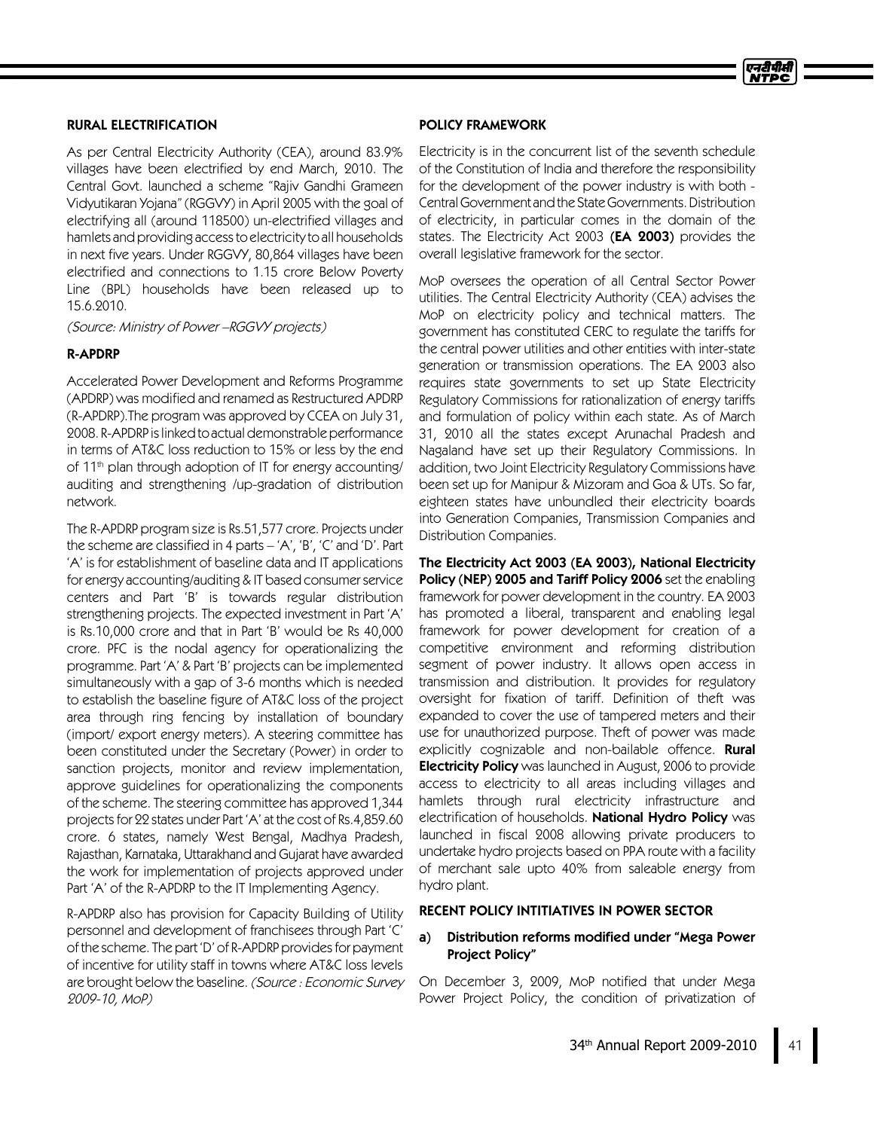## RURAL ELECTRIFICATION

As per Central Electricity Authority (CEA), around 83.9% villages have been electrified by end March, 2010. The Central Govt. launched a scheme "Rajiv Gandhi Grameen Vidyutikaran Yojana" (RGGVY) in April 2005 with the goal of electrifying all (around 118500) un-electrified villages and hamlets and providing access to electricity to all households in next five years. Under RGGVY, 80,864 villages have been electrified and connections to 1.15 crore Below Poverty Line (BPL) households have been released up to 15.6.2010.

(Source: Ministry of Power –RGGVYprojects)

## R-APDRP

Accelerated Power Development and Reforms Programme (APDRP) was modified and renamed as Restructured APDRP (R-APDRP).The program was approved by CCEA on July 31, 2008. R-APDRP is linked to actual demonstrable performance in terms of AT&C loss reduction to 15% or less by the end of 11 th plan through adoption of IT for energy accounting/ auditing and strengthening /up-gradation of distribution network.

The R-APDRP program size is Rs.51,577 crore. Projects under the scheme are classified in 4 parts  $-$  'A', 'B', 'C' and 'D'. Part 'A'is for establishment of baseline data and IT applications for energy accounting/auditing & IT based consumer service centers and Part 'B' is towards regular distribution strengthening projects. The expected investment in Part 'A' is Rs.10,000 crore and that in Part 'B'would be Rs 40,000 crore. PFC is the nodal agency for operationalizing the programme. Part 'A'&Part 'B'projects can be implemented simultaneously with a gap of 3-6 months which is needed to establish the baseline figure of AT&C loss of the project area through ring fencing by installation of boundary (import/export energy meters). A steering committee has been constituted under the Secretary (Power) in order to sanction projects, monitor and review implementation, approve guidelines for operationalizing the components of the scheme. The steering committee has approved 1,344 projects for 22 states under Part 'A' at the cost of Rs.4,859.60 crore. 6 states, namely West Bengal, Madhya Pradesh, Rajasthan, Karnataka, Uttarakhand and Gujarat have awarded the work for implementation of projects approved under Part 'A'of the R-APDRP to the IT Implementing Agency.

R-APDRP also has provision for Capacity Building of Utility personnel and development of franchisees through Part 'C' of the scheme. The part 'D'of R-APDRP providesfor payment of incentive for utility staff in towns where AT&C loss levels are brought below the baseline. (Source: Economic Survey 2009-10, MoP)

### POLICY FRAMEWORK

Electricity is in the concurrent list of the seventh schedule of the Constitution of India and therefore the responsibility for the development of the power industry is with both - CentralGovernment andthe StateGovernments.Distribution of electricity, in particular comes in the domain of the states. The Electricity Act  $2003$  (EA  $2003$ ) provides the overall legislative framework for the sector.

MoP oversees the operation of all Central Sector Power utilities. The Central Electricity Authority (CEA) advises the MoP on electricity policy and technical matters. The government has constituted CERC to regulate the tariffs for the central power utilities and other entities with inter-state generation or transmission operations. The EA 2003 also requires state governments to set up State Electricity Regulatory Commissions for rationalization of energy tariffs and formulation of policy within each state. As of March 31, 2010 all the states except Arunachal Pradesh and Nagaland have set up their Regulatory Commissions. In addition, two Joint Electricity Regulatory Commissions have been set up for Manipur & Mizoram and Goa & UTs. So far, eighteen states have unbundled their electricity boards into Generation Companies, Transmission Companies and Distribution Companies.

The Electricity Act 2003 (EA 2003), National Electricity Policy (NEP) 2005 and Tariff Policy 2006 set the enabling framework for power development in the country. EA 2003 has promoted a liberal, transparent and enabling legal framework for power development for creation of a competitive environment and reforming distribution segment of power industry. It allows open access in transmission and distribution. It provides for regulatory oversight for fixation of tariff. Definition of theft was expanded to cover the use of tampered meters and their use for unauthorized purpose. Theft of power was made explicitly cognizable and non-bailable offence. **Rural Electricity Policy** was launched in August, 2006 to provide access to electricity to all areas including villages and hamlets through rural electricity infrastructure and electrification of households. National Hydro Policy was launched in fiscal 2008 allowing private producers to undertake hydro projects based on PPA route with a facility of merchant sale upto 40% from saleable energy from hydro plant.

## RECENT POLICY INTITIATIVES IN POWER SECTOR

## a) Distribution reforms modified under "Mega Power Project Policy"

On December 3, 2009, MoP notified that under Mega Power Project Policy, the condition of privatization of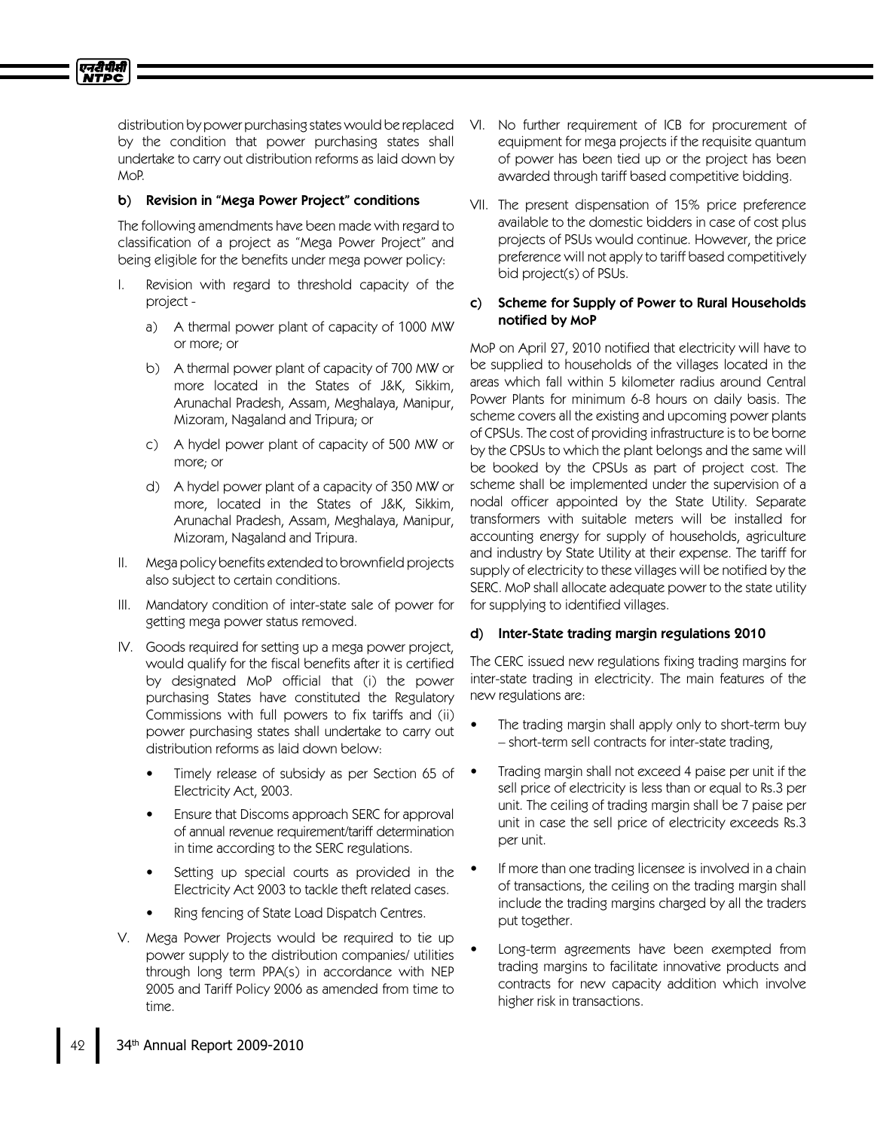distribution by power purchasing states would be replaced by the condition that power purchasing states shall undertake to carry out distribution reforms as laid down by MoP.

## b) Revision in "Mega Power Project" conditions

एनटीपीसी **NTPC** 

> The following amendments have been made with regard to classification of a project as "Mega Power Project" and being eligible for the benefits under mega power policy:

- I. Revision with regard to threshold capacity of the project
	- a) A thermal power plant of capacity of 1000 MW or more; or
	- b) A thermal power plant of capacity of 700 MW or more located in the States of J&K, Sikkim, Arunachal Pradesh, Assam, Meghalaya, Manipur, Mizoram, Nagaland and Tripura; or
	- c) A hydel power plant of capacity of 500 MW or more; or
	- d) A hydel power plant of a capacity of 350 MW or more, located in the States of J&K, Sikkim, Arunachal Pradesh, Assam, Meghalaya, Manipur, Mizoram, Nagaland and Tripura.
- II. Mega policy benefits extended to brownfield projects also subject to certain conditions.
- III. Mandatory condition of inter-state sale of power for getting mega power status removed.
- IV. Goods required for setting up a mega power project, would qualify for the fiscal benefits after it is certified by designated MoP official that (i) the power purchasing States have constituted the Regulatory Commissions with full powers to fix tariffs and (ii) power purchasing states shall undertake to carry out distribution reforms as laid down below:
	- Timely release of subsidy as per Section 65 of Electricity Act, 2003.
	- Ensure that Discoms approach SERC for approval of annual revenue requirement/tariff determination in time according to the SERC regulations.
	- Setting up special courts as provided in the Electricity Act 2003 to tackle theft related cases.
	- Ring fencing of State Load Dispatch Centres.
- V. Mega Power Projects would be required to tie up power supply to the distribution companies/utilities through long term PPA(s) in accordance with NEP 2005 and Tariff Policy 2006 as amended from time to time.
- VI. No further requirement of ICB for procurement of equipment for mega projects if the requisite quantum of power has been tied up or the project has been awarded through tariff based competitive bidding.
- VII. The present dispensation of 15% price preference available to the domestic bidders in case of cost plus projects of PSUs would continue. However, the price preference will not apply to tariff based competitively bid project(s) of PSUs.

### c) Scheme for Supply of Power to Rural Households notified by MoP

MoP on April 27, 2010 notified that electricity will have to be supplied to households of the villages located in the areas which fall within 5 kilometer radius around Central Power Plants for minimum 6-8 hours on daily basis. The scheme covers all the existing and upcoming power plants of CPSUs. The cost of providing infrastructure is to be borne by the CPSUs to which the plant belongs and the same will be booked by the CPSUs as part of project cost. The scheme shall be implemented under the supervision of a nodal officer appointed by the State Utility. Separate transformers with suitable meters will be installed for accounting energy for supply of households, agriculture and industry by State Utility at their expense. The tariff for supply of electricity to these villages will be notified by the SERC. MoP shall allocate adequate power to the state utility for supplying to identified villages.

## d) Inter-State trading margin regulations 2010

The CERC issued new regulations fixing trading margins for inter-state trading in electricity. The main features of the new regulations are:

- The trading margin shall apply only to short-term buy –short-term sell contracts for inter-state trading,
- Trading margin shall not exceed 4 paise per unit if the sell price of electricity is less than or equal to Rs.3 per unit. The ceiling of trading margin shall be 7 paise per unit in case the sell price of electricity exceeds Rs.3 per unit.
- If more than one trading licensee is involved in a chain of transactions, the ceiling on the trading margin shall include the trading margins charged by all the traders put together.
- Long-term agreements have been exempted from trading margins to facilitate innovative products and contracts for new capacity addition which involve higher risk in transactions.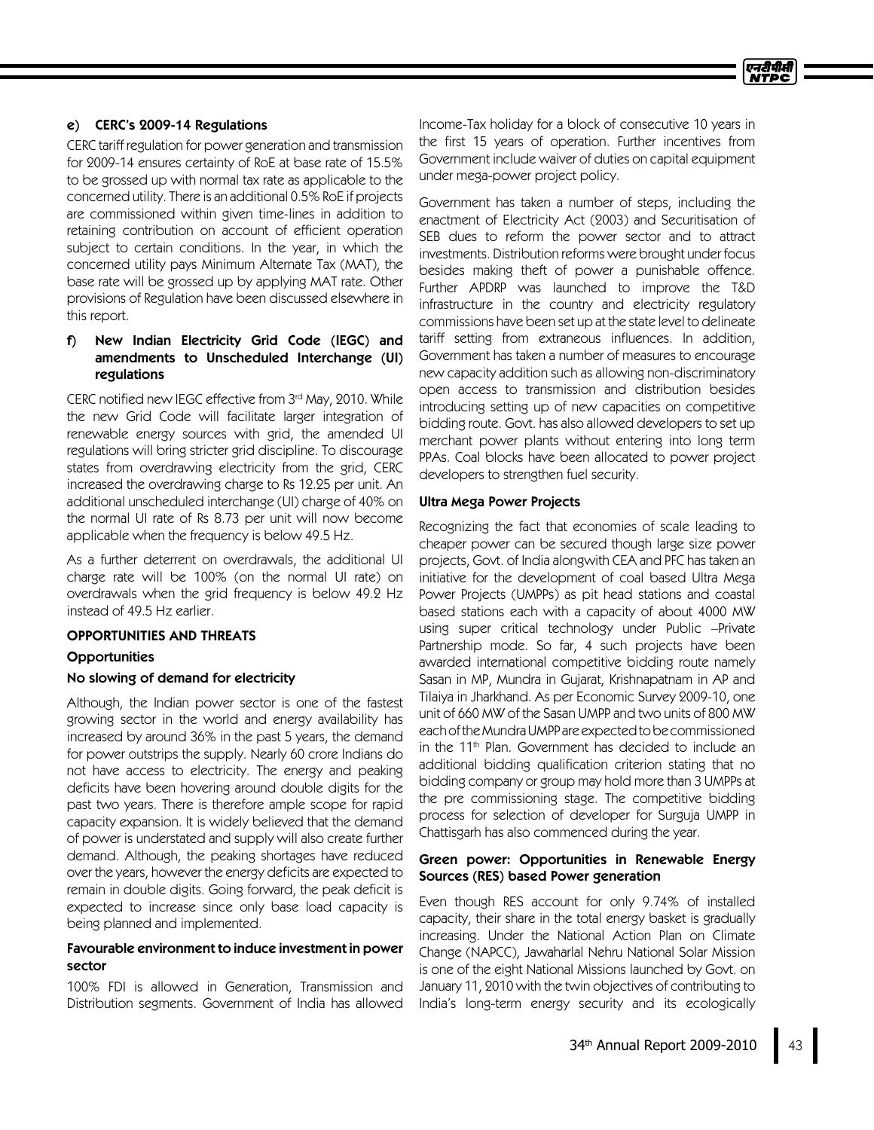## e) CERC's 2009-14 Regulations

CERC tariff regulation for power generation and transmission for 2009-14 ensures certainty of RoE at base rate of 15.5% to be grossed up with normal tax rate as applicable to the concerned utility. There is an additional 0.5% RoE if projects are commissioned within given time-lines in addition to retaining contribution on account of efficient operation subject to certain conditions. In the year, in which the concerned utility pays Minimum Alternate Tax (MAT), the base rate will be grossed up by applying MAT rate. Other provisions of Regulation have been discussed elsewhere in this report.

## f) New Indian Electricity Grid Code (IEGC) and amendments to Unscheduled Interchange (UI) regulations

CERC notified new IEGC effective from 3rd May, 2010. While the new Grid Code will facilitate larger integration of renewable energy sources with grid, the amended UI regulations will bring stricter grid discipline. To discourage states from overdrawing electricity from the grid, CERC increased the overdrawing charge to Rs 12.25 per unit. An additional unscheduled interchange (UI) charge of 40% on the normal UI rate of Rs 8.73 per unit will now become applicable when the frequency is below 49.5 Hz.

As a further deterrent on overdrawals, the additional UI charge rate will be 100% (on the normal UI rate) on overdrawals when the grid frequency is below 49.2 Hz instead of 49.5 Hz earlier.

### OPPORTUNITIES AND THREATS

### **Opportunities**

### No slowing of demand for electricity

Although, the Indian power sector is one of the fastest growing sector in the world and energy availability has increased by around 36% in the past 5 years, the demand for power outstrips the supply. Nearly 60 crore Indians do not have access to electricity. The energy and peaking deficits have been hovering around double digits for the past two years. There is therefore ample scope for rapid capacity expansion. It is widely believed that the demand of power is understated and supply will also create further demand. Although, the peaking shortages have reduced over the years, however the energy deficits are expected to remain in double digits. Going forward, the peak deficit is expected to increase since only base load capacity is being planned and implemented.

### Favourable environment to induce investment in power sector

100% FDI is allowed in Generation, Transmission and Distribution segments. Government of India has allowed

Income-Tax holiday for a block of consecutive 10 years in the first 15 years of operation. Further incentives from Government include waiver of duties on capital equipment under mega-power project policy.

Government has taken a number of steps, including the enactment of Electricity Act (2003) and Securitisation of SEB dues to reform the power sector and to attract investments. Distribution reforms were brought under focus besides making theft of power a punishable offence. Further APDRP was launched to improve the T&D infrastructure in the country and electricity regulatory commissions have been set up at the state level to delineate tariff setting from extraneous influences. In addition, Government has taken a number of measures to encourage new capacity addition such as allowing non-discriminatory open access to transmission and distribution besides introducing setting up of new capacities on competitive bidding route. Govt. has also allowed developers to set up merchant power plants without entering into long term PPAs. Coal blocks have been allocated to power project developers to strengthen fuel security.

## Ultra Mega Power Projects

Recognizing the fact that economies of scale leading to cheaper power can be secured though large size power projects, Govt. of India alongwith CEA and PFC has taken an initiative for the development of coal based Ultra Mega Power Projects (UMPPs) as pit head stations and coastal based stations each with a capacity of about 4000 MW using super critical technology under Public –Private Partnership mode. So far, 4 such projects have been awarded international competitive bidding route namely Sasan in MP, Mundra in Gujarat, Krishnapatnam in AP and Tilaiya in Jharkhand. As per Economic Survey 2009-10, one unit of 660 MW of the Sasan UMPP and two units of 800 MW eachoftheMundraUMPP are expectedtobe commissioned in the 11 th Plan. Government has decided to include an additional bidding qualification criterion stating that no bidding company or group may hold more than 3 UMPPs at the pre commissioning stage. The competitive bidding process for selection of developer for Surguja UMPP in Chattisgarh has also commenced during the year.

## Green power: Opportunities in Renewable Energy Sources (RES) based Power generation

Even though RES account for only 9.74% of installed capacity, their share in the total energy basket is gradually increasing. Under the National Action Plan on Climate Change (NAPCC), Jawaharlal Nehru National Solar Mission is one of the eight National Missions launched by Govt. on January 11, 2010 with the twin objectives of contributing to India's long-term energy security and its ecologically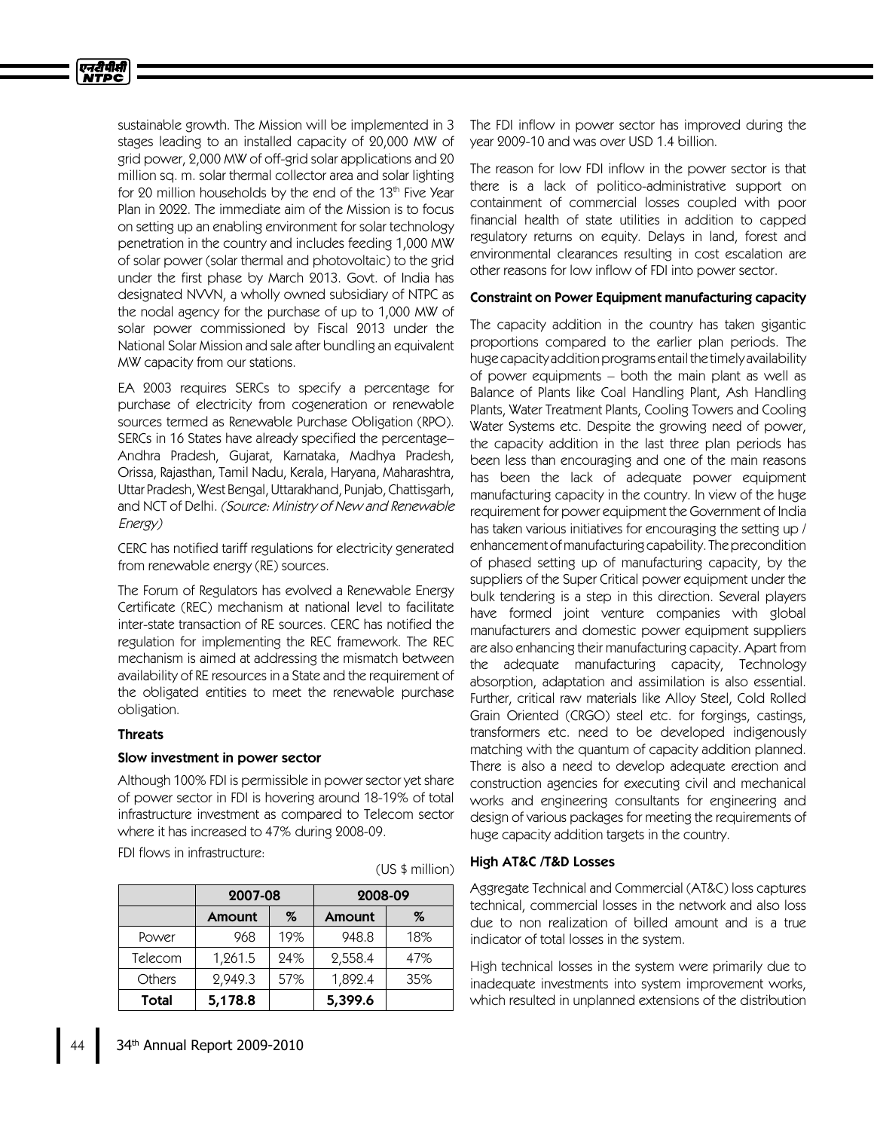

sustainable growth. The Mission will be implemented in 3 stages leading to an installed capacity of 20,000 MW of grid power, 2,000 MW of off-grid solar applications and 20 million sq. m. solar thermal collector area and solar lighting for 20 million households by the end of the 13th Five Year Plan in 2022. The immediate aim of the Mission is to focus on setting up an enabling environment for solar technology penetration in the country and includes feeding 1,000 MW of solar power (solar thermal and photovoltaic) to the grid under the first phase by March 2013. Govt. of India has designated NVVN, a wholly owned subsidiary of NTPC as the nodal agency for the purchase of up to 1,000 MW of solar power commissioned by Fiscal 2013 under the National Solar Mission and sale after bundling an equivalent MW capacity from our stations.

EA 2003 requires SERCs to specify a percentage for purchase of electricity from cogeneration or renewable sources termed as Renewable Purchase Obligation (RPO). SERCs in 16 States have already specified the percentage– Andhra Pradesh, Gujarat, Karnataka, Madhya Pradesh, Orissa, Rajasthan, Tamil Nadu, Kerala, Haryana, Maharashtra, Uttar Pradesh, West Bengal, Uttarakhand, Punjab, Chattisgarh, and NCT of Delhi. (Source: Ministry of New and Renewable Energy)

CERC has notified tariff regulations for electricity generated from renewable energy (RE) sources.

The Forum of Regulators has evolved a Renewable Energy Certificate (REC) mechanism at national level to facilitate inter-state transaction of RE sources. CERC has notified the regulation for implementing the REC framework. The REC mechanism is aimed at addressing the mismatch between availability of RE resources in a State and the requirement of the obligated entities to meet the renewable purchase obligation.

### Threats

### Slow investment in power sector

Although 100% FDI is permissible in power sector yet share of power sector in FDI is hovering around 18-19% of total infrastructure investment as compared to Telecom sector where it has increased to 47% during 2008-09.

FDI flows in infrastructure:

|               | 2007-08       |     | 2008-09 |     |
|---------------|---------------|-----|---------|-----|
|               | <b>Amount</b> | %   | Amount  | %   |
| Power         | 968           | 19% | 948.8   | 18% |
| Telecom       | 1,261.5       | 24% | 2,558.4 | 47% |
| <b>Others</b> | 2,949.3       | 57% | 1,892.4 | 35% |
| Total         | 5,178.8       |     | 5,399.6 |     |

(US \$million)

The FDI inflow in power sector has improved during the year 2009-10 and was over USD 1.4 billion.

The reason for low FDI inflow in the power sector is that there is a lack of politico-administrative support on containment of commercial losses coupled with poor financial health of state utilities in addition to capped regulatory returns on equity. Delays in land, forest and environmental clearances resulting in cost escalation are other reasons for low inflow of FDI into power sector.

## Constraint on Power Equipment manufacturing capacity

The capacity addition in the country has taken gigantic proportions compared to the earlier plan periods. The huge capacity addition programs entail the timely availability of power equipments – both the main plant as well as Balance of Plants like Coal Handling Plant, Ash Handling Plants, Water Treatment Plants, Cooling Towers and Cooling Water Systems etc. Despite the growing need of power, the capacity addition in the last three plan periods has been less than encouraging and one of the main reasons has been the lack of adequate power equipment manufacturing capacity in the country. In view of the huge requirement for power equipment the Government of India has taken various initiatives for encouraging the setting up / enhancement of manufacturing capability. The precondition of phased setting up of manufacturing capacity, by the suppliers of the Super Critical power equipment under the bulk tendering is a step in this direction. Several players have formed joint venture companies with global manufacturers and domestic power equipment suppliers are also enhancing their manufacturing capacity. Apart from the adequate manufacturing capacity, Technology absorption, adaptation and assimilation is also essential. Further, critical raw materials like Alloy Steel, Cold Rolled Grain Oriented (CRGO) steel etc. for forgings, castings, transformers etc. need to be developed indigenously matching with the quantum of capacity addition planned. There is also a need to develop adequate erection and construction agencies for executing civil and mechanical works and engineering consultants for engineering and design of various packages for meeting the requirements of huge capacity addition targets in the country.

## HighAT&C /T&D Losses

Aggregate Technical and Commercial (AT&C) loss captures technical, commercial losses in the network and also loss due to non realization of billed amount and is a true indicator of total losses in the system.

High technical losses in the system were primarily due to inadequate investments into system improvement works, which resulted in unplanned extensions of the distribution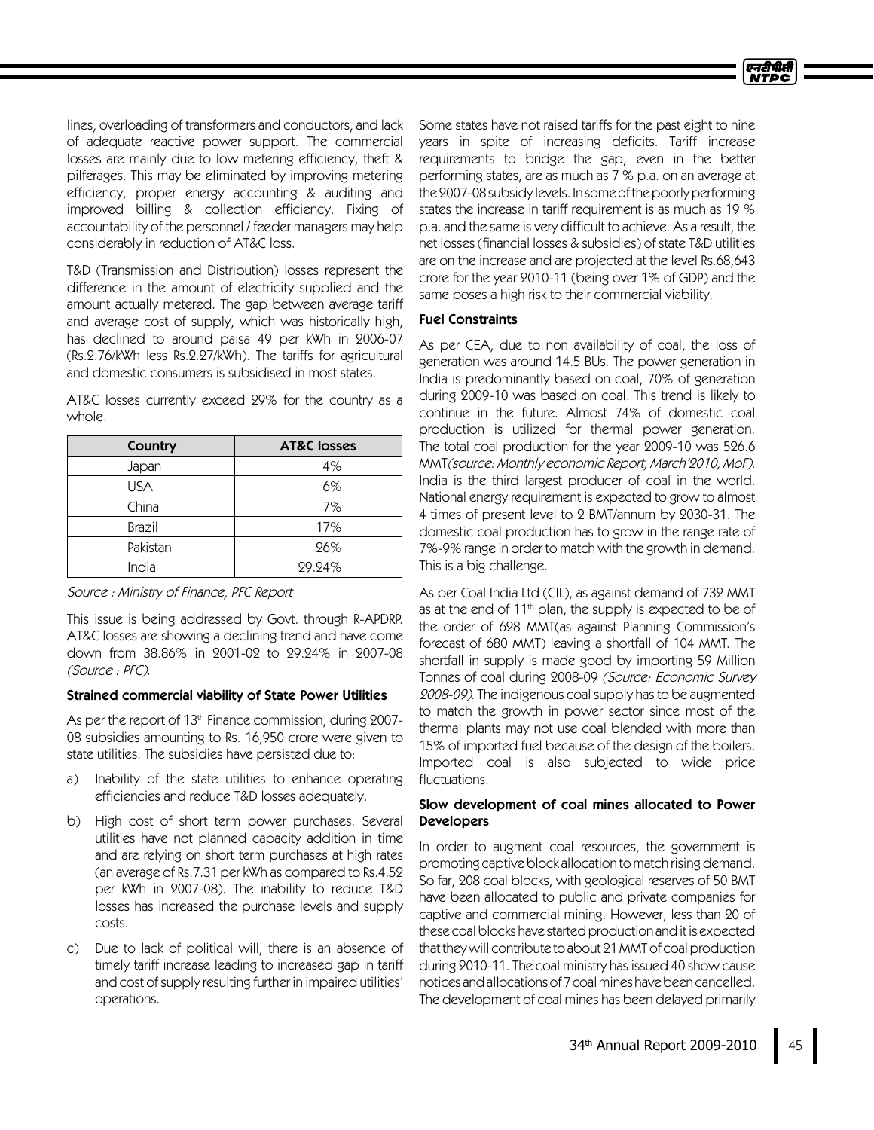lines, overloading of transformers and conductors, and lack of adequate reactive power support. The commercial losses are mainly due to low metering efficiency, theft & pilferages. This may be eliminated by improving metering efficiency, proper energy accounting & auditing and improved billing & collection efficiency. Fixing of accountability of the personnel / feeder managers may help considerably in reduction of AT&C loss.

T&D (Transmission and Distribution) losses represent the difference in the amount of electricity supplied and the amount actually metered. The gap between average tariff and average cost of supply, which was historically high, has declined to around paisa 49 per kWh in 2006-07 (Rs.2.76/kWh less Rs.2.27/kWh). The tariffs for agricultural and domestic consumers is subsidised in most states.

AT&C losses currently exceed 29% for the country as a whole.

| Country    | <b>AT&amp;C</b> losses |  |
|------------|------------------------|--|
| Japan      | 4%                     |  |
| <b>USA</b> | 6%                     |  |
| China      | 7%                     |  |
| Brazil     | 17%                    |  |
| Pakistan   | 26%                    |  |
| India      | 29.24%                 |  |

#### Source : Ministry of Finance, PFC Report

This issue is being addressed by Govt. through R-APDRP. AT&C losses are showing a declining trend and have come down from 38.86% in 2001-02 to 29.24% in 2007-08 (Source : PFC).

#### Strained commercial viability of State Power Utilities

As per the report of 13<sup>th</sup> Finance commission, during 2007-08 subsidies amounting to Rs. 16,950 crore were given to state utilities. The subsidies have persisted due to:

- a) Inability of the state utilities to enhance operating efficiencies and reduce T&D losses adequately.
- b) High cost of short term power purchases. Several utilities have not planned capacity addition in time and are relying on short term purchases at high rates (an average of Rs.7.31 per kWh as compared to Rs.4.52 per kWh in 2007-08). The inability to reduce T&D losses has increased the purchase levels and supply costs.
- c) Due to lack of political will, there is an absence of timely tariff increase leading to increased gap in tariff and cost of supply resulting further in impaired utilities' operations.

Some states have not raised tariffs for the past eight to nine years in spite of increasing deficits. Tariff increase requirements to bridge the gap, even in the better performing states, are as much as 7 % p.a. on an average at the 2007-08 subsidy levels. In some of the poorly performing states the increase in tariff requirement is as much as 19 % p.a. and the same is very difficult to achieve. As a result, the net losses (financial losses & subsidies) of state T&D utilities are on the increase and are projected at the level Rs.68,643 crore for the year 2010-11 (being over 1% of GDP) and the same poses a high risk to their commercial viability.

#### **Fuel Constraints**

As per CEA, due to non availability of coal, the loss of generation was around 14.5 BUs. The power generation in India is predominantly based on coal, 70% of generation during 2009-10 was based on coal. This trend is likely to continue in the future. Almost 74% of domestic coal production is utilized for thermal power generation. The total coal production for the year 2009-10 was 526.6 MMT(source: Monthly economic Report, March'2010, MoF). India is the third largest producer of coal in the world. National energy requirement is expected to grow to almost 4times of present level to 2 BMT/annum by 2030-31. The domestic coal production has to grow in the range rate of 7%-9% range in order to match with the growth in demand. This is a big challenge.

As per Coal India Ltd (CIL), as against demand of 732 MMT as at the end of 11th plan, the supply is expected to be of the order of 628 MMT(as against Planning Commission's forecast of 680 MMT) leaving a shortfall of 104MMT. The shortfall in supply is made good by importing 59 Million Tonnes of coal during 2008-09 (Source: Economic Survey 2008-09). The indigenous coal supply has to be augmented to match the growth in power sector since most of the thermal plants may not use coal blended with more than 15% of imported fuel because of the design of the boilers. Imported coal is also subjected to wide price fluctuations.

### Slow development of coal mines allocated to Power **Developers**

In order to augment coal resources, the government is promoting captive block allocation to match rising demand. So far, 208 coal blocks, with geological reserves of 50 BMT have been allocated to public and private companies for captive and commercial mining. However, less than 20 of these coal blocks have started production and it is expected that they will contribute to about 21 MMT of coal production during 2010-11. The coal ministry has issued 40 show cause notices andallocationsof 7 coalmines havebeen cancelled. The development of coal mines has been delayed primarily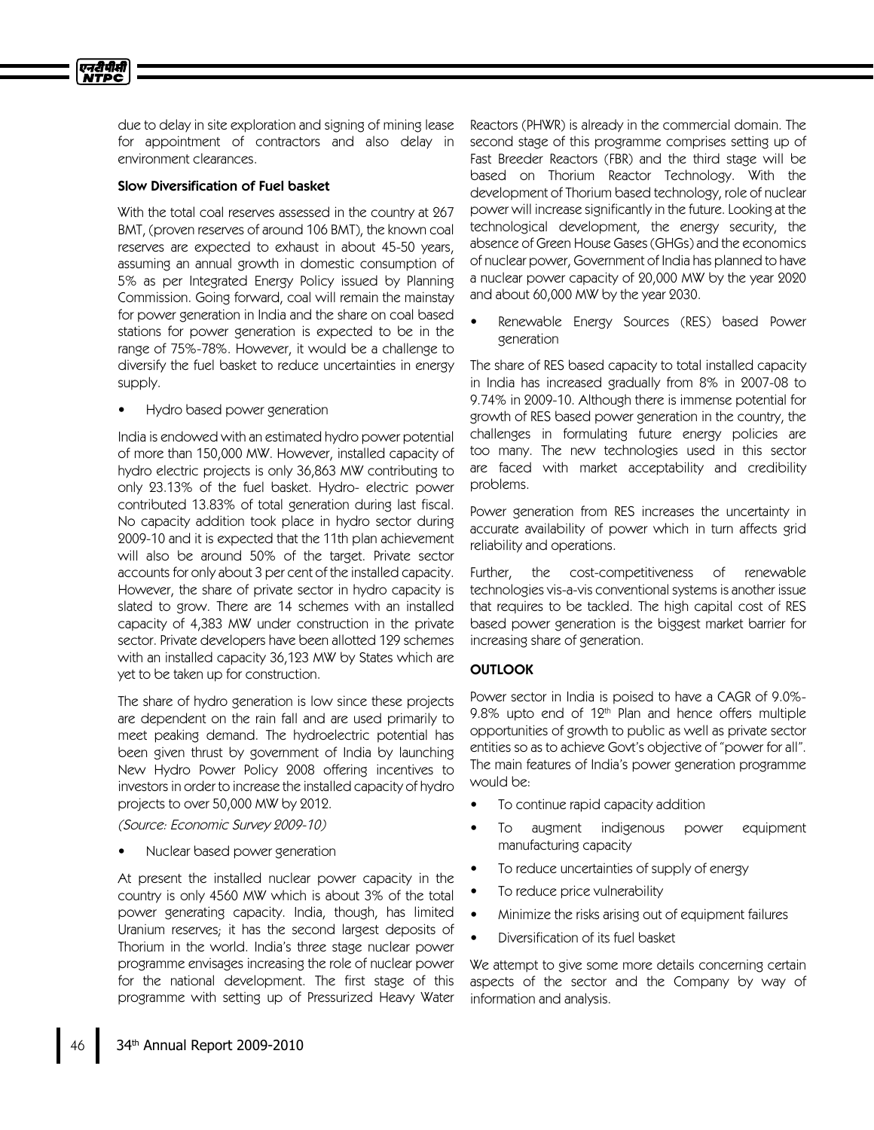due to delay in site exploration and signing of mining lease for appointment of contractors and also delay in environment clearances.

### Slow Diversification of Fuel basket

With the total coal reserves assessed in the country at 267 BMT, (proven reserves of around 106 BMT), the known coal reserves are expected to exhaust in about 45-50 years, assuming an annual growth in domestic consumption of 5% as per Integrated Energy Policy issued by Planning Commission. Going forward, coal will remain the mainstay for power generation in India and the share on coal based stations for power generation is expected to be in the range of 75%-78%. However, it would be a challenge to diversify the fuel basket to reduce uncertainties in energy supply.

• Hydro based power generation

India is endowed with an estimated hydro power potential of more than 150,000 MW. However, installed capacity of hydro electric projects is only 36,863 MW contributing to only 23.13% of the fuel basket. Hydro- electric power contributed 13.83% of total generation during last fiscal. No capacity addition took place in hydro sector during 2009-10 and it is expected that the 11th plan achievement will also be around 50% of the target. Private sector accounts for only about 3 per cent of the installed capacity. However, the share of private sector in hydro capacity is slated to grow. There are 14 schemes with an installed capacity of 4,383 MW under construction in the private sector. Private developers have been allotted 129 schemes with an installed capacity 36,123 MW by States which are yet to be taken up for construction.

The share of hydro generation is low since these projects are dependent on the rain fall and are used primarily to meet peaking demand. The hydroelectric potential has been given thrust by government of India by launching New Hydro Power Policy 2008 offering incentives to investors in order to increase the installed capacity of hydro projects to over 50,000 MW by 2012.

(Source: Economic Survey 2009-10)

• Nuclear based power generation

At present the installed nuclear power capacity in the country is only 4560 MW which is about 3% of the total power generating capacity. India, though, has limited Uranium reserves; it has the second largest deposits of Thorium in the world. India's three stage nuclear power programme envisages increasing the role of nuclear power for the national development. The first stage of this programme with setting up of Pressurized Heavy Water

Reactors (PHWR) is already in the commercial domain. The second stage of this programme comprises setting up of Fast Breeder Reactors (FBR) and the third stage will be based on Thorium Reactor Technology. With the development of Thorium based technology, role of nuclear power will increase significantly in the future. Looking at the technological development, the energy security, the absence of Green House Gases (GHGs) and the economics of nuclear power, Government of India has planned to have a nuclear power capacity of 20,000 MW by the year 2020 and about 60,000 MW by the year 2030.

Renewable Energy Sources (RES) based Power generation

The share of RES based capacity to total installed capacity in India has increased gradually from 8% in 2007-08 to 9.74% in 2009-10. Although there is immense potential for growth of RES based power generation in the country, the challenges in formulating future energy policies are too many. The new technologies used in this sector are faced with market acceptability and credibility problems.

Power generation from RES increases the uncertainty in accurate availability of power which in turn affects grid reliability and operations.

Further, the cost-competitiveness of renewable technologies vis-a-vis conventional systems is another issue that requires to be tackled. The high capital cost of RES based power generation is the biggest market barrier for increasing share of generation.

## **OUTLOOK**

Power sector in India is poised to have a CAGR of 9.0%- 9.8% upto end of  $12<sup>th</sup>$  Plan and hence offers multiple opportunities of growth to public as well as private sector entities so as to achieve Govt's objective of "power for all". The main features of India's power generation programme would be:

- To continue rapid capacity addition
- To augment indigenous power equipment manufacturing capacity
- To reduce uncertainties of supply of energy
- To reduce price vulnerability
- Minimize the risks arising out of equipment failures
- Diversification of its fuel basket

We attempt to give some more details concerning certain aspects of the sector and the Company by way of information and analysis.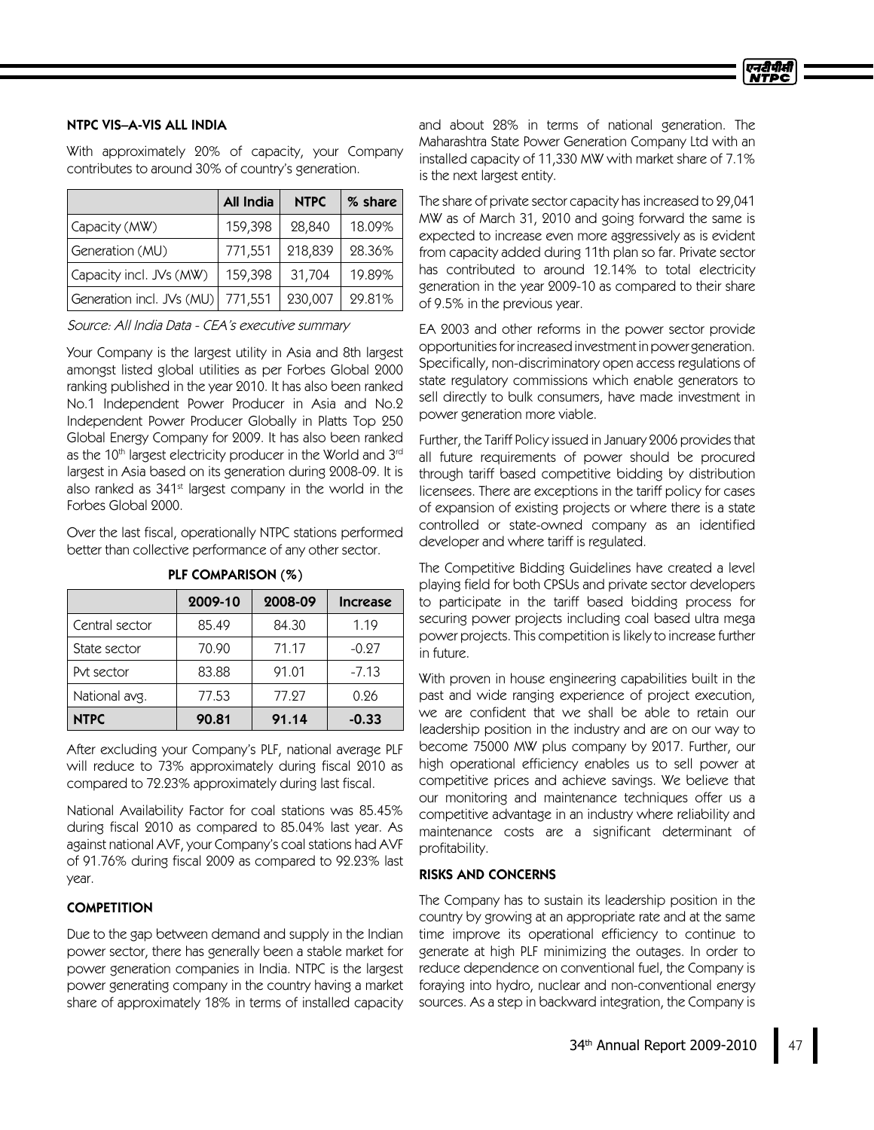## NTPC VIS–A-VIS ALL INDIA

With approximately 20% of capacity, your Company contributes to around 30% of country's generation.

|                                     | All India | <b>NTPC</b> | % share |
|-------------------------------------|-----------|-------------|---------|
| Capacity (MW)                       | 159,398   | 28,840      | 18.09%  |
| Generation (MU)                     | 771,551   | 218,839     | 28.36%  |
| Capacity incl. JVs (MW)             | 159,398   | 31,704      | 19.89%  |
| Generation incl. JVs (MU)   771,551 |           | 230,007     | 29.81%  |

Source: All India Data - CEA's executive summary

Your Company is the largest utility in Asia and 8th largest amongst listed global utilities as per Forbes Global 2000 ranking published in the year 2010. It has also been ranked No.1 Independent Power Producer in Asia and No.2 Independent Power Producer Globally in Platts Top 250 Global Energy Company for 2009. It has also been ranked as the 10th largest electricity producer in the World and 3rd largest in Asia based on its generation during 2008-09. It is also ranked as 341<sup>st</sup> largest company in the world in the Forbes Global 2000.

Over the last fiscal, operationally NTPC stations performed better than collective performance of any other sector.

|                | 2009-10 | 2008-09 | <b>Increase</b> |
|----------------|---------|---------|-----------------|
| Central sector | 85.49   | 84.30   | 1.19            |
| State sector   | 70.90   | 71.17   | $-0.27$         |
| Pvt sector     | 83.88   | 91.01   | $-7.13$         |
| National avg.  | 77.53   | 77.97   | 0.26            |
| <b>NTPC</b>    | 90.81   | 91.14   | $-0.33$         |

PLF COMPARISON (%)

After excluding your Company's PLF, national average PLF will reduce to 73% approximately during fiscal 2010 as compared to 72.23% approximately during last fiscal.

National Availability Factor for coal stations was 85.45% during fiscal 2010 as compared to 85.04% last year. As against national AVF, your Company's coal stations had AVF of 91.76% during fiscal 2009 as compared to 92.23% last year.

## **COMPETITION**

Due to the gap between demand and supply in the Indian power sector, there has generally been a stable market for power generation companies in India. NTPC is the largest power generating company in the country having a market share of approximately 18% in terms of installed capacity

and about 28% in terms of national generation. The Maharashtra State Power Generation Company Ltd with an installed capacity of 11,330 MW with market share of 7.1% is the next largest entity.

The share of private sector capacity has increased to 29,041 MW as of March 31, 2010 and going forward the same is expected to increase even more aggressively as is evident from capacity added during 11th plan so far. Private sector has contributed to around 12.14% to total electricity generation in the year 2009-10 as compared to their share of 9.5% in the previous year.

EA 2003 and other reforms in the power sector provide opportunitiesforincreasedinvestmentinpower generation. Specifically, non-discriminatory open access regulations of state regulatory commissions which enable generators to sell directly to bulk consumers, have made investment in power generation more viable.

Further, the Tariff Policy issued in January 2006 provides that all future requirements of power should be procured through tariff based competitive bidding by distribution licensees. There are exceptions in the tariff policy for cases of expansion of existing projects or where there is a state controlled or state-owned company as an identified developer and where tariff is regulated.

The Competitive Bidding Guidelines have created a level playing field for both CPSUs and private sector developers to participate in the tariff based bidding process for securing power projects including coal based ultra mega power projects. This competition is likely to increase further in future.

With proven in house engineering capabilities built in the past and wide ranging experience of project execution, we are confident that we shall be able to retain our leadership position in the industry and are on our way to become 75000 MW plus company by 2017. Further, our high operational efficiency enables us to sell power at competitive prices and achieve savings. We believe that our monitoring and maintenance techniques offer us a competitive advantage in an industry where reliability and maintenance costs are a significant determinant of profitability.

### RISKS AND CONCERNS

The Company has to sustain its leadership position in the country by growing at an appropriate rate and at the same time improve its operational efficiency to continue to generate at high PLF minimizing the outages. In order to reduce dependence on conventional fuel, the Company is foraying into hydro, nuclear and non-conventional energy sources. As a step in backward integration, the Company is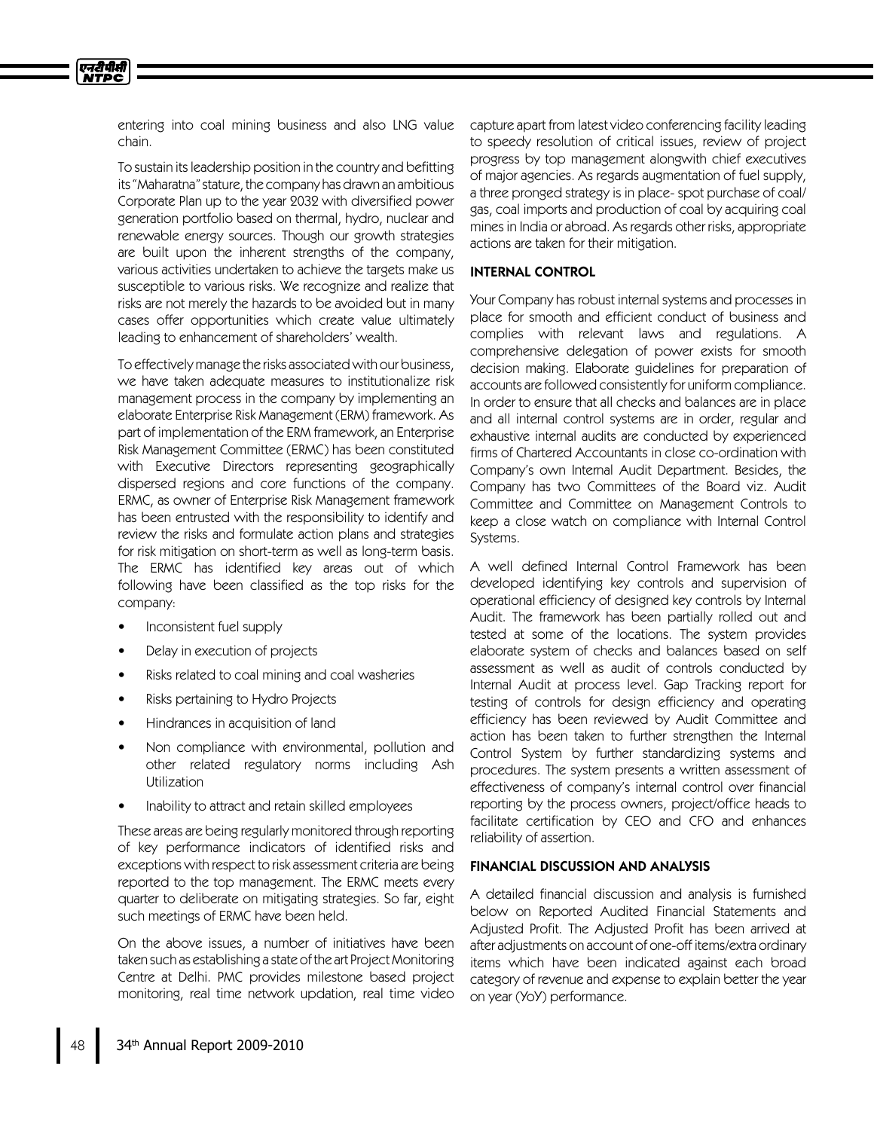entering into coal mining business and also LNG value chain.

एनटीपीसी **NTPC** 

> To sustain itsleadership position in the country and befitting its "Maharatna" stature, the company has drawn an ambitious Corporate Plan up to the year 2032 with diversified power generation portfolio based on thermal, hydro, nuclear and renewable energy sources. Though our growth strategies are built upon the inherent strengths of the company, various activities undertaken to achieve the targets make us susceptible to various risks. We recognize and realize that risks are not merely the hazards to be avoided but in many cases offer opportunities which create value ultimately leading to enhancement of shareholders'wealth.

> To effectively manage the risks associated with our business, we have taken adequate measures to institutionalize risk management process in the company by implementing an elaborate Enterprise Risk Management (ERM) framework. As part of implementation of the ERM framework, an Enterprise Risk Management Committee (ERMC) has been constituted with Executive Directors representing geographically dispersed regions and core functions of the company. ERMC, as owner of Enterprise Risk Management framework has been entrusted with the responsibility to identify and review the risks and formulate action plans and strategies for risk mitigation on short-term as well as long-term basis. The ERMC has identified key areas out of which following have been classified as the top risks for the company:

- Inconsistent fuel supply
- Delay in execution of projects
- Risks related to coal mining and coal washeries
- Risks pertaining to Hydro Projects
- Hindrances in acquisition of land
- Non compliance with environmental, pollution and other related regulatory norms including Ash Utilization
- Inability to attract and retain skilled employees

These areas are being regularly monitored through reporting of key performance indicators of identified risks and exceptions with respect to risk assessment criteria are being reported to the top management. The ERMC meets every quarter to deliberate on mitigating strategies. So far, eight such meetings of ERMC have been held.

On the above issues, a number of initiatives have been taken such as establishing a state of the art Project Monitoring Centre at Delhi. PMC provides milestone based project monitoring, real time network updation, real time video capture apart from latest video conferencing facility leading to speedy resolution of critical issues, review of project progress by top management alongwith chief executives of major agencies. As regards augmentation of fuel supply, a three pronged strategy is in place- spot purchase of coal/ gas, coal imports and production of coal by acquiring coal mines in India or abroad. As regards other risks, appropriate actions are taken for their mitigation.

#### INTERNAL CONTROL

Your Company has robust internal systems and processes in place for smooth and efficient conduct of business and complies with relevant laws and regulations. A comprehensive delegation of power exists for smooth decision making. Elaborate guidelines for preparation of accounts are followed consistently for uniform compliance. In order to ensure that all checks and balances are in place and all internal control systems are in order, regular and exhaustive internal audits are conducted by experienced firms of Chartered Accountants in close co-ordination with Company's own Internal Audit Department. Besides, the Company has two Committees of the Board viz. Audit Committee and Committee on Management Controls to keep a close watch on compliance with Internal Control Systems.

A well defined Internal Control Framework has been developed identifying key controls and supervision of operational efficiency of designed key controls by Internal Audit. The framework has been partially rolled out and tested at some of the locations. The system provides elaborate system of checks and balances based on self assessment as well as audit of controls conducted by Internal Audit at process level. Gap Tracking report for testing of controls for design efficiency and operating efficiency has been reviewed by Audit Committee and action has been taken to further strengthen the Internal Control System by further standardizing systems and procedures. The system presents a written assessment of effectiveness of company's internal control over financial reporting by the process owners, project/office heads to facilitate certification by CEO and CFO and enhances reliability of assertion.

### FINANCIAL DISCUSSION AND ANALYSIS

A detailed financial discussion and analysis is furnished below on Reported Audited Financial Statements and Adjusted Profit. The Adjusted Profit has been arrived at after adjustments on account of one-off items/extra ordinary items which have been indicated against each broad category of revenue and expense to explain better the year on year (YoY) performance.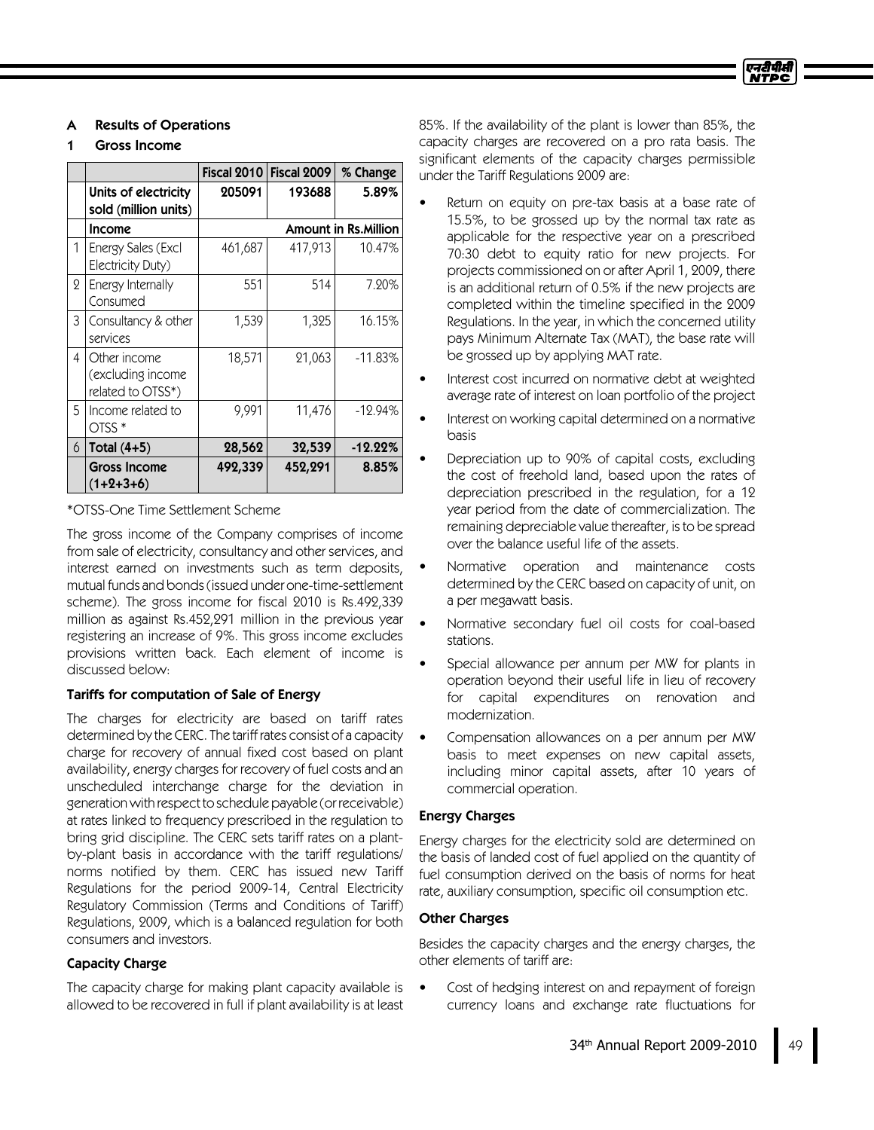## **Results of Operations**

### Gross Income

|                |                                                        | <b>Fiscal 2010</b> | Fiscal 2009 | % Change                    |
|----------------|--------------------------------------------------------|--------------------|-------------|-----------------------------|
|                | Units of electricity<br>sold (million units)           | 205091             | 193688      | 5.89%                       |
|                | <b>Income</b>                                          |                    |             | <b>Amount in Rs.Million</b> |
| 1              | Energy Sales (Excl<br>Electricity Duty)                | 461,687            | 417,913     | 10.47%                      |
| $\overline{2}$ | Energy Internally<br>Consumed                          | 551                | 514         | 7.20%                       |
| 3              | Consultancy & other<br>services                        | 1,539              | 1,325       | 16.15%                      |
| 4              | Other income<br>(excluding income<br>related to OTSS*) | 18,571             | 21,063      | $-11.83%$                   |
| 5              | Income related to<br>$OTSS*$                           | 9,991              | 11,476      | $-12.94%$                   |
| 6              | Total $(4+5)$                                          | 28,562             | 32,539      | $-12.22%$                   |
|                | <b>Gross Income</b><br>(1+2+3+6)                       | 492,339            | 452,291     | 8.85%                       |

## \*OTSS-One Time Settlement Scheme

The gross income of the Company comprises of income from sale of electricity, consultancy and other services, and interest earned on investments such as term deposits, mutual funds and bonds(issued under one-time-settlement scheme). The gross income for fiscal 2010 is Rs.492,339 million as against Rs.452,291 million in the previous year registering an increase of 9%. This gross income excludes provisions written back. Each element of income is discussed below:

## Tariffs for computation of Sale of Energy

The charges for electricity are based on tariff rates determined by the CERC. The tariff rates consist of a capacity charge for recovery of annual fixed cost based on plant availability, energy charges for recovery of fuel costs and an unscheduled interchange charge for the deviation in generation with respect to schedule payable (or receivable) at rates linked to frequency prescribed in the regulation to bring grid discipline. The CERC sets tariff rates on a plantby-plant basis in accordance with the tariff regulations/ norms notified by them. CERC has issued new Tariff Regulations for the period 2009-14, Central Electricity Regulatory Commission (Terms and Conditions of Tariff) Regulations, 2009, which is a balanced regulation for both consumers and investors.

## **Capacity Charge**

The capacity charge for making plant capacity available is allowed to be recovered in full if plant availability is at least

85%. If the availability of the plant is lower than 85%, the capacity charges are recovered on a pro rata basis. The significant elements of the capacity charges permissible under the Tariff Regulations 2009 are:

- Return on equity on pre-tax basis at a base rate of 15.5%, to be grossed up by the normal tax rate as applicable for the respective year on a prescribed 70:30 debt to equity ratio for new projects. For projects commissioned on or after April 1, 2009, there is an additional return of 0.5% if the new projects are completed within the timeline specified in the 2009 Regulations. In the year, in which the concerned utility pays Minimum Alternate Tax (MAT), the base rate will be grossed up by applying MAT rate.
- Interest cost incurred on normative debt at weighted average rate of interest on loan portfolio of the project
- Interest on working capital determined on a normative basis
- Depreciation up to 90% of capital costs, excluding the cost of freehold land, based upon the rates of depreciation prescribed in the regulation, for a 12 year period from the date of commercialization. The remaining depreciable value thereafter, isto be spread over the balance useful life of the assets.
- Normative operation and maintenance costs determined by the CERC based on capacity of unit, on a per megawatt basis.
- Normative secondary fuel oil costs for coal-based stations.
- Special allowance per annum per MW for plants in operation beyond their useful life in lieu of recovery for capital expenditures on renovation and modernization.
- Compensation allowances on a per annum per MW basis to meet expenses on new capital assets, including minor capital assets, after 10 years of commercial operation.

## EnergyCharges

Energy charges for the electricity sold are determined on the basis of landed cost of fuel applied on the quantity of fuel consumption derived on the basis of norms for heat rate, auxiliary consumption, specific oil consumption etc.

## **Other Charges**

Besides the capacity charges and the energy charges, the other elements of tariff are:

• Cost of hedging interest on and repayment of foreign currency loans and exchange rate fluctuations for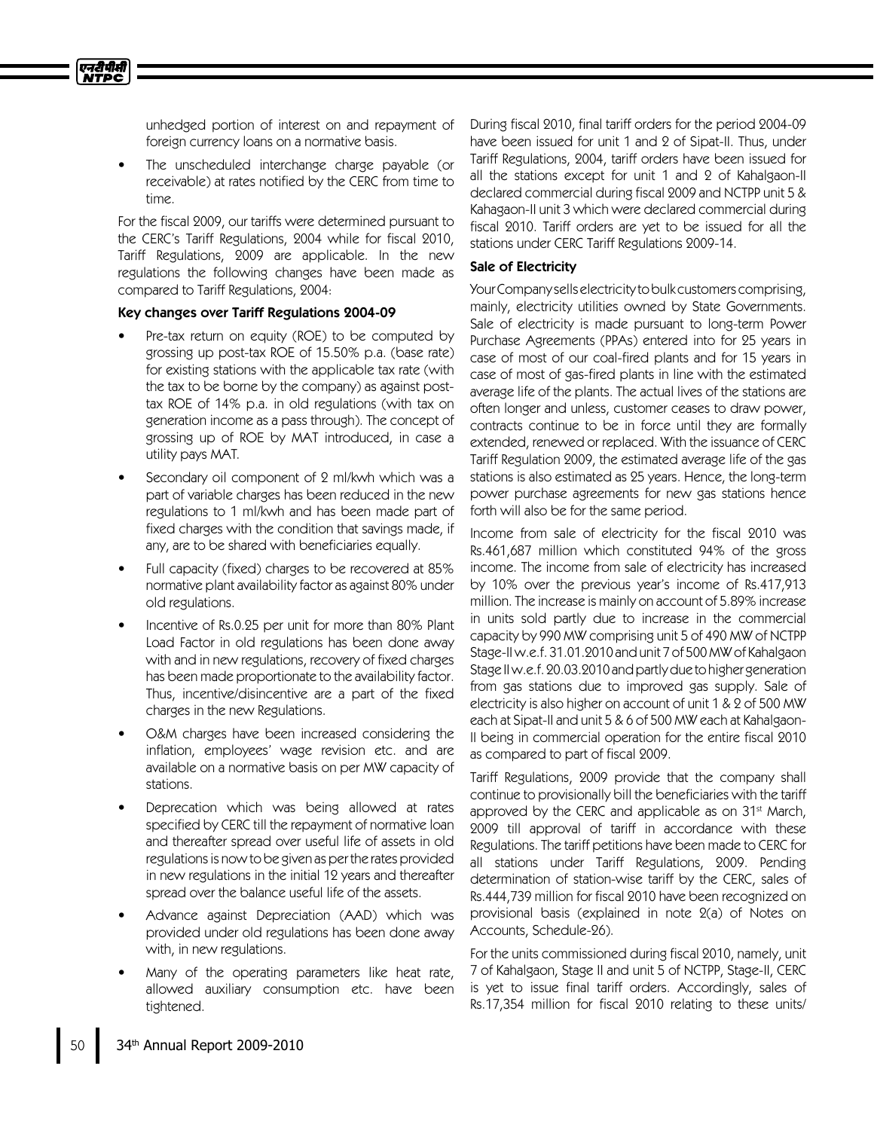एनटीपीसी **NTPC** 

> unhedged portion of interest on and repayment of foreign currency loans on a normative basis.

The unscheduled interchange charge payable (or receivable) at rates notified by the CERC from time to time.

For the fiscal 2009, our tariffs were determined pursuant to the CERC's Tariff Regulations, 2004 while for fiscal 2010, Tariff Regulations, 2009 are applicable. In the new regulations the following changes have been made as compared to Tariff Regulations, 2004:

### Key changes over Tariff Regulations 2004-09

- Pre-tax return on equity (ROE) to be computed by grossing up post-tax ROE of 15.50% p.a. (base rate) for existing stations with the applicable tax rate (with the tax to be borne by the company) as against posttax ROE of 14% p.a. in old regulations (with tax on generation income as a pass through). The concept of grossing up of ROE by MAT introduced, in case a utility pays MAT.
- Secondary oil component of 2 ml/kwh which was a part of variable charges has been reduced in the new regulations to 1 ml/kwh and has been made part of fixed charges with the condition that savings made, if any, are to be shared with beneficiaries equally.
- Full capacity (fixed) charges to be recovered at 85% normative plant availability factor as against 80% under old regulations.
- Incentive of Rs.0.25 per unit for more than 80% Plant Load Factor in old regulations has been done away with and in new regulations, recovery of fixed charges has been made proportionate to the availability factor. Thus, incentive/disincentive are a part of the fixed charges in the new Regulations.
- O&M charges have been increased considering the inflation, employees'wage revision etc. and are available on a normative basis on per MW capacity of stations.
- Deprecation which was being allowed at rates specified by CERC till the repayment of normative loan and thereafter spread over useful life of assets in old regulations is now to be given as per the rates provided in new regulations in the initial 12 years and thereafter spread over the balance useful life of the assets.
- Advance against Depreciation (AAD) which was provided under old regulations has been done away with, in new regulations.
- Many of the operating parameters like heat rate, allowed auxiliary consumption etc. have been tightened.

During fiscal 2010, final tariff orders for the period 2004-09 have been issued for unit 1 and 2 of Sipat-II. Thus, under Tariff Regulations, 2004, tariff orders have been issued for all the stations except for unit 1 and 2 of Kahalgaon-II declared commercial during fiscal 2009 and NCTPP unit 5 & Kahagaon-II unit 3 which were declared commercial during fiscal 2010. Tariff orders are yet to be issued for all the stations under CERC Tariff Regulations 2009-14.

## Sale of Electricity

Your Company sells electricity to bulk customers comprising, mainly, electricity utilities owned by State Governments. Sale of electricity is made pursuant to long-term Power Purchase Agreements (PPAs) entered into for 25 years in case of most of our coal-fired plants and for 15 years in case of most of gas-fired plants in line with the estimated average life of the plants. The actual lives of the stations are often longer and unless, customer ceases to draw power, contracts continue to be in force until they are formally extended, renewed or replaced. With the issuance of CERC Tariff Regulation 2009, the estimated average life of the gas stations is also estimated as 25 years. Hence, the long-term power purchase agreements for new gas stations hence forth will also be for the same period.

Income from sale of electricity for the fiscal 2010 was Rs.461,687 million which constituted 94% of the gross income. The income from sale of electricity has increased by 10% over the previous year's income of Rs.417,913 million. The increase is mainly on account of 5.89% increase in units sold partly due to increase in the commercial capacity by 990 MW comprising unit 5 of 490 MW of NCTPP Stage-II w.e.f. 31.01.2010 and unit 7 of 500 MW of Kahalgaon Stage II w.e.f. 20.03.2010 and partly due to higher generation from gas stations due to improved gas supply. Sale of electricity is also higher on account of unit 1 &2 of 500 MW each at Sipat-II and unit 5 & 6 of 500 MW each at Kahalgaon-II being in commercial operation for the entire fiscal 2010 as compared to part of fiscal 2009.

Tariff Regulations, 2009 provide that the company shall continue to provisionally bill the beneficiaries with the tariff approved by the CERC and applicable as on 31<sup>st</sup> March, 2009 till approval of tariff in accordance with these Regulations. The tariff petitions have been made to CERC for all stations under Tariff Regulations, 2009. Pending determination of station-wise tariff by the CERC, sales of Rs.444,739 million for fiscal 2010 have been recognized on provisional basis (explained in note 2(a) of Notes on Accounts, Schedule-26).

For the units commissioned during fiscal 2010, namely, unit 7 of Kahalgaon, Stage II and unit 5 of NCTPP, Stage-II, CERC is yet to issue final tariff orders. Accordingly, sales of Rs.17,354 million for fiscal 2010 relating to these units/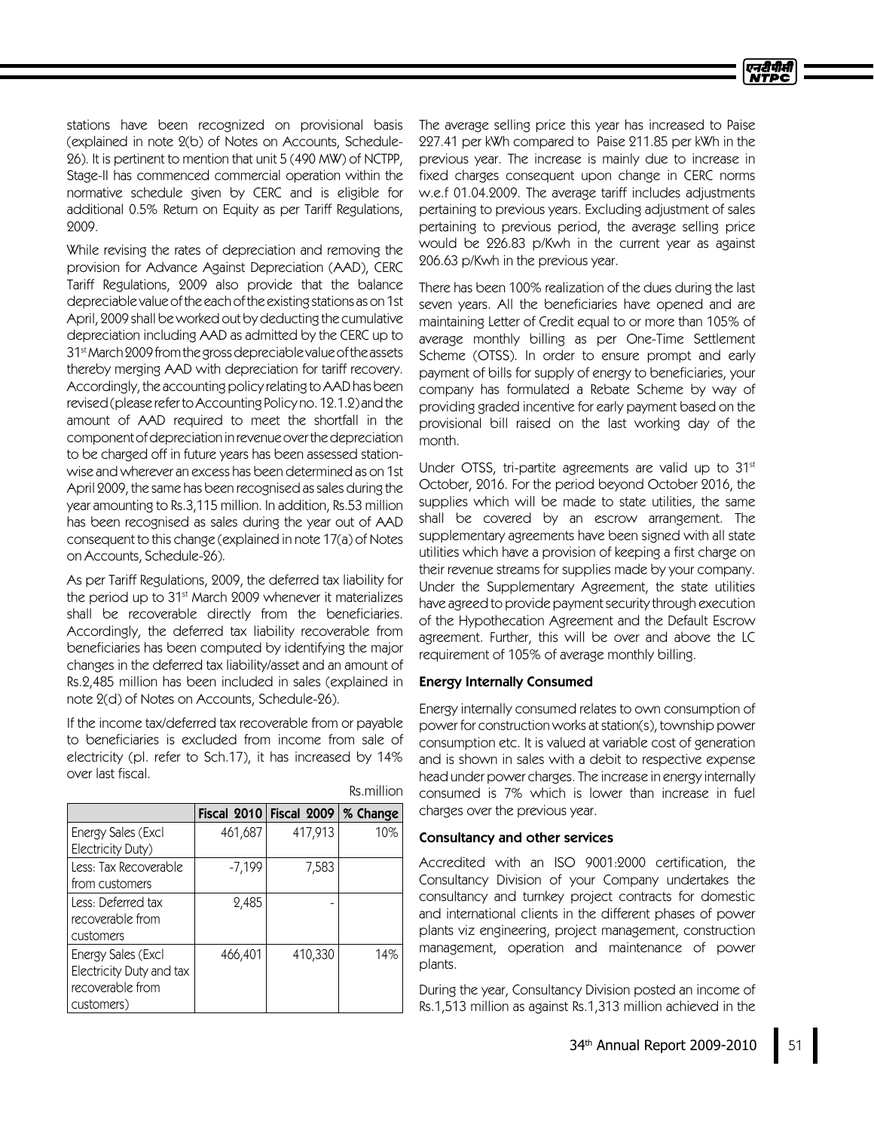stations have been recognized on provisional basis (explained in note 2(b) of Notes on Accounts, Schedule-26). It is pertinent to mention that unit 5 (490 MW) of NCTPP, Stage-II has commenced commercial operation within the normative schedule given by CERC and is eligible for additional 0.5% Return on Equity as per Tariff Regulations, 2009.

While revising the rates of depreciation and removing the provision for Advance Against Depreciation (AAD), CERC Tariff Regulations, 2009 also provide that the balance depreciable value of the each of the existing stations as on 1st April, 2009 shall be worked out by deducting the cumulative depreciation including AADas admitted by the CERC up to 31 stMarch2009fromthegrossdepreciablevalueoftheassets thereby merging AAD with depreciation for tariff recovery. Accordingly, the accounting policy relating to AAD has been revised (please refer to Accounting Policy no. 12.1.2) and the amount of AAD required to meet the shortfall in the component of depreciation in revenue over the depreciation to be charged off in future years has been assessed stationwise and wherever an excess has been determined as on 1st April 2009, the same has been recognised assales during the year amounting to Rs.3,115 million. In addition, Rs.53 million has been recognised as sales during the year out of AAD consequent to this change (explained in note 17(a) of Notes on Accounts, Schedule-26).

As per Tariff Regulations, 2009, the deferred tax liability for the period up to 31st March 2009 whenever it materializes shall be recoverable directly from the beneficiaries. Accordingly, the deferred tax liability recoverable from beneficiaries has been computed by identifying the major changes in the deferred tax liability/asset and an amount of Rs.2,485 million has been included in sales (explained in note 2(d) of Notes on Accounts, Schedule-26).

If the income tax/deferred tax recoverable from or payable to beneficiaries is excluded from income from sale of electricity (pl. refer to Sch.17), it has increased by 14% over last fiscal.

|                          |          | Fiscal $2010$ Fiscal $2009$ % Change |     |
|--------------------------|----------|--------------------------------------|-----|
| Energy Sales (Excl       | 461,687  | 417,913                              | 10% |
| Electricity Duty)        |          |                                      |     |
| Less: Tax Recoverable    | $-7,199$ | 7,583                                |     |
| from customers           |          |                                      |     |
| Less: Deferred tax       | 2,485    |                                      |     |
| recoverable from         |          |                                      |     |
| customers                |          |                                      |     |
| Energy Sales (Excl       | 466,401  | 410,330                              | 14% |
| Electricity Duty and tax |          |                                      |     |
| recoverable from         |          |                                      |     |
| customers)               |          |                                      |     |

Rs.million

The average selling price this year has increased to Paise 227.41 per kWh compared to Paise 211.85 per kWh in the previous year. The increase is mainly due to increase in fixed charges consequent upon change in CERC norms w.e.f 01.04.2009. The average tariff includes adjustments pertaining to previous years. Excluding adjustment of sales pertaining to previous period, the average selling price would be 226.83 p/Kwh in the current year as against 206.63 p/Kwh in the previous year.

There has been 100% realization of the dues during the last seven years. All the beneficiaries have opened and are maintaining Letter of Credit equal to or more than 105% of average monthly billing as per One-Time Settlement Scheme (OTSS). In order to ensure prompt and early payment of bills for supply of energy to beneficiaries, your company has formulated a Rebate Scheme by way of providing graded incentive for early payment based on the provisional bill raised on the last working day of the month.

Under OTSS, tri-partite agreements are valid up to 31st October, 2016. For the period beyond October 2016, the supplies which will be made to state utilities, the same shall be covered by an escrow arrangement. The supplementary agreements have been signed with all state utilities which have a provision of keeping a first charge on their revenue streams for supplies made by your company. Under the Supplementary Agreement, the state utilities have agreed to provide payment security through execution of the Hypothecation Agreement and the Default Escrow agreement. Further, this will be over and above the LC requirement of 105% of average monthly billing.

### Energy Internally Consumed

Energy internally consumed relates to own consumption of power for construction works atstation(s), township power consumption etc. It is valued at variable cost of generation and is shown in sales with a debit to respective expense head under power charges. The increase in energy internally consumed is 7% which is lower than increase in fuel charges over the previous year.

### Consultancy and other services

Accredited with an ISO 9001:2000 certification, the Consultancy Division of your Company undertakes the consultancy and turnkey project contracts for domestic and international clients in the different phases of power plants viz engineering, project management, construction management, operation and maintenance of power plants.

During the year, Consultancy Division posted an income of Rs.1,513 million as against Rs.1,313 million achieved in the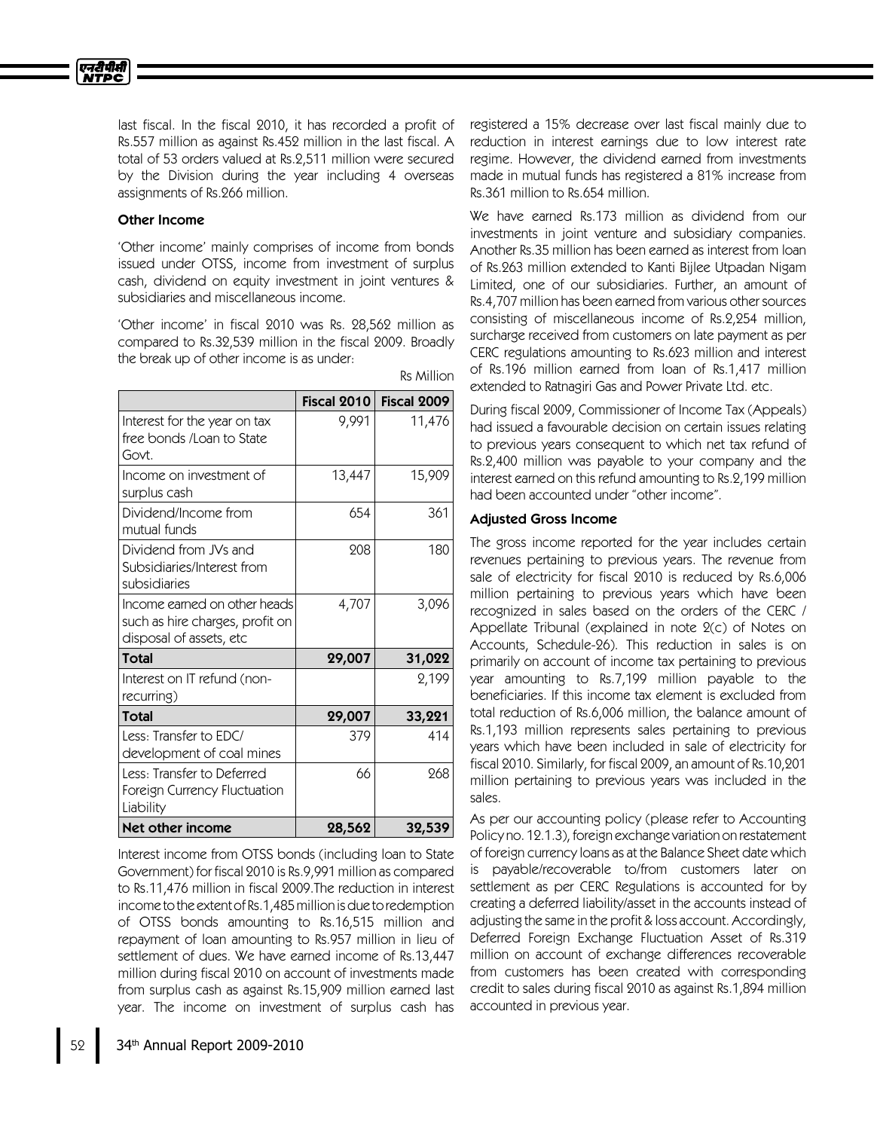

last fiscal. In the fiscal 2010, it has recorded a profit of Rs.557 million as against Rs.452 million in the last fiscal. A total of 53 orders valued at Rs.2,511 million were secured by the Division during the year including 4 overseas assignments of Rs.266 million.

## Other Income

'Other income'mainly comprises of income from bonds issued under OTSS, income from investment of surplus cash, dividend on equity investment in joint ventures & subsidiaries and miscellaneous income.

'Other income'in fiscal 2010 was Rs. 28,562 million as compared to Rs.32,539 million in the fiscal 2009. Broadly the break up of other income is as under:

|                                                                                            | <b>Fiscal 2010</b> | Fiscal 2009 |
|--------------------------------------------------------------------------------------------|--------------------|-------------|
| Interest for the year on tax<br>free bonds /Loan to State<br>Govt.                         | 9,991              | 11,476      |
| Income on investment of<br>surplus cash                                                    | 13,447             | 15,909      |
| Dividend/Income from<br>mutual funds                                                       | 654                | 361         |
| Dividend from JVs and<br>Subsidiaries/Interest from<br>subsidiaries                        | 208                | 180         |
| Income earned on other heads<br>such as hire charges, profit on<br>disposal of assets, etc | 4,707              | 3,096       |
| <b>Total</b>                                                                               | 29,007             | 31,022      |
| Interest on IT refund (non-<br>recurring)                                                  |                    | 2,199       |
| <b>Total</b>                                                                               | 29,007             | 33,221      |
| Less: Transfer to EDC/<br>development of coal mines                                        | 379                | 414         |
| Less: Transfer to Deferred<br>Foreign Currency Fluctuation<br>Liability                    | 66                 | 268         |
| Net other income                                                                           | 28,562             | 32,539      |

Interest income from OTSS bonds (including loan to State Government) for fiscal 2010 is Rs.9,991 million as compared to Rs.11,476 million in fiscal 2009.The reduction in interest income to the extent of Rs.1,485 million is due to redemption of OTSS bonds amounting to Rs.16,515 million and repayment of loan amounting to Rs.957 million in lieu of settlement of dues. We have earned income of Rs.13,447 million during fiscal 2010 on account of investments made from surplus cash as against Rs.15,909 million earned last year. The income on investment of surplus cash has

registered a 15% decrease over last fiscal mainly due to reduction in interest earnings due to low interest rate regime. However, the dividend earned from investments made in mutual funds has registered a 81% increase from Rs.361 million to Rs.654million.

We have earned Rs.173 million as dividend from our investments in joint venture and subsidiary companies. Another Rs.35 million has been earned as interest from loan of Rs.263 million extended to Kanti Bijlee Utpadan Nigam Limited, one of our subsidiaries. Further, an amount of Rs.4,707 million has been earned from various other sources consisting of miscellaneous income of Rs.2,254 million, surcharge received from customers on late payment as per CERC regulations amounting to Rs.623 million and interest of Rs.196 million earned from loan of Rs.1,417 million extended to Ratnagiri Gas and Power Private Ltd. etc.

During fiscal 2009, Commissioner of Income Tax (Appeals) had issued a favourable decision on certain issues relating to previous years consequent to which net tax refund of Rs.2,400 million was payable to your company and the interest earned on this refund amounting to Rs.2,199 million had been accounted under "other income".

#### Adjusted Gross Income

Rs Million

The gross income reported for the year includes certain revenues pertaining to previous years. The revenue from sale of electricity for fiscal 2010 is reduced by Rs.6,006 million pertaining to previous years which have been recognized in sales based on the orders of the CERC / Appellate Tribunal (explained in note 2(c) of Notes on Accounts, Schedule-26). This reduction in sales is on primarily on account of income tax pertaining to previous year amounting to Rs.7,199 million payable to the beneficiaries. If this income tax element is excluded from total reduction of Rs.6,006 million, the balance amount of Rs.1,193 million represents sales pertaining to previous years which have been included in sale of electricity for fiscal 2010. Similarly, for fiscal 2009, an amount of Rs.10,201 million pertaining to previous years was included in the sales.

As per our accounting policy (please refer to Accounting Policy no. 12.1.3), foreign exchange variation on restatement of foreign currency loans as at the Balance Sheet date which is payable/recoverable to/from customers later on settlement as per CERC Regulations is accounted for by creating a deferred liability/asset in the accounts instead of adjusting the same in the profit & loss account. Accordingly, Deferred Foreign Exchange Fluctuation Asset of Rs.319 million on account of exchange differences recoverable from customers has been created with corresponding credit to sales during fiscal 2010 as against Rs.1,894million accounted in previous year.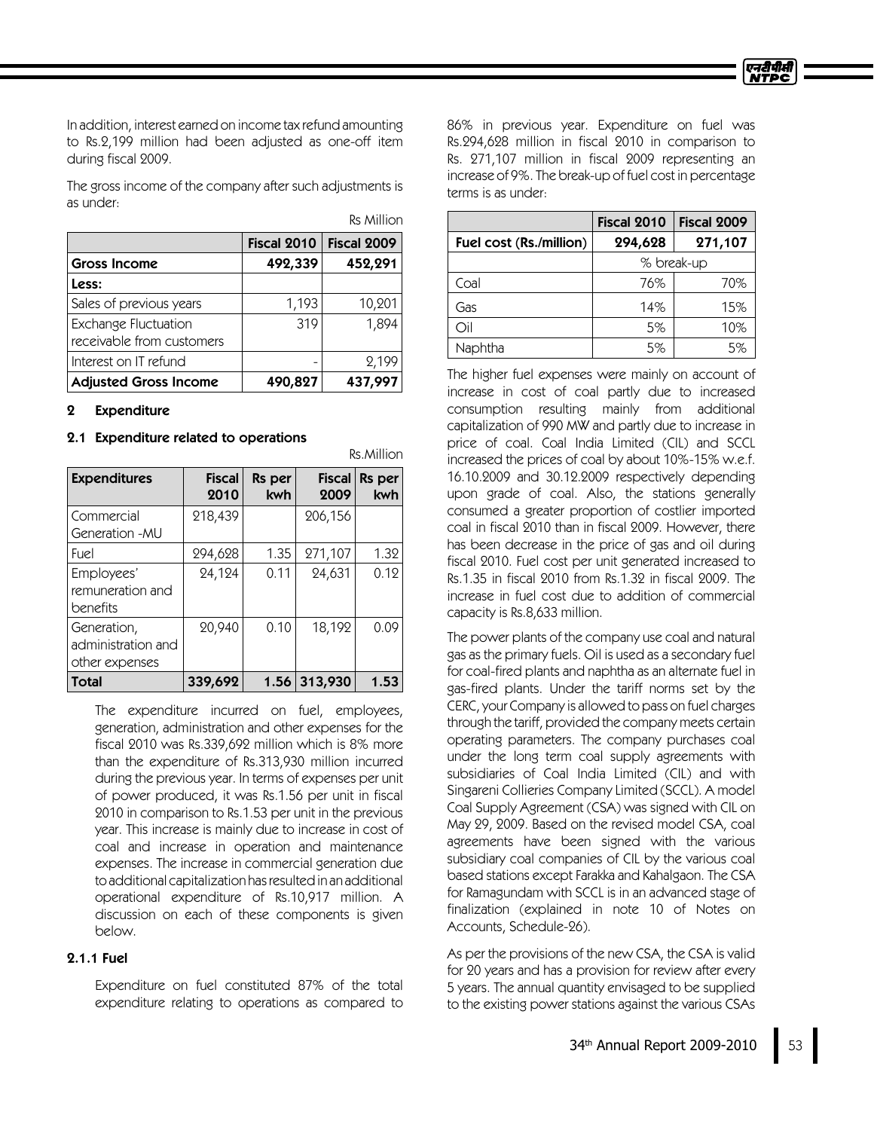In addition, interest earned on income tax refund amounting to Rs.2,199 million had been adjusted as one-off item during fiscal 2009.

The gross income of the company after such adjustments is as under:

|                                                   |             | <b>Rs Million</b> |
|---------------------------------------------------|-------------|-------------------|
|                                                   | Fiscal 2010 | Fiscal 2009       |
| <b>Gross Income</b>                               | 492,339     | 452,291           |
| Less:                                             |             |                   |
| Sales of previous years                           | 1,193       | 10,201            |
| Exchange Fluctuation<br>receivable from customers | 319         | 1,894             |
| Interest on IT refund                             |             | 2,199             |
| <b>Adjusted Gross Income</b>                      | 490,827     | 437,997           |

## 2 Expenditure

### 2.1 Expenditure related to operations

| <b>Expenditures</b>                                 | <b>Fiscal</b><br>2010 | Rs per<br>kwh | <b>Fiscal</b><br>2009 | Rs per<br>kwh |
|-----------------------------------------------------|-----------------------|---------------|-----------------------|---------------|
| Commercial<br>Generation - MU                       | 218,439               |               | 206,156               |               |
| Fuel                                                | 294,628               | 1.35          | 271,107               | 1.32          |
| Employees'<br>remuneration and<br>benefits          | 24,124                | 0.11          | 24,631                | 0.12          |
| Generation,<br>administration and<br>other expenses | 20,940                | 0.10          | 18,192                | 0.09          |
| Total                                               | 339,692               | 1.56          | 313,930               | 1.53          |

Rs.Million

The expenditure incurred on fuel, employees, generation, administration and other expenses for the fiscal 2010 was Rs.339,692 million which is 8% more than the expenditure of Rs.313,930 million incurred during the previous year. In terms of expenses per unit of power produced, it was Rs.1.56 per unit in fiscal 2010 in comparison to Rs.1.53 per unit in the previous year. This increase is mainly due to increase in cost of coal and increase in operation and maintenance expenses. The increase in commercial generation due to additional capitalization hasresultedin an additional operational expenditure of Rs.10,917 million. A discussion on each of these components is given below.

## 2.1.1Fuel

Expenditure on fuel constituted 87% of the total expenditure relating to operations as compared to 86% in previous year. Expenditure on fuel was Rs.294,628 million in fiscal 2010 in comparison to Rs. 271,107 million in fiscal 2009 representing an increase of 9%. The break-up of fuel cost in percentage terms is as under:

|                         | Fiscal 2010 | Fiscal 2009 |
|-------------------------|-------------|-------------|
| Fuel cost (Rs./million) | 294,628     | 271,107     |
|                         | % break-up  |             |
| Coal                    | 76%         | 70%         |
| Gas                     | 14%         | 15%         |
| Oil                     | 5%          | 10%         |
| Naphtha                 | 5%          | 5%          |

The higher fuel expenses were mainly on account of increase in cost of coal partly due to increased consumption resulting mainly from additional capitalization of 990 MW and partly due to increase in price of coal. Coal India Limited (CIL) and SCCL increased the prices of coal by about 10%-15% w.e.f. 16.10.2009 and 30.12.2009 respectively depending upon grade of coal. Also, the stations generally consumed a greater proportion of costlier imported coal in fiscal 2010 than in fiscal 2009. However, there has been decrease in the price of gas and oil during fiscal 2010. Fuel cost per unit generated increased to Rs.1.35 in fiscal 2010 from Rs.1.32 in fiscal 2009. The increase in fuel cost due to addition of commercial capacity is Rs.8,633 million.

The power plants of the company use coal and natural gas as the primary fuels. Oil is used as a secondary fuel for coal-fired plants and naphtha as an alternate fuel in gas-fired plants. Under the tariff norms set by the CERC, your Company is allowed to pass on fuel charges through the tariff, provided the company meets certain operating parameters. The company purchases coal under the long term coal supply agreements with subsidiaries of Coal India Limited (CIL) and with Singareni Collieries Company Limited (SCCL). A model Coal Supply Agreement (CSA) was signed with CILon May 29, 2009. Based on the revised model CSA, coal agreements have been signed with the various subsidiary coal companies of CIL by the various coal based stations except Farakka and Kahalgaon. The CSA for Ramagundam with SCCL is in an advanced stage of finalization (explained in note 10 of Notes on Accounts, Schedule-26).

As per the provisions of the new CSA, the CSA is valid for 20 years and has a provision for review after every 5 years. The annual quantity envisaged to be supplied to the existing power stations against the various CSAs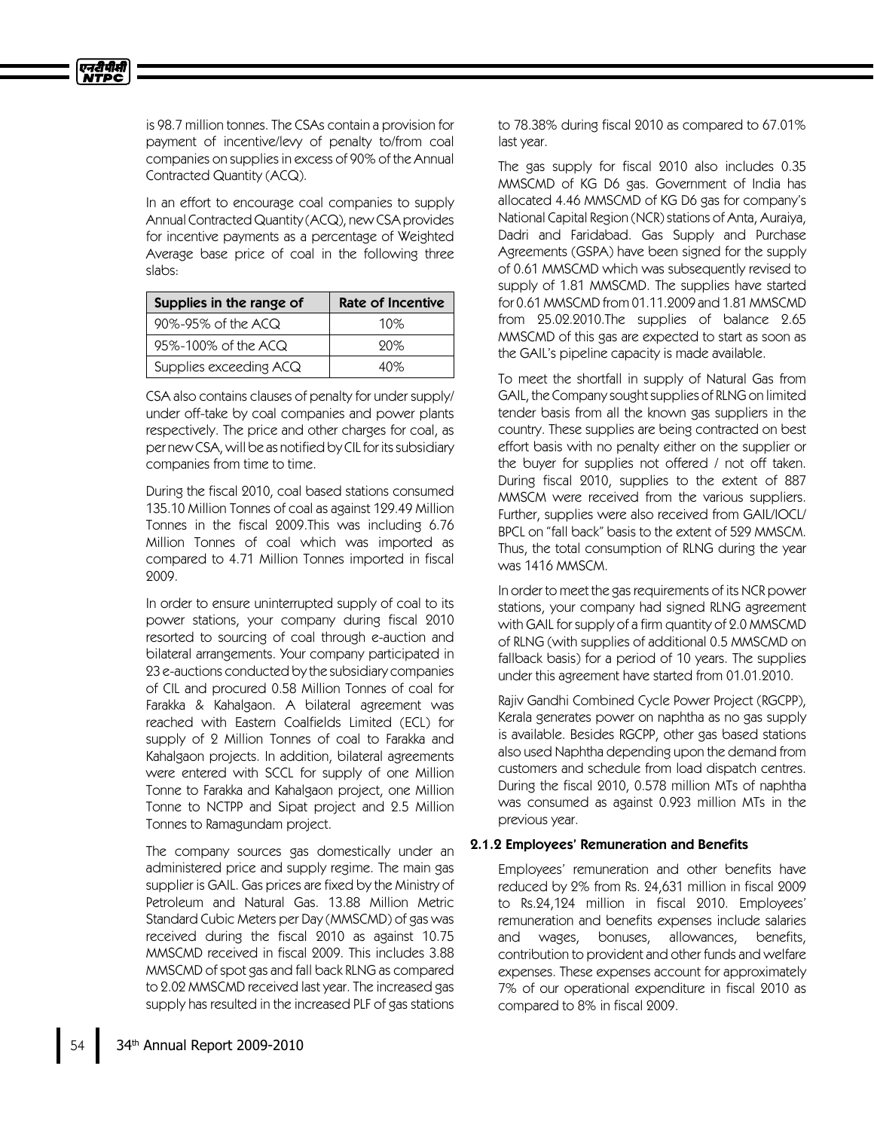

is 98.7 million tonnes. The CSAs contain a provision for payment of incentive/levy of penalty to/from coal companies on supplies in excess of 90% of the Annual Contracted Quantity (ACQ).

In an effort to encourage coal companies to supply Annual Contracted Quantity (ACQ), new CSA provides for incentive payments as a percentage of Weighted Average base price of coal in the following three slabs:

| Supplies in the range of | <b>Rate of Incentive</b> |
|--------------------------|--------------------------|
| 90%-95% of the ACQ       | 10%                      |
| 95%-100% of the ACQ      | 90%                      |
| Supplies exceeding ACQ   | 40%                      |

CSA also contains clauses of penalty for under supply/ under off-take by coal companies and power plants respectively. The price and other charges for coal, as per new CSA, will be as notified by CIL for its subsidiary companies from time to time.

During the fiscal 2010, coal based stations consumed 135.10 Million Tonnes of coal as against 129.49 Million Tonnes in the fiscal 2009.This was including 6.76 Million Tonnes of coal which was imported as compared to 4.71 Million Tonnes imported in fiscal 2009.

In order to ensure uninterrupted supply of coal to its power stations, your company during fiscal 2010 resorted to sourcing of coal through e-auction and bilateral arrangements. Your company participated in 23 e-auctions conducted by the subsidiary companies of CILand procured 0.58 Million Tonnes of coal for Farakka & Kahalgaon. A bilateral agreement was reached with Eastern Coalfields Limited (ECL) for supply of 2 Million Tonnes of coal to Farakka and Kahalgaon projects. In addition, bilateral agreements were entered with SCCL for supply of one Million Tonne to Farakka and Kahalgaon project, one Million Tonne to NCTPP and Sipat project and 2.5 Million Tonnes to Ramagundam project.

The company sources gas domestically under an administered price and supply regime. The main gas supplier is GAIL. Gas prices are fixed by the Ministry of Petroleum and Natural Gas. 13.88 Million Metric Standard Cubic Meters per Day (MMSCMD) of gas was received during the fiscal 2010 as against 10.75 MMSCMD received in fiscal 2009. This includes 3.88 MMSCMDof spot gas and fall back RLNG as compared to 2.02 MMSCMD received last year. The increased gas supply has resulted in the increased PLF of gas stations

to 78.38% during fiscal 2010 as compared to 67.01% last year.

The gas supply for fiscal 2010 also includes 0.35 MMSCMD of KG D6 gas. Government of India has allocated 4.46 MMSCMD of KG D6 gas for company's National Capital Region (NCR) stations of Anta, Auraiya, Dadri and Faridabad. Gas Supply and Purchase Agreements (GSPA) have been signed for the supply of 0.61 MMSCMDwhich was subsequently revised to supply of 1.81 MMSCMD. The supplies have started for 0.61 MMSCMD from 01.11.2009 and 1.81 MMSCMD from 25.02.2010.The supplies of balance 2.65 MMSCMD of this gas are expected to start as soon as the GAIL's pipeline capacity is made available.

To meet the shortfall in supply of Natural Gas from GAIL, the Company sought supplies of RLNG on limited tender basis from all the known gas suppliers in the country. These supplies are being contracted on best effort basis with no penalty either on the supplier or the buyer for supplies not offered / not off taken. During fiscal 2010, supplies to the extent of 887 MMSCM were received from the various suppliers. Further, supplies were also received from GAIL/IOCL/ BPCL on "fall back" basis to the extent of 529 MMSCM. Thus, the total consumption of RLNG during the year was 1416 MMSCM.

In order to meet the gas requirements of its NCR power stations, your company had signed RLNG agreement with GAIL for supply of a firm quantity of 2.0 MMSCMD of RLNG (with supplies of additional 0.5 MMSCMD on fallback basis) for a period of 10 years. The supplies under this agreement have started from 01.01.2010.

Rajiv Gandhi Combined Cycle Power Project (RGCPP), Kerala generates power on naphtha as no gas supply is available. Besides RGCPP, other gas based stations also used Naphtha depending upon the demand from customers and schedule from load dispatch centres. During the fiscal 2010, 0.578 million MTs of naphtha was consumed as against 0.923 million MTs in the previous year.

## 2.1.2 Employees' Remuneration and Benefits

Employees' remuneration and other benefits have reduced by 2% from Rs. 24,631 million in fiscal 2009 to Rs.24,124 million in fiscal 2010. Employees' remuneration and benefits expenses include salaries and wages, bonuses, allowances, benefits, contribution to provident and other funds and welfare expenses. These expenses account for approximately 7% of our operational expenditure in fiscal 2010 as compared to 8% in fiscal 2009.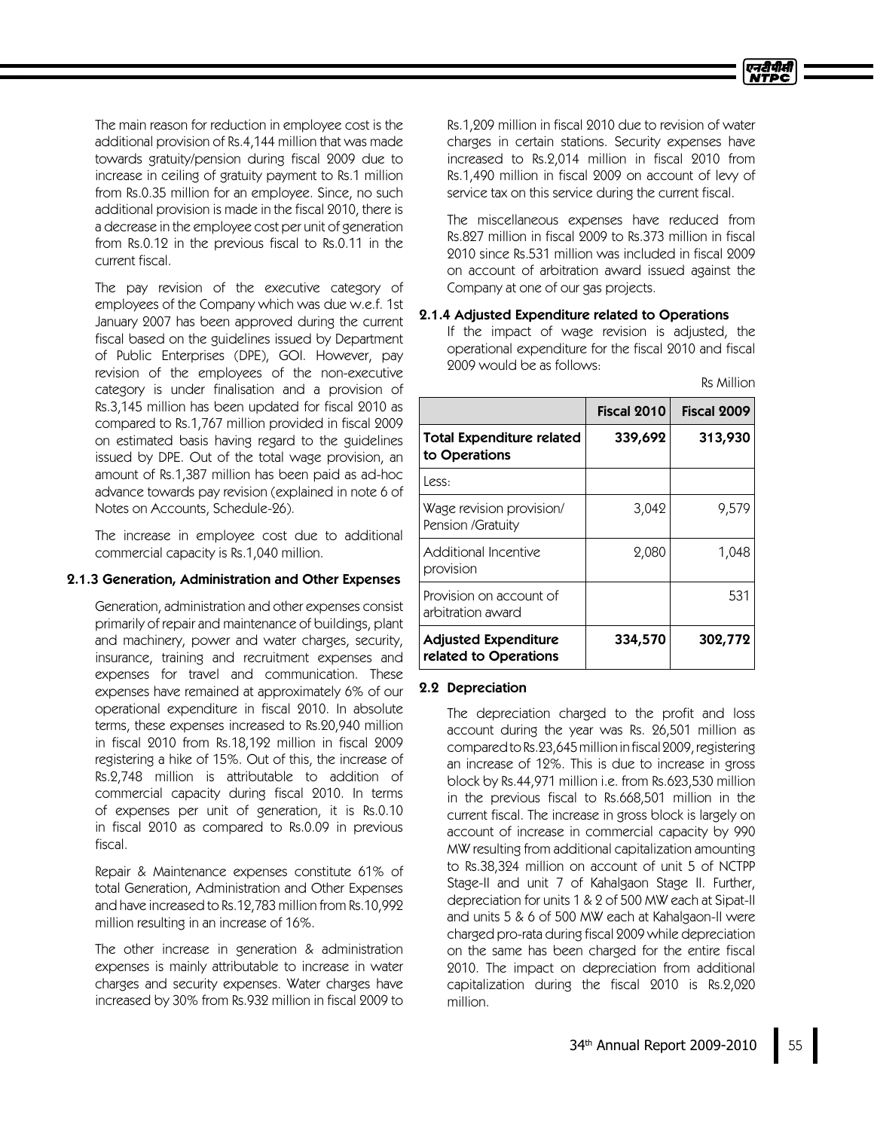

The main reason for reduction in employee cost is the additional provision of Rs.4,144million that was made towards gratuity/pension during fiscal 2009 due to increase in ceiling of gratuity payment to Rs.1 million from Rs.0.35 million for an employee. Since, no such additional provision is made in the fiscal 2010, there is a decrease in the employee cost per unit of generation from Rs.0.12 in the previous fiscal to Rs.0.11 in the current fiscal.

The pay revision of the executive category of employees of the Company which was due w.e.f. 1st January 2007 has been approved during the current fiscal based on the guidelines issued by Department of Public Enterprises (DPE), GOI. However, pay revision of the employees of the non-executive category is under finalisation and a provision of Rs.3,145 million has been updated for fiscal 2010 as compared to Rs.1,767 million provided in fiscal 2009 on estimated basis having regard to the guidelines issued by DPE. Out of the total wage provision, an amount of Rs.1,387 million has been paid as ad-hoc advance towards pay revision (explained in note 6 of Notes on Accounts, Schedule-26).

The increase in employee cost due to additional commercial capacity is Rs.1,040 million.

## 2.1.3 Generation, Administration and Other Expenses

Generation, administration and other expenses consist primarily of repair and maintenance of buildings, plant and machinery, power and water charges, security, insurance, training and recruitment expenses and expenses for travel and communication. These expenses have remained at approximately 6% of our operational expenditure in fiscal 2010. In absolute terms, these expenses increased to Rs.20,940 million in fiscal 2010 from Rs.18,192 million in fiscal 2009 registering a hike of 15%. Out of this, the increase of Rs.2,748 million is attributable to addition of commercial capacity during fiscal 2010. In terms of expenses per unit of generation, it is Rs.0.10 in fiscal 2010 as compared to Rs.0.09 in previous fiscal.

Repair & Maintenance expenses constitute 61% of total Generation, Administration and Other Expenses and have increased to Rs.12,783 million from Rs.10,992 million resulting in an increase of 16%.

The other increase in generation & administration expenses is mainly attributable to increase in water charges and security expenses. Water charges have increased by 30% from Rs.932 million in fiscal 2009 to Rs.1,209 million in fiscal 2010 due to revision of water charges in certain stations. Security expenses have increased to Rs.2,014 million in fiscal 2010 from Rs.1,490 million in fiscal 2009 on account of levy of service tax on this service during the current fiscal.

The miscellaneous expenses have reduced from Rs.827 million in fiscal 2009 to Rs.373 million in fiscal 2010 since Rs.531 million was included in fiscal 2009 on account of arbitration award issued against the Company at one of our gas projects.

### 2.1.4 Adjusted Expenditure related to Operations

If the impact of wage revision is adjusted, the operational expenditure for the fiscal 2010 and fiscal 2009 would be as follows:

|  | Rs Million |
|--|------------|
|  |            |

|                                                      | Fiscal 2010 | Fiscal 2009 |
|------------------------------------------------------|-------------|-------------|
| <b>Total Expenditure related</b><br>to Operations    | 339,692     | 313,930     |
| Less:                                                |             |             |
| Wage revision provision/<br>Pension /Gratuity        | 3,042       | 9,579       |
| <b>Additional Incentive</b><br>provision             | 2,080       | 1,048       |
| Provision on account of<br>arbitration award         |             | 531         |
| <b>Adjusted Expenditure</b><br>related to Operations | 334,570     | 302,772     |

### 2.2 Depreciation

The depreciation charged to the profit and loss account during the year was Rs. 26,501 million as comparedtoRs.23,645million in fiscal 2009,registering an increase of 12%. This is due to increase in gross block by Rs.44,971 million i.e. from Rs.623,530 million in the previous fiscal to Rs.668,501 million in the current fiscal. The increase in gross block is largely on account of increase in commercial capacity by 990 MW resulting from additional capitalization amounting to Rs.38,324 million on account of unit 5 of NCTPP Stage-II and unit 7 of Kahalgaon Stage II. Further, depreciation for units 1 &2 of 500 MW each at Sipat-II and units 5 & 6 of 500 MW each at Kahalgaon-II were charged pro-rata during fiscal 2009 while depreciation on the same has been charged for the entire fiscal 2010. The impact on depreciation from additional capitalization during the fiscal 2010 is Rs.2,020 million.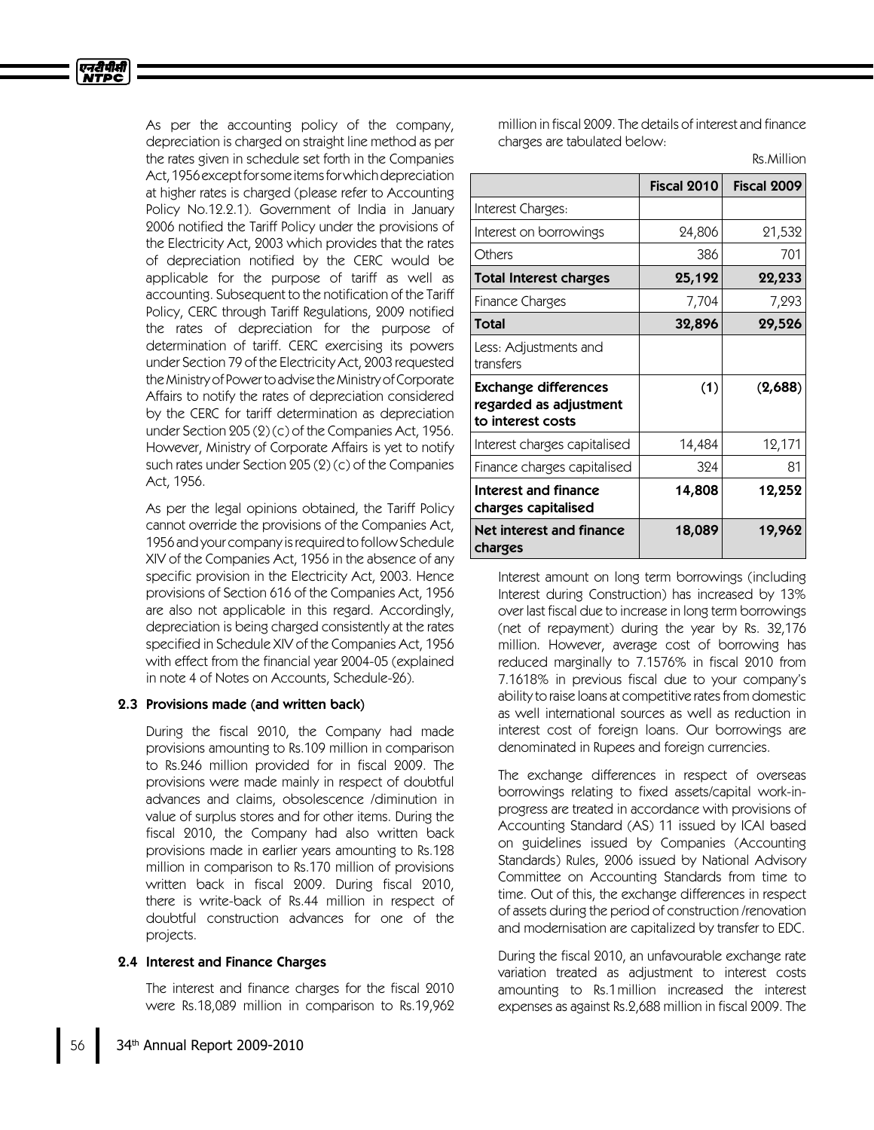एनटीपीसी **NTPC** 

> As per the accounting policy of the company, depreciation is charged on straight line method as per the rates given in schedule set forth in the Companies Act,1956exceptforsomeitemsforwhichdepreciation at higher rates is charged (please refer to Accounting Policy No.12.2.1). Government of India in January 2006 notified the Tariff Policy under the provisions of the Electricity Act, 2003 which provides that the rates of depreciation notified by the CERC would be applicable for the purpose of tariff as well as accounting. Subsequent to the notification of the Tariff Policy, CERC through Tariff Regulations, 2009 notified the rates of depreciation for the purpose of determination of tariff. CERC exercising its powers under Section 79 of the Electricity Act, 2003 requested theMinistryof Powertoadvise theMinistryofCorporate Affairs to notify the rates of depreciation considered by the CERC for tariff determination as depreciation under Section 205 (2) (c) of the Companies Act, 1956. However, Ministry of Corporate Affairs is yet to notify such rates under Section 205 (2) (c) of the Companies Act, 1956.

> As per the legal opinions obtained, the Tariff Policy cannot override the provisions of the Companies Act, 1956 and your company is required to follow Schedule XIV of the Companies Act, 1956 in the absence of any specific provision in the Electricity Act, 2003. Hence provisions of Section 616 of the Companies Act, 1956 are also not applicable in this regard. Accordingly, depreciation is being charged consistently at the rates specified in Schedule XIV of the Companies Act, 1956 with effect from the financial year 2004-05 (explained in note 4 of Notes on Accounts, Schedule-26).

### 2.3 Provisions made (and written back)

During the fiscal 2010, the Company had made provisions amounting to Rs.109 million in comparison to Rs.246 million provided for in fiscal 2009. The provisions were made mainly in respect of doubtful advances and claims, obsolescence /diminution in value of surplus stores and for other items. During the fiscal 2010, the Company had also written back provisions made in earlier years amounting to Rs.128 million in comparison to Rs.170 million of provisions written back in fiscal 2009. During fiscal 2010, there is write-back of Rs.44 million in respect of doubtful construction advances for one of the projects.

### 2.4 Interest and Finance Charges

The interest and finance charges for the fiscal 2010 were Rs.18,089 million in comparison to Rs.19,962 million in fiscal 2009. The details of interest and finance charges are tabulated below:

Rs.Million

|                                                                            | Fiscal 2010 | Fiscal 2009 |
|----------------------------------------------------------------------------|-------------|-------------|
| Interest Charges:                                                          |             |             |
| Interest on borrowings                                                     | 24,806      | 21,532      |
| Others                                                                     | 386         | 701         |
| <b>Total Interest charges</b>                                              | 25,192      | 22,233      |
| Finance Charges                                                            | 7,704       | 7,293       |
| <b>Total</b>                                                               | 32,896      | 29,526      |
| Less: Adjustments and<br>transfers                                         |             |             |
| <b>Exchange differences</b><br>regarded as adjustment<br>to interest costs | (1)         | (2,688)     |
| Interest charges capitalised                                               | 14,484      | 12,171      |
| Finance charges capitalised                                                | 324         | 81          |
| Interest and finance<br>charges capitalised                                | 14,808      | 12,252      |
| Net interest and finance<br>charges                                        | 18,089      | 19,962      |

Interest amount on long term borrowings (including Interest during Construction) has increased by 13% over last fiscal due to increase in long term borrowings (net of repayment) during the year by Rs. 32,176 million. However, average cost of borrowing has reduced marginally to 7.1576% in fiscal 2010 from 7.1618% in previous fiscal due to your company's ability to raise loans at competitive rates from domestic as well international sources as well as reduction in interest cost of foreign loans. Our borrowings are denominated in Rupees and foreign currencies.

The exchange differences in respect of overseas borrowings relating to fixed assets/capital work-inprogress are treated in accordance with provisions of Accounting Standard (AS) 11 issued by ICAI based on guidelines issued by Companies (Accounting Standards) Rules, 2006 issued by National Advisory Committee on Accounting Standards from time to time. Out of this, the exchange differences in respect of assets during the period of construction /renovation and modernisation are capitalized by transfer to EDC.

During the fiscal 2010, an unfavourable exchange rate variation treated as adjustment to interest costs amounting to Rs.1million increased the interest expenses as against Rs.2,688 million in fiscal 2009. The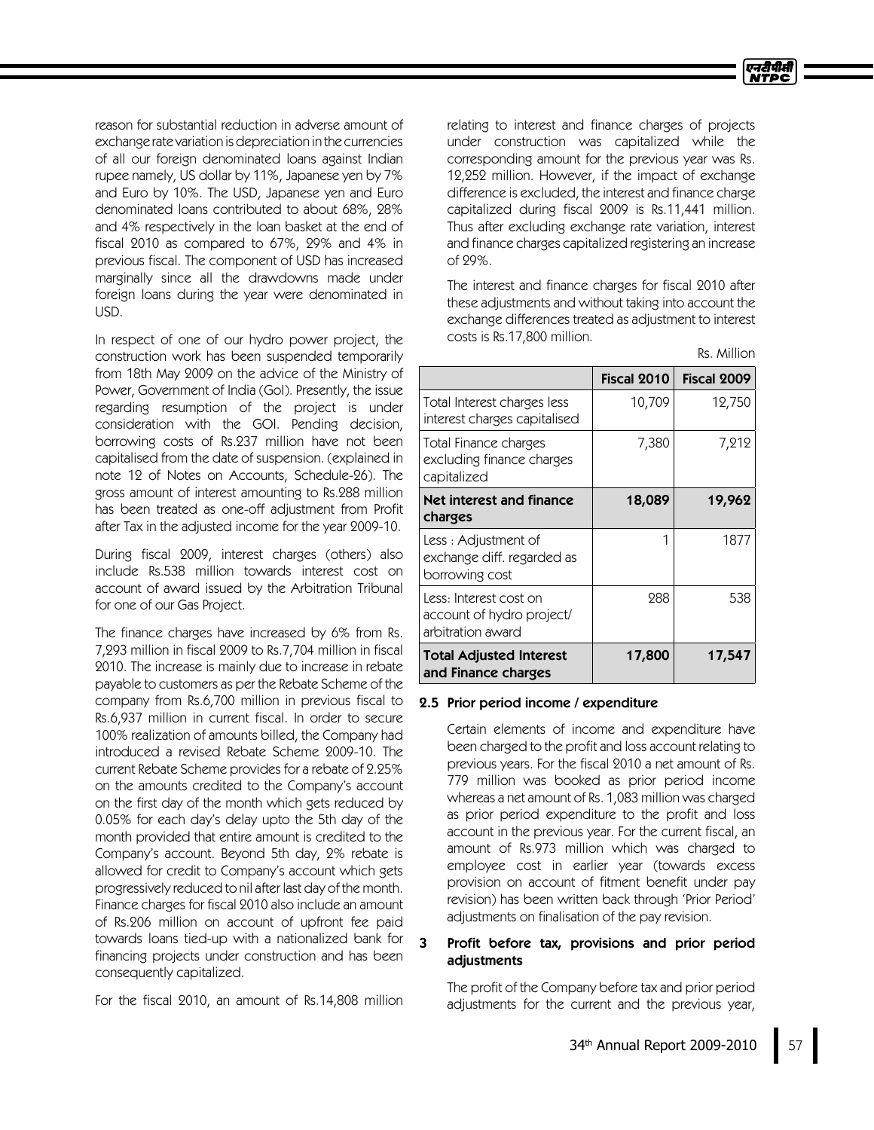Rs. Million

reason for substantial reduction in adverse amount of exchange rate variation isdepreciation in the currencies of all our foreign denominated loans against Indian rupee namely, US dollar by 11%, Japanese yen by 7% and Euro by 10%. The USD, Japanese yen and Euro denominated loans contributed to about 68%, 28% and 4% respectively in the loan basket at the end of fiscal 2010 as compared to 67%, 29% and 4% in previous fiscal. The component of USD has increased marginally since all the drawdowns made under foreign loans during the year were denominated in USD.

In respect of one of our hydro power project, the construction work has been suspended temporarily from 18th May 2009 on the advice of the Ministry of Power, Government of India (GoI). Presently, the issue regarding resumption of the project is under consideration with the GOI. Pending decision, borrowing costs of Rs.237 million have not been capitalised from the date of suspension. (explained in note 12 of Notes on Accounts, Schedule-26). The gross amount of interest amounting to Rs.288 million has been treated as one-off adjustment from Profit after Tax in the adjusted income for the year 2009-10.

During fiscal 2009, interest charges (others) also include Rs.538 million towards interest cost on account of award issued by the Arbitration Tribunal for one of our Gas Project.

The finance charges have increased by 6% from Rs. 7,293 million in fiscal 2009 to Rs.7,704million in fiscal 2010. The increase is mainly due to increase in rebate payable to customers as per the Rebate Scheme of the company from Rs.6,700 million in previous fiscal to Rs.6,937 million in current fiscal. In order to secure 100% realization of amounts billed, the Company had introduced a revised Rebate Scheme 2009-10. The current Rebate Scheme provides for a rebate of 2.25% on the amounts credited to the Company's account on the first day of the month which gets reduced by 0.05% for each day's delay upto the 5th day of the month provided that entire amount is credited to the Company's account. Beyond 5th day, 2% rebate is allowed for credit to Company's account which gets progressively reduced to nil after last day of the month. Finance charges for fiscal 2010 also include an amount of Rs.206 million on account of upfront fee paid towards loans tied-up with a nationalized bank for financing projects under construction and has been consequently capitalized.

For the fiscal 2010, an amount of Rs.14,808 million

relating to interest and finance charges of projects under construction was capitalized while the corresponding amount for the previous year was Rs. 12,252 million. However, if the impact of exchange difference is excluded, the interest and finance charge capitalized during fiscal 2009 is Rs.11,441 million. Thus after excluding exchange rate variation, interest and finance charges capitalized registering an increase of 29%.

The interest and finance charges for fiscal 2010 after these adjustments and without taking into account the exchange differences treated as adjustment to interest costs is Rs.17,800 million.

|                                                                          | Fiscal 2010 | Fiscal 2009 |
|--------------------------------------------------------------------------|-------------|-------------|
| Total Interest charges less<br>interest charges capitalised              | 10,709      | 12,750      |
| Total Finance charges<br>excluding finance charges<br>capitalized        | 7,380       | 7,212       |
| Net interest and finance<br>charges                                      | 18,089      | 19,962      |
| Less : Adjustment of<br>exchange diff. regarded as<br>borrowing cost     | 1           | 1877        |
| Less: Interest cost on<br>account of hydro project/<br>arbitration award | 288         | 538         |
| <b>Total Adjusted Interest</b><br>and Finance charges                    | 17,800      | 17,547      |

### 2.5 Prior period income / expenditure

Certain elements of income and expenditure have been charged to the profit and loss account relating to previous years. For the fiscal 2010 a net amount of Rs. 779 million was booked as prior period income whereas a net amount of Rs. 1,083 million was charged as prior period expenditure to the profit and loss account in the previous year. For the current fiscal, an amount of Rs.973 million which was charged to employee cost in earlier year (towards excess provision on account of fitment benefit under pay revision) has been written back through 'Prior Period' adjustments on finalisation of the pay revision.

## 3 Profit before tax, provisions and prior period adjustments

The profit of the Company before tax and prior period adjustments for the current and the previous year,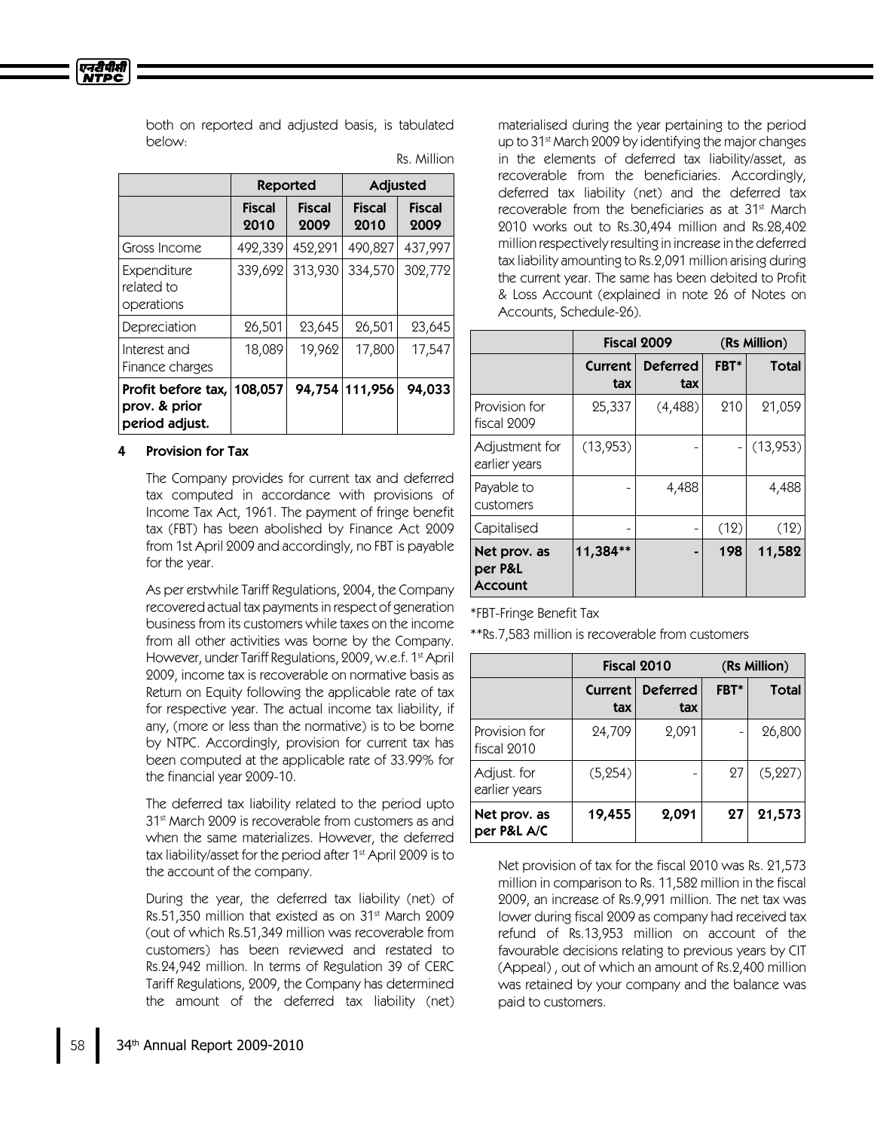एनटीपीसी **NTPC** 

> both on reported and adjusted basis, is tabulated below:

|                                                       | <b>Reported</b>       |                       | <b>Adjusted</b>       |                       |
|-------------------------------------------------------|-----------------------|-----------------------|-----------------------|-----------------------|
|                                                       | <b>Fiscal</b><br>2010 | <b>Fiscal</b><br>2009 | <b>Fiscal</b><br>2010 | <b>Fiscal</b><br>2009 |
| Gross Income                                          | 492,339               | 452,291               | 490,827               | 437,997               |
| Expenditure<br>related to<br>operations               | 339,692               | 313,930               | 334,570               | 302,772               |
| Depreciation                                          | 26,501                | 23,645                | 26,501                | 23,645                |
| Interest and<br>Finance charges                       | 18,089                | 19,962                | 17,800                | 17,547                |
| Profit before tax,<br>prov. & prior<br>period adjust. | 108,057               |                       | 94,754 111,956        | 94,033                |

Rs. Million

## 4 Provision for Tax

The Company provides for current tax and deferred tax computed in accordance with provisions of Income Tax Act, 1961. The payment of fringe benefit tax (FBT) has been abolished by Finance Act 2009 from 1st April 2009 and accordingly, no FBT is payable for the year.

As per erstwhile Tariff Regulations, 2004, the Company recovered actual tax payments in respect of generation business from its customers while taxes on the income from all other activities was borne by the Company. However, under Tariff Regulations, 2009, w.e.f. 1 st April 2009, income tax is recoverable on normative basis as Return on Equity following the applicable rate of tax for respective year. The actual income tax liability, if any, (more or less than the normative) is to be borne by NTPC. Accordingly, provision for current tax has been computed at the applicable rate of 33.99% for the financial year 2009-10.

The deferred tax liability related to the period upto 31 st March 2009 is recoverable from customers as and when the same materializes. However, the deferred tax liability/asset for the period after 1<sup>st</sup> April 2009 is to the account of the company.

During the year, the deferred tax liability (net) of Rs.51,350 million that existed as on 31 $\mathrm{^{st}}$  March 2009 (out of which Rs.51,349 million was recoverable from customers) has been reviewed and restated to Rs.24,942 million. In terms of Regulation 39 of CERC Tariff Regulations, 2009, the Company has determined the amount of the deferred tax liability (net)

materialised during the year pertaining to the period up to 31<sup>st</sup> March 2009 by identifying the major changes in the elements of deferred tax liability/asset, as recoverable from the beneficiaries. Accordingly, deferred tax liability (net) and the deferred tax recoverable from the beneficiaries as at 31<sup>st</sup> March 2010 works out to Rs.30,494 million and Rs.28,402 million respectively resulting in increase in the deferred tax liability amounting to Rs.2,091 million arising during the current year. The same has been debited to Profit & Loss Account (explained in note 26 of Notes on Accounts, Schedule-26).

|                                           | Fiscal 2009           |                        |      | (Rs Million) |
|-------------------------------------------|-----------------------|------------------------|------|--------------|
|                                           | <b>Current</b><br>tax | <b>Deferred</b><br>tax | FBT* | <b>Total</b> |
| Provision for<br>fiscal 2009              | 25,337                | (4,488)                | 210  | 21,059       |
| Adjustment for<br>earlier years           | (13,953)              |                        |      | (13, 953)    |
| Payable to<br>customers                   |                       | 4,488                  |      | 4,488        |
| Capitalised                               |                       |                        | (12) | (12)         |
| Net prov. as<br>per P&L<br><b>Account</b> | 11,384**              |                        | 198  | 11,582       |

\*FBT-Fringe Benefit Tax

\*\*Rs.7,583 million is recoverable from customers

|                              | Fiscal 2010    |                        | (Rs Million) |              |
|------------------------------|----------------|------------------------|--------------|--------------|
|                              | Current<br>tax | <b>Deferred</b><br>tax | FBT*         | <b>Total</b> |
| Provision for<br>fiscal 2010 | 24,709         | 2,091                  |              | 26,800       |
| Adjust. for<br>earlier years | (5, 254)       |                        | 27           | (5, 227)     |
| Net prov. as<br>per P&L A/C  | 19,455         | 2,091                  | 27           | 21,573       |

Net provision of tax for the fiscal 2010 was Rs. 21,573 million in comparison to Rs. 11,582 million in the fiscal 2009, an increase of Rs.9,991 million. The net tax was lower during fiscal 2009 as company had received tax refund of Rs.13,953 million on account of the favourable decisions relating to previous years by CIT (Appeal) , out of which an amount of Rs.2,400 million was retained by your company and the balance was paid to customers.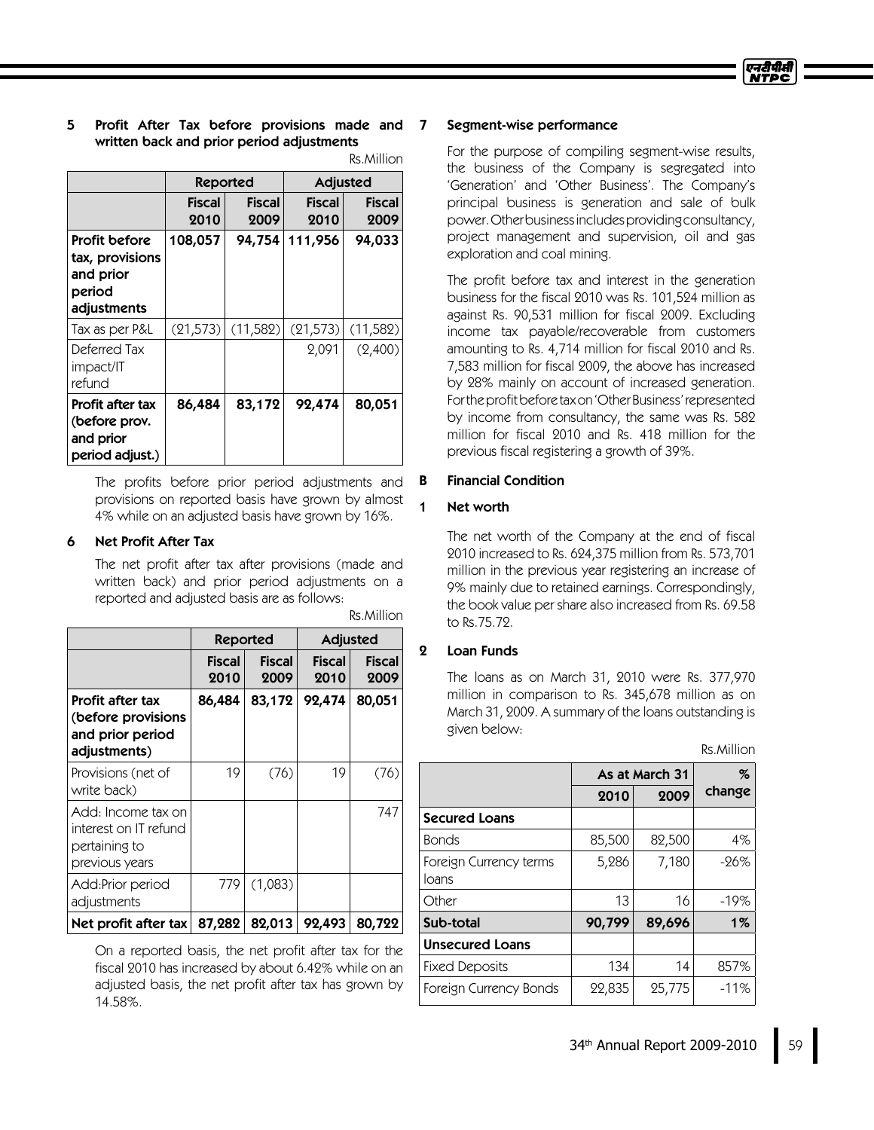## 5 Profit After Tax before provisions made and written back and prior period adjustments

| Rs.Million |  |
|------------|--|
|            |  |

|                                                                        | <b>Reported</b>       |                       | <b>Adjusted</b> |                       |
|------------------------------------------------------------------------|-----------------------|-----------------------|-----------------|-----------------------|
|                                                                        | <b>Fiscal</b><br>2010 | <b>Fiscal</b><br>2009 | Fiscal<br>2010  | <b>Fiscal</b><br>2009 |
| Profit before<br>tax, provisions<br>and prior<br>period<br>adjustments | 108,057               | 94,754                | 111,956         | 94,033                |
| Tax as per P&L                                                         | (21, 573)             | (11,582)              | (21, 573)       | (11, 582)             |
| Deferred Tax<br>impact/IT<br>refund                                    |                       |                       | 2,091           | (2,400)               |
| Profit after tax<br>(before prov.<br>and prior<br>period adjust.)      | 86,484                | 83,172                | 92,474          | 80,051                |

The profits before prior period adjustments and provisions on reported basis have grown by almost 4% while on an adjusted basis have grown by 16%.

### 6 Net Profit After Tax

The net profit after tax after provisions (made and written back) and prior period adjustments on a reported and adjusted basis are as follows:

|                                                                                | Reported              |                       | Adjusted              |                       |
|--------------------------------------------------------------------------------|-----------------------|-----------------------|-----------------------|-----------------------|
|                                                                                | <b>Fiscal</b><br>2010 | <b>Fiscal</b><br>2009 | <b>Fiscal</b><br>2010 | <b>Fiscal</b><br>2009 |
| Profit after tax<br>(before provisions<br>and prior period<br>adjustments)     | 86,484                | 83,172                | 92,474                | 80,051                |
| Provisions (net of<br>write back)                                              | 19                    | (76)                  | 19                    | (76)                  |
| Add: Income tax on<br>interest on IT refund<br>pertaining to<br>previous years |                       |                       |                       | 747                   |
| Add:Prior period<br>adjustments                                                | 779                   | (1,083)               |                       |                       |
| Net profit after tax                                                           | 87,282                | 82,013                | 92,493                | 80,722                |

Rs.Million

On a reported basis, the net profit after tax for the fiscal 2010 has increased by about 6.42% while on an adjusted basis, the net profit after tax has grown by 14.58%.

#### 7 Segment-wise performance

For the purpose of compiling segment-wise results, the business of the Company is segregated into 'Generation' and 'Other Business'. The Company's principal business is generation and sale of bulk power.Otherbusinessincludesprovidingconsultancy, project management and supervision, oil and gas exploration and coal mining.

The profit before tax and interest in the generation business for the fiscal 2010 was Rs. 101,524million as against Rs. 90,531 million for fiscal 2009. Excluding income tax payable/recoverable from customers amounting to Rs. 4,714million for fiscal 2010 and Rs. 7,583 million for fiscal 2009, the above has increased by 28% mainly on account of increased generation. For the profit before tax on 'Other Business' represented by income from consultancy, the same was Rs. 582 million for fiscal 2010 and Rs. 418 million for the previous fiscal registering a growth of 39%.

### **B** Financial Condition

## 1 Networth

The net worth of the Company at the end of fiscal 2010 increased to Rs. 624,375 million from Rs. 573,701 million in the previous year registering an increase of 9% mainly due to retained earnings. Correspondingly, the book value per share also increased from Rs. 69.58 to Rs.75.72.

## 2 Loan Funds

The loans as on March 31, 2010 were Rs. 377,970 million in comparison to Rs. 345,678 million as on March 31, 2009. A summary of the loans outstanding is given below:

|  | Rs.Million |
|--|------------|
|  |            |

|                                 | As at March 31 | %      |        |
|---------------------------------|----------------|--------|--------|
|                                 | 2010           | 2009   | change |
| <b>Secured Loans</b>            |                |        |        |
| <b>Bonds</b>                    | 85,500         | 82,500 | 4%     |
| Foreign Currency terms<br>loans | 5,286          | 7,180  | $-26%$ |
| Other                           | 13             | 16     | $-19%$ |
| Sub-total                       | 90,799         | 89,696 | $1\%$  |
| <b>Unsecured Loans</b>          |                |        |        |
| <b>Fixed Deposits</b>           | 134            | 14     | 857%   |
| Foreign Currency Bonds          | 22,835         | 25,775 | $-11%$ |

34 th Annual Report 2009-2010 59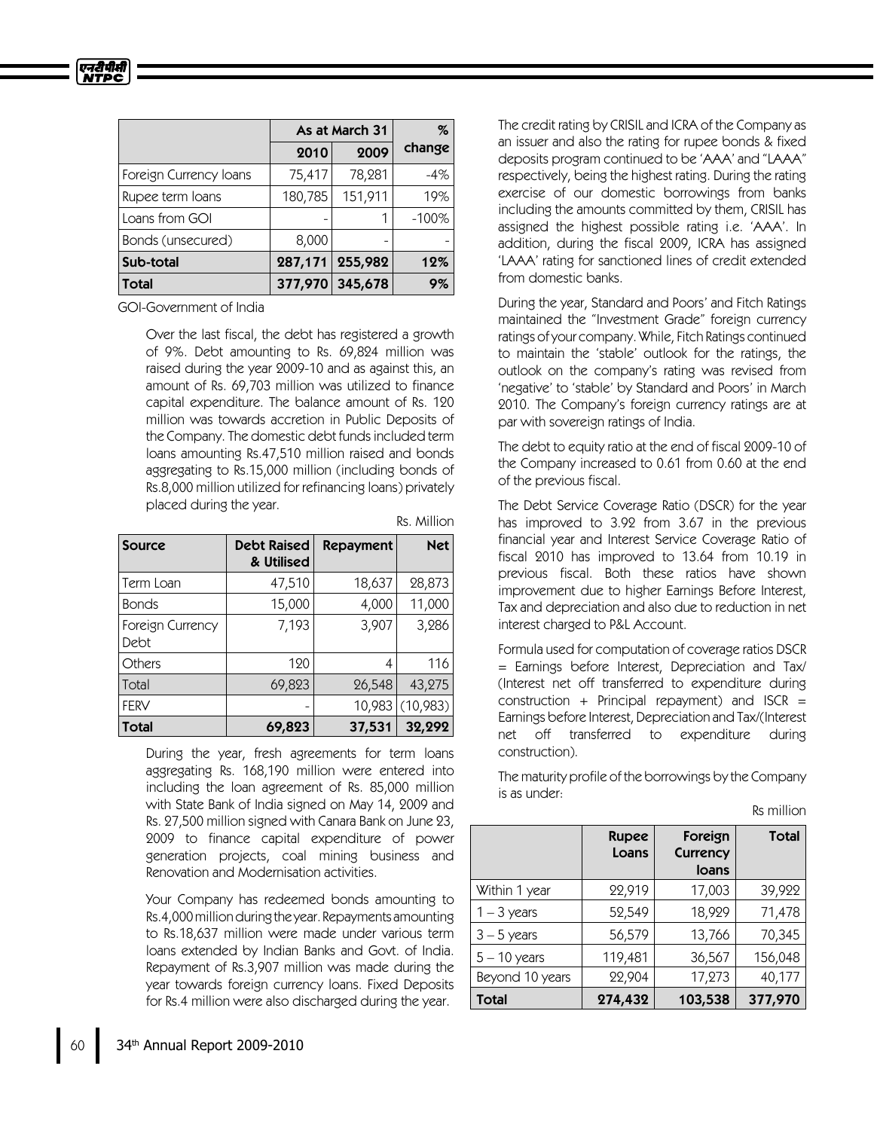|                        |         | As at March 31 |          |
|------------------------|---------|----------------|----------|
|                        | 2010    | 2009           | change   |
| Foreign Currency Ioans | 75,417  | 78,281         | -4%      |
| Rupee term loans       | 180,785 | 151,911        | 19%      |
| Loans from GOI         |         |                | $-100\%$ |
| Bonds (unsecured)      | 8,000   |                |          |
| Sub-total              | 287,171 | 255,982        | 12%      |
| Total                  | 377,970 | 345,678        | 9%       |

GOI-Government of India

एनटीपीसी *NTPC* 

> Over the last fiscal, the debt has registered a growth of 9%. Debt amounting to Rs. 69,824 million was raised during the year 2009-10 and as against this, an amount of Rs. 69,703 million was utilized to finance capital expenditure. The balance amount of Rs. 120 million was towards accretion in Public Deposits of the Company. The domestic debt fundsincluded term loans amounting Rs.47,510 million raised and bonds aggregating to Rs.15,000 million (including bonds of Rs.8,000 million utilized for refinancing loans) privately placed during the year.

> > Rs. Million

| <b>Source</b>            | <b>Debt Raised</b><br>& Utilised | Repayment | <b>Net</b> |
|--------------------------|----------------------------------|-----------|------------|
| Term Loan                | 47,510                           | 18,637    | 28,873     |
| <b>Bonds</b>             | 15,000                           | 4,000     | 11,000     |
| Foreign Currency<br>Debt | 7,193                            | 3,907     | 3,286      |
| Others                   | 120                              | 4         | 116        |
| Total                    | 69,823                           | 26,548    | 43,275     |
| <b>FERV</b>              |                                  | 10,983    | (10,983)   |
| <b>Total</b>             | 69,823                           | 37,531    | 32,292     |

During the year, fresh agreements for term loans aggregating Rs. 168,190 million were entered into including the loan agreement of Rs. 85,000 million with State Bank of India signed on May 14, 2009 and Rs. 27,500 million signed with Canara Bank on June 23, 2009 to finance capital expenditure of power generation projects, coal mining business and Renovation and Modernisation activities.

Your Company has redeemed bonds amounting to Rs.4,000millionduringtheyear. Repayments amounting to Rs.18,637 million were made under various term loans extended by Indian Banks and Govt. of India. Repayment of Rs.3,907 million was made during the year towards foreign currency loans. Fixed Deposits for Rs.4million were also discharged during the year.

The credit rating by CRISIL and ICRA of the Company as an issuer and also the rating for rupee bonds & fixed deposits program continued to be 'AAA'and "LAAA" respectively, being the highest rating. During the rating exercise of our domestic borrowings from banks including the amounts committed by them, CRISIL has assigned the highest possible rating i.e. 'AAA'. In addition, during the fiscal 2009, ICRA has assigned 'LAAA'rating for sanctioned lines of credit extended from domestic banks.

During the year, Standard and Poors'and Fitch Ratings maintained the "Investment Grade" foreign currency ratings of your company. While, Fitch Ratings continued to maintain the 'stable' outlook for the ratings, the outlook on the company's rating was revised from 'negative'to 'stable'by Standard and Poors'in March 2010. The Company's foreign currency ratings are at par with sovereign ratings of India.

The debt to equity ratio at the end of fiscal 2009-10 of the Company increased to 0.61 from 0.60 at the end of the previous fiscal.

The Debt Service Coverage Ratio (DSCR) for the year has improved to 3.92 from 3.67 in the previous financial year and Interest Service Coverage Ratio of fiscal 2010 has improved to 13.64 from 10.19 in previous fiscal. Both these ratios have shown improvement due to higher Earnings Before Interest, Tax and depreciation and also due to reduction in net interest charged to P&LAccount.

Formula used for computation of coverage ratios DSCR = Earnings before Interest, Depreciation and Tax/ (Interest net off transferred to expenditure during construction + Principal repayment) and  $ISCR =$ Earnings before Interest, Depreciation and Tax/(Interest net off transferred to expenditure during construction).

The maturity profile of the borrowings by the Company is as under:

Rs million

|                 | <b>Rupee</b><br>Loans | Foreign<br>Currency<br>loans | <b>Total</b> |
|-----------------|-----------------------|------------------------------|--------------|
| Within 1 year   | 22,919                | 17,003                       | 39,922       |
| $1 - 3$ years   | 52,549                | 18,929                       | 71,478       |
| $3 - 5$ years   | 56,579                | 13,766                       | 70,345       |
| $5 - 10$ years  | 119,481               | 36,567                       | 156,048      |
| Beyond 10 years | 22,904                | 17,273                       | 40,177       |
| <b>Total</b>    | 274,432               | 103,538                      | 377,970      |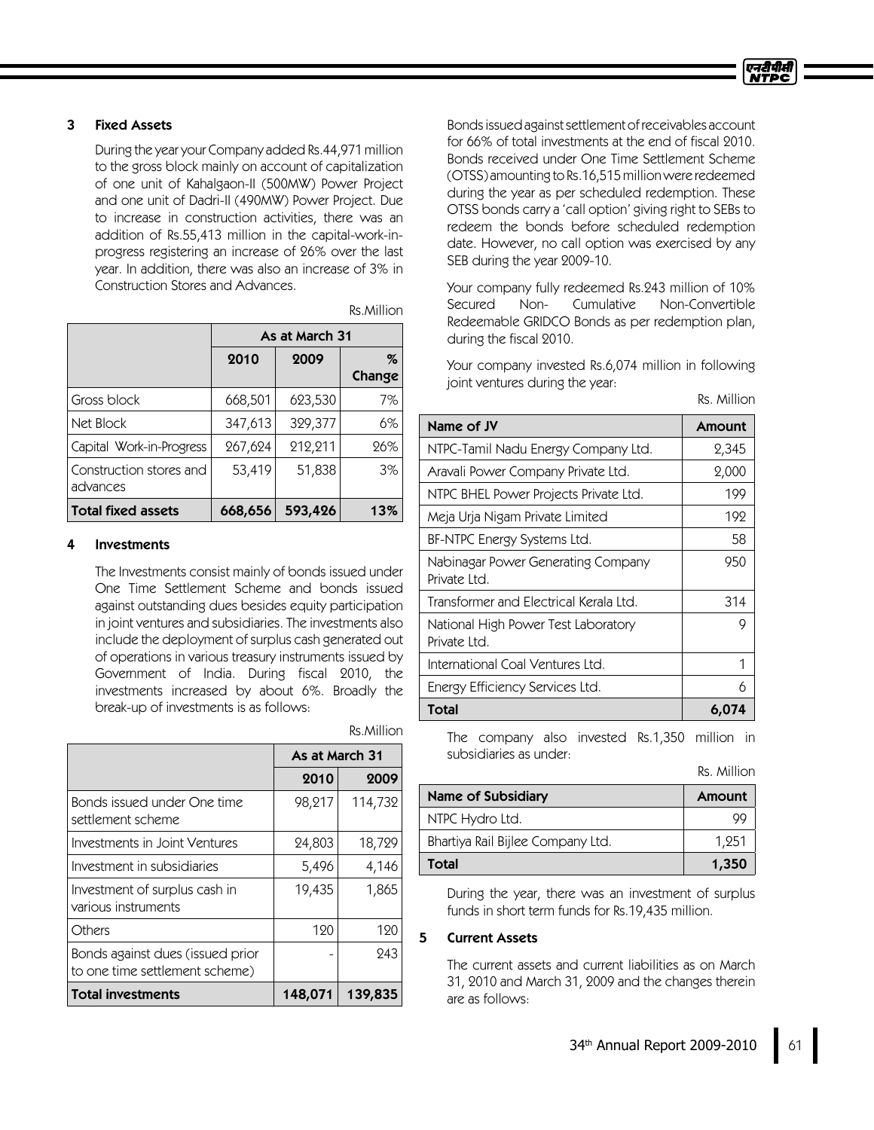## 3 FixedAssets

During the year your Company added Rs.44,971 million to the gross block mainly on account of capitalization of one unit of Kahalgaon-II (500MW) Power Project and one unit of Dadri-II (490MW) Power Project. Due to increase in construction activities, there was an addition of Rs.55,413 million in the capital-work-inprogress registering an increase of 26% over the last year. In addition, there was also an increase of 3% in Construction Stores and Advances.

|                                     | As at March 31 |         |        |
|-------------------------------------|----------------|---------|--------|
|                                     | 2010           | 2009    | %      |
|                                     |                |         | Change |
| Gross block                         | 668,501        | 623,530 | 7%     |
| Net Block                           | 347,613        | 329,377 | 6%     |
| Capital Work-in-Progress            | 267,624        | 212,211 | 26%    |
| Construction stores and<br>advances | 53,419         | 51,838  | 3%     |
| <b>Total fixed assets</b>           | 668,656        | 593,426 | 13%    |

Rs.Million

### **Investments**

The Investments consist mainly of bonds issued under One Time Settlement Scheme and bonds issued against outstanding dues besides equity participation in joint ventures and subsidiaries. The investments also include the deployment of surplus cash generated out of operations in various treasury instruments issued by Government of India. During fiscal 2010, the investments increased by about 6%. Broadly the break-up of investments is as follows:

|                                                                    | As at March 31 |         |
|--------------------------------------------------------------------|----------------|---------|
|                                                                    | 2010           | 2009    |
| Bonds issued under One time<br>settlement scheme                   | 98,217         | 114,732 |
| Investments in Joint Ventures                                      | 24,803         | 18,729  |
| Investment in subsidiaries                                         | 5,496          | 4,146   |
| Investment of surplus cash in<br>various instruments               | 19,435         | 1,865   |
| Others                                                             | 120            | 120     |
| Bonds against dues (issued prior<br>to one time settlement scheme) |                | 243     |
| Total investments                                                  | 148,071        | 139,835 |

Rs.Million

Bondsissuedagainstsettlement of receivables account for 66% of total investments at the end of fiscal 2010. Bonds received under One Time Settlement Scheme (OTSS) amounting to Rs.16,515millionwere redeemed during the year as per scheduled redemption. These OTSS bonds carry a 'call option'giving right to SEBs to redeem the bonds before scheduled redemption date. However, no call option was exercised by any SEBduring the year 2009-10.

Your company fully redeemed Rs.243 million of 10% Secured Non- Cumulative Non-Convertible Redeemable GRIDCO Bonds as per redemption plan, during the fiscal 2010.

Your company invested Rs.6,074million in following joint ventures during the year:

Rs. Million

| Name of JV                                          | Amount |
|-----------------------------------------------------|--------|
| NTPC-Tamil Nadu Energy Company Ltd.                 | 2,345  |
| Aravali Power Company Private Ltd.                  | 2,000  |
| NTPC BHEL Power Projects Private Ltd.               | 199    |
| Meja Urja Nigam Private Limited                     | 192    |
| BF-NTPC Energy Systems Ltd.                         | 58     |
| Nabinagar Power Generating Company<br>Private Itd.  | 950    |
| Transformer and Electrical Kerala Ltd.              | 314    |
| National High Power Test Laboratory<br>Private Ltd. | 9      |
| International Coal Ventures Ltd.                    | 1      |
| Energy Efficiency Services Ltd.                     | 6      |
| Total                                               | 6,074  |

The company also invested Rs.1,350 million in subsidiaries as under:

Rs. Million

| Name of Subsidiary                | Amount |
|-----------------------------------|--------|
| NTPC Hydro Ltd.                   |        |
| Bhartiya Rail Bijlee Company Ltd. | 1.251  |
| Total                             | 1,350  |

During the year, there was an investment of surplus funds in short term funds for Rs.19,435 million.

### 5 Current Assets

The current assets and current liabilities as on March 31, 2010 and March 31, 2009 and the changes therein are as follows: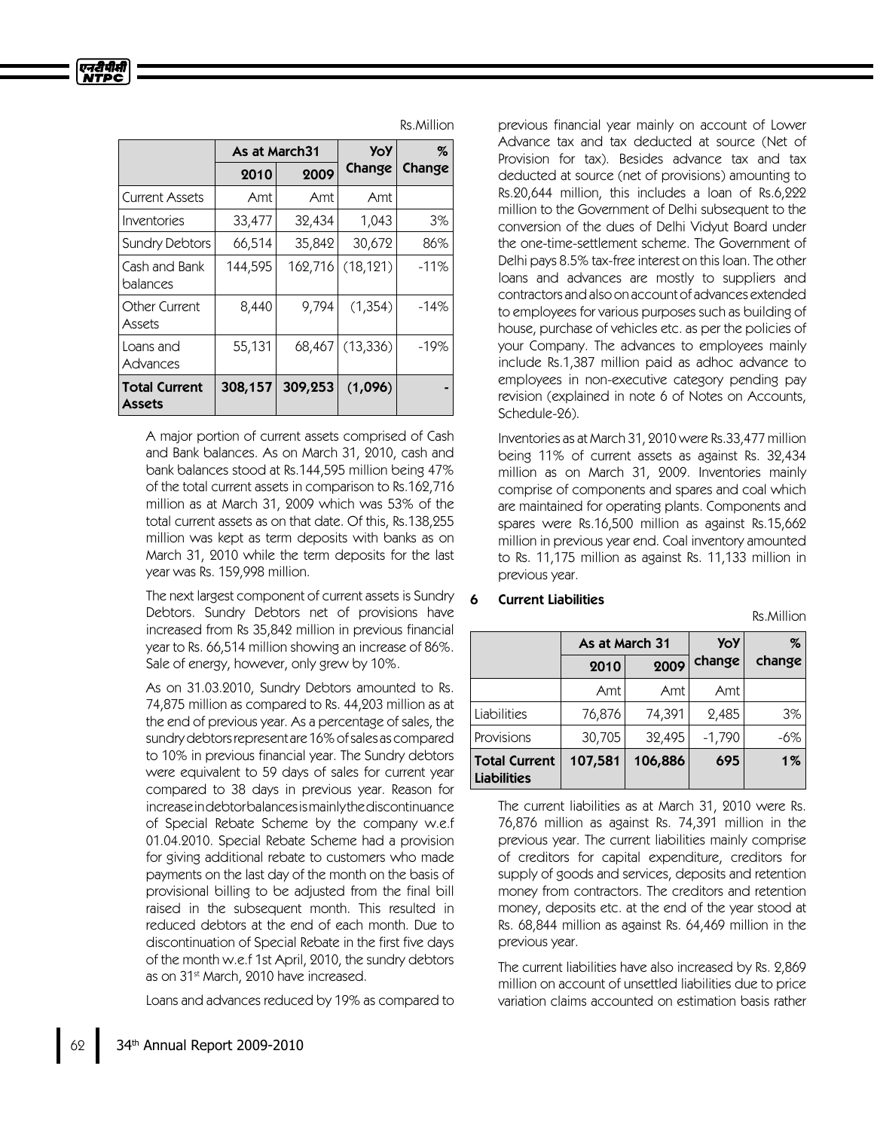|                                       |         | <b>YoY</b><br>As at March31 |           | %      |
|---------------------------------------|---------|-----------------------------|-----------|--------|
|                                       | 2010    | 2009                        | Change    | Change |
| Current Assets                        | Amt     | Amt                         | Amt       |        |
| Inventories                           | 33,477  | 32,434                      | 1,043     | 3%     |
| <b>Sundry Debtors</b>                 | 66,514  | 35,842                      | 30,672    | 86%    |
| Cash and Bank<br>balances             | 144,595 | 162,716                     | (18, 121) | $-11%$ |
| Other Current<br>Assets               | 8,440   | 9,794                       | (1,354)   | $-14%$ |
| Loans and<br>Advances                 | 55,131  | 68,467                      | (13, 336) | $-19%$ |
| <b>Total Current</b><br><b>Assets</b> | 308,157 | 309,253                     | (1,096)   |        |

A major portion of current assets comprised of Cash and Bank balances. As on March 31, 2010, cash and bank balances stood at Rs.144,595 million being 47% of the total current assets in comparison to Rs.162,716 million as at March 31, 2009 which was 53% of the total current assets as on that date. Of this, Rs.138,255 million was kept as term deposits with banks as on March 31, 2010 while the term deposits for the last year was Rs. 159,998 million.

The next largest component of current assets is Sundry Debtors. Sundry Debtors net of provisions have increased from Rs 35,842 million in previous financial year to Rs. 66,514million showing an increase of 86%. Sale of energy, however, only grew by 10%.

As on 31.03.2010, Sundry Debtors amounted to Rs. 74,875 million as compared to Rs. 44,203 million as at the end of previous year. As a percentage of sales, the sundrydebtorsrepresent are 16%ofsales as compared to 10% in previous financial year. The Sundry debtors were equivalent to 59 days of sales for current year compared to 38 days in previous year. Reason for increaseindebtorbalancesismainlythediscontinuance of Special Rebate Scheme by the company w.e.f 01.04.2010. Special Rebate Scheme had a provision for giving additional rebate to customers who made payments on the last day of the month on the basis of provisional billing to be adjusted from the final bill raised in the subsequent month. This resulted in reduced debtors at the end of each month. Due to discontinuation of Special Rebate in the first five days of the month w.e.f 1st April, 2010, the sundry debtors as on 31<sup>st</sup> March, 2010 have increased.

Loans and advances reduced by 19% as compared to

Rs.Million

previous financial year mainly on account of Lower Advance tax and tax deducted at source (Net of Provision for tax). Besides advance tax and tax deducted at source (net of provisions) amounting to Rs.20,644 million, this includes a loan of Rs.6,222 million to the Government of Delhi subsequent to the conversion of the dues of Delhi Vidyut Board under the one-time-settlement scheme. The Government of Delhi pays 8.5% tax-free interest on thisloan. The other loans and advances are mostly to suppliers and contractors and also on account of advances extended to employees for various purposes such as building of house, purchase of vehicles etc. as per the policies of your Company. The advances to employees mainly include Rs.1,387 million paid as adhoc advance to employees in non-executive category pending pay revision (explained in note 6 of Notes on Accounts, Schedule-26).

Inventories as at March 31, 2010 were Rs.33,477 million being 11% of current assets as against Rs. 32,434 million as on March 31, 2009. Inventories mainly comprise of components and spares and coal which are maintained for operating plants. Components and spares were Rs.16,500 million as against Rs.15,662 million in previous year end. Coal inventory amounted to Rs. 11,175 million as against Rs. 11,133 million in previous year.

Rs.Million

|                                            | As at March 31 |         | <b>YoY</b> | %      |
|--------------------------------------------|----------------|---------|------------|--------|
|                                            | 2010           | 2009    | change     | change |
|                                            | Amt            | Amt     | Amt        |        |
| Liabilities                                | 76,876         | 74,391  | 2,485      | 3%     |
| Provisions                                 | 30,705         | 32,495  | $-1,790$   | $-6%$  |
| <b>Total Current</b><br><b>Liabilities</b> | 107,581        | 106,886 | 695        | $1\%$  |

### **Current Liabilities**

The current liabilities as at March 31, 2010 were Rs. 76,876 million as against Rs. 74,391 million in the previous year. The current liabilities mainly comprise of creditors for capital expenditure, creditors for supply of goods and services, deposits and retention money from contractors. The creditors and retention money, deposits etc. at the end of the year stood at Rs. 68,844million as against Rs. 64,469 million in the previous year.

The current liabilities have also increased by Rs. 2,869 million on account of unsettled liabilities due to price variation claims accounted on estimation basis rather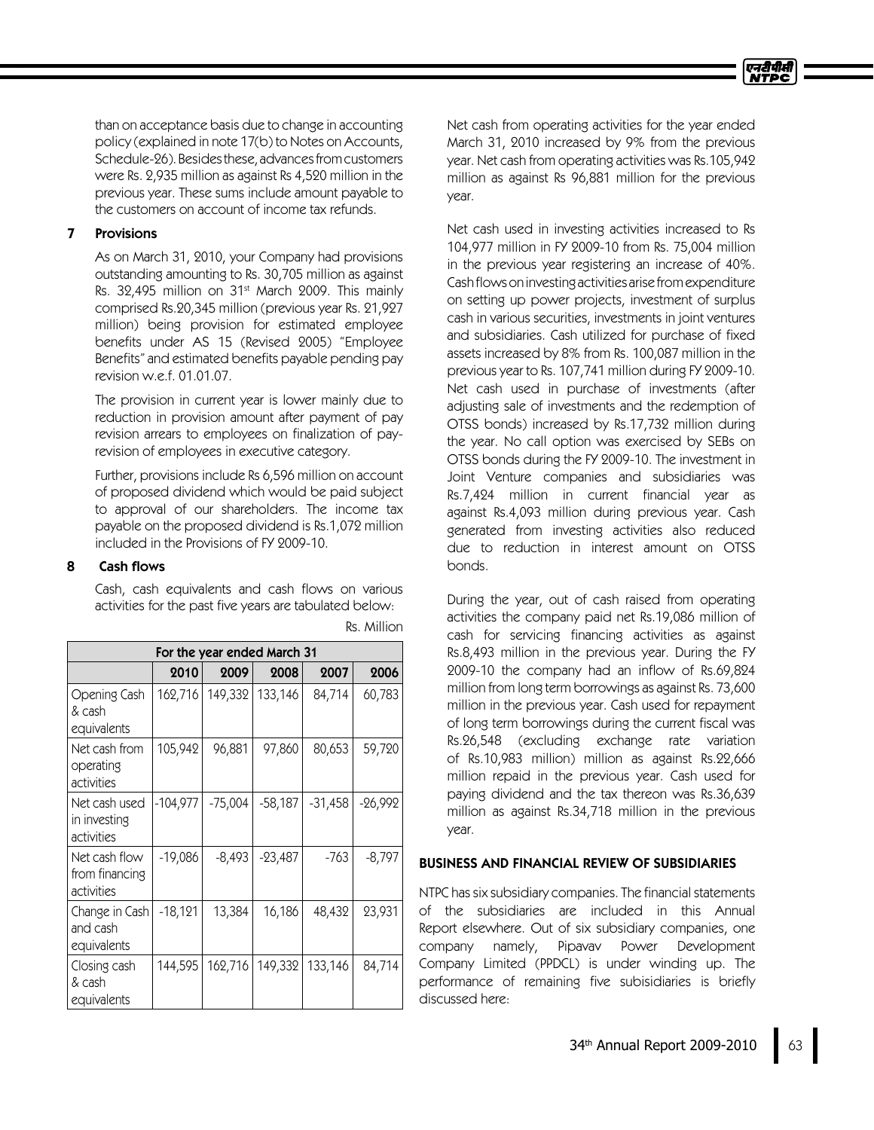than on acceptance basis due to change in accounting policy (explained in note 17(b) to Notes on Accounts, Schedule-26). Besides these, advances from customers were Rs. 2,935 million as against Rs 4,520 million in the previous year. These sums include amount payable to the customers on account of income tax refunds.

### 7 Provisions

As on March 31, 2010, your Company had provisions outstanding amounting to Rs. 30,705 million as against Rs. 32,495 million on 31<sup>st</sup> March 2009. This mainly comprised Rs.20,345 million (previous year Rs. 21,927 million) being provision for estimated employee benefits under AS 15 (Revised 2005) "Employee Benefits" and estimated benefits payable pending pay revision w.e.f. 01.01.07.

The provision in current year is lower mainly due to reduction in provision amount after payment of pay revision arrears to employees on finalization of payrevision of employees in executive category.

Further, provisions include Rs 6,596 million on account of proposed dividend which would be paid subject to approval of our shareholders. The income tax payable on the proposed dividend is Rs.1,072 million included in the Provisions of FY2009-10.

### 8 Cash flows

Cash, cash equivalents and cash flows on various activities for the past five years are tabulated below:

| For the year ended March 31                   |            |           |           |           |           |
|-----------------------------------------------|------------|-----------|-----------|-----------|-----------|
|                                               | 2010       | 2009      | 2008      | 2007      | 2006      |
| Opening Cash<br>& cash<br>equivalents         | 162,716    | 149,332   | 133,146   | 84,714    | 60,783    |
| Net cash from<br>operating<br>activities      | 105,942    | 96,881    | 97,860    | 80,653    | 59,720    |
| Net cash used<br>in investing<br>activities   | $-104,977$ | $-75,004$ | $-58,187$ | $-31,458$ | $-26,992$ |
| Net cash flow<br>from financing<br>activities | $-19,086$  | $-8,493$  | $-23,487$ | -763      | $-8,797$  |
| Change in Cash<br>and cash<br>equivalents     | $-18,121$  | 13,384    | 16,186    | 48,432    | 23,931    |
| Closing cash<br>& cash<br>equivalents         | 144,595    | 162,716   | 149,332   | 133,146   | 84,714    |

Rs. Million

Net cash from operating activities for the year ended March 31, 2010 increased by 9% from the previous year. Net cash from operating activities was Rs.105,942 million as against Rs 96,881 million for the previous year.

Net cash used in investing activities increased to Rs 104,977 million in FY2009-10 from Rs. 75,004million in the previous year registering an increase of 40%. Cash flows on investing activities arise from expenditure on setting up power projects, investment of surplus cash in various securities, investments in joint ventures and subsidiaries. Cash utilized for purchase of fixed assets increased by 8% from Rs. 100,087 million in the previous year to Rs. 107,741 million during FY2009-10. Net cash used in purchase of investments (after adjusting sale of investments and the redemption of OTSS bonds) increased by Rs.17,732 million during the year. No call option was exercised by SEBs on OTSS bonds during the FY2009-10. The investment in Joint Venture companies and subsidiaries was Rs.7,424 million in current financial year as against Rs.4,093 million during previous year. Cash generated from investing activities also reduced due to reduction in interest amount on OTSS bonds.

During the year, out of cash raised from operating activities the company paid net Rs.19,086 million of cash for servicing financing activities as against Rs.8,493 million in the previous year. During the FY 2009-10 the company had an inflow of Rs.69,824 million from long term borrowings as against Rs. 73,600 million in the previous year. Cash used for repayment of long term borrowings during the current fiscal was Rs.26,548 (excluding exchange rate variation of Rs.10,983 million) million as against Rs.22,666 million repaid in the previous year. Cash used for paying dividend and the tax thereon was Rs.36,639 million as against Rs.34,718 million in the previous year.

### BUSINESS AND FINANCIAL REVIEW OF SUBSIDIARIES

NTPC has six subsidiary companies. The financial statements of the subsidiaries are included in this Annual Report elsewhere. Out of six subsidiary companies, one company namely, Pipavav Power Development Company Limited (PPDCL) is under winding up. The performance of remaining five subisidiaries is briefly discussed here: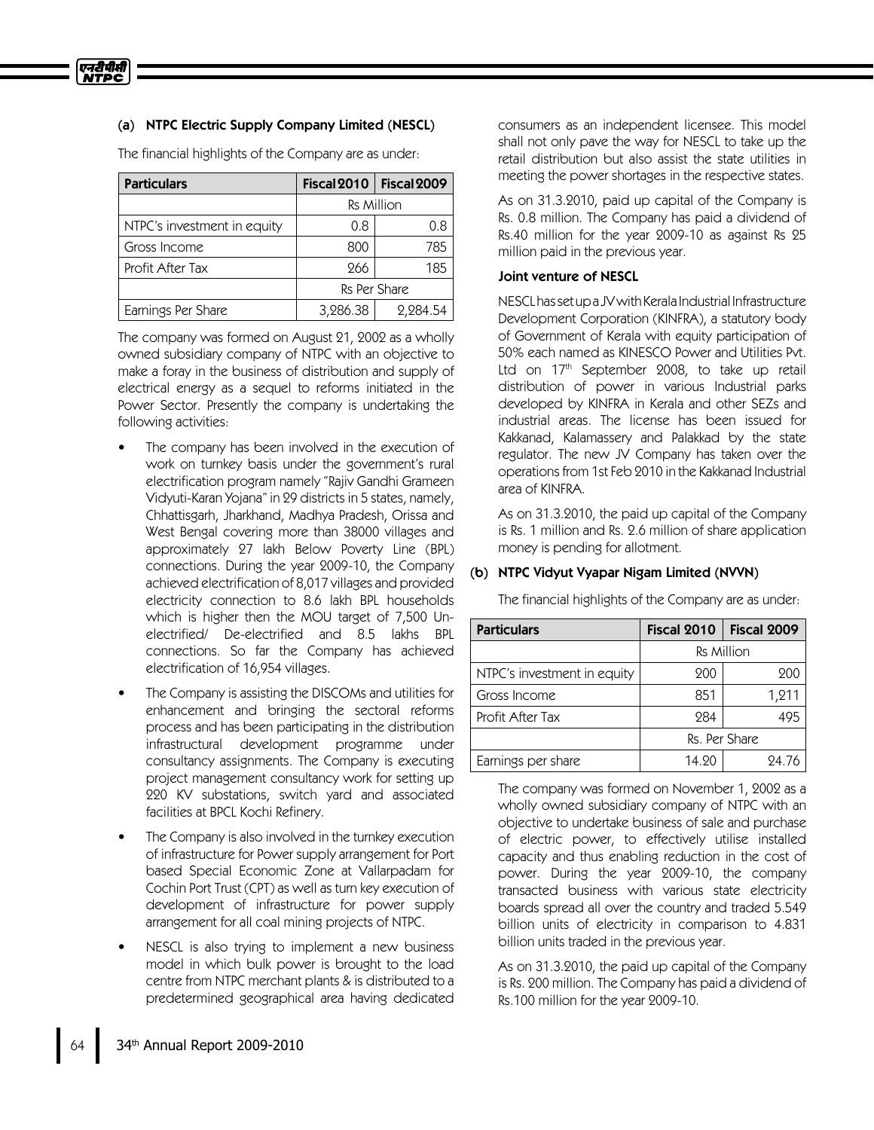## (a) NTPC Electric Supply Company Limited (NESCL)

The financial highlights of the Company are as under:

| <b>Particulars</b>          | Fiscal 2010       | Fiscal 2009 |  |
|-----------------------------|-------------------|-------------|--|
|                             | <b>Rs Million</b> |             |  |
| NTPC's investment in equity | 0.8               | 0.8         |  |
| Gross Income                | 800               | 785         |  |
| Profit After Tax            | 266               | 185         |  |
|                             | Rs Per Share      |             |  |
| Earnings Per Share          | 3,286.38          | 2,284.54    |  |

The company was formed on August 21, 2002 as a wholly owned subsidiary company of NTPC with an objective to make a foray in the business of distribution and supply of electrical energy as a sequel to reforms initiated in the Power Sector. Presently the company is undertaking the following activities:

- The company has been involved in the execution of work on turnkey basis under the government's rural electrification program namely "Rajiv Gandhi Grameen Vidyuti-Karan Yojana" in 29 districts in 5 states, namely, Chhattisgarh, Jharkhand, Madhya Pradesh, Orissa and West Bengal covering more than 38000 villages and approximately 27 lakh Below Poverty Line (BPL) connections. During the year 2009-10, the Company achieved electrification of 8,017 villages and provided electricity connection to 8.6 lakh BPL households which is higher then the MOU target of 7,500 Unelectrified/ De-electrified and 8.5 lakhs BPL connections. So far the Company has achieved electrification of 16,954 villages.
- The Company is assisting the DISCOMs and utilities for enhancement and bringing the sectoral reforms process and has been participating in the distribution infrastructural development programme under consultancy assignments. The Company is executing project management consultancy work for setting up 220 KV substations, switch yard and associated facilities at BPCL Kochi Refinery.
- The Company is also involved in the turnkey execution of infrastructure for Power supply arrangement for Port based Special Economic Zone at Vallarpadam for Cochin Port Trust (CPT) as well as turn key execution of development of infrastructure for power supply arrangement for all coal mining projects of NTPC.
- NESCL is also trying to implement a new business model in which bulk power is brought to the load centre from NTPC merchant plants & is distributed to a predetermined geographical area having dedicated

consumers as an independent licensee. This model shall not only pave the way for NESCL to take up the retail distribution but also assist the state utilities in meeting the power shortages in the respective states.

As on 31.3.2010, paid up capital of the Company is Rs. 0.8 million. The Company has paid a dividend of Rs.40 million for the year 2009-10 as against Rs 25 million paid in the previous year.

### Joint venture of NESCL

NESCL has set up a JV with Kerala Industrial Infrastructure Development Corporation (KINFRA), a statutory body of Government of Kerala with equity participation of 50% each named as KINESCO Power and Utilities Pvt. Ltd on 17<sup>th</sup> September 2008, to take up retail distribution of power in various Industrial parks developed by KINFRA in Kerala and other SEZs and industrial areas. The license has been issued for Kakkanad, Kalamassery and Palakkad by the state regulator. The new JV Company has taken over the operationsfrom 1st Feb 2010 in the Kakkanad Industrial area of KINFRA.

As on 31.3.2010, the paid up capital of the Company is Rs. 1 million and Rs. 2.6 million of share application money is pending for allotment.

### (b) NTPC Vidyut Vyapar Nigam Limited (NVVN)

The financial highlights of the Company are as under:

| <b>Particulars</b>          | Fiscal 2010       | Fiscal 2009 |
|-----------------------------|-------------------|-------------|
|                             | <b>Rs Million</b> |             |
| NTPC's investment in equity | 200               | 900         |
| Gross Income                | 851               | 1,211       |
| Profit After Tax            | 284               |             |
|                             | Rs. Per Share     |             |
| Earnings per share          | 14.20             | 24.76       |

The company was formed on November 1, 2002 as a wholly owned subsidiary company of NTPC with an objective to undertake business of sale and purchase of electric power, to effectively utilise installed capacity and thus enabling reduction in the cost of power. During the year 2009-10, the company transacted business with various state electricity boards spread all over the country and traded 5.549 billion units of electricity in comparison to 4.831 billion units traded in the previous year.

As on 31.3.2010, the paid up capital of the Company is Rs. 200 million. The Company has paid a dividend of Rs.100 million for the year 2009-10.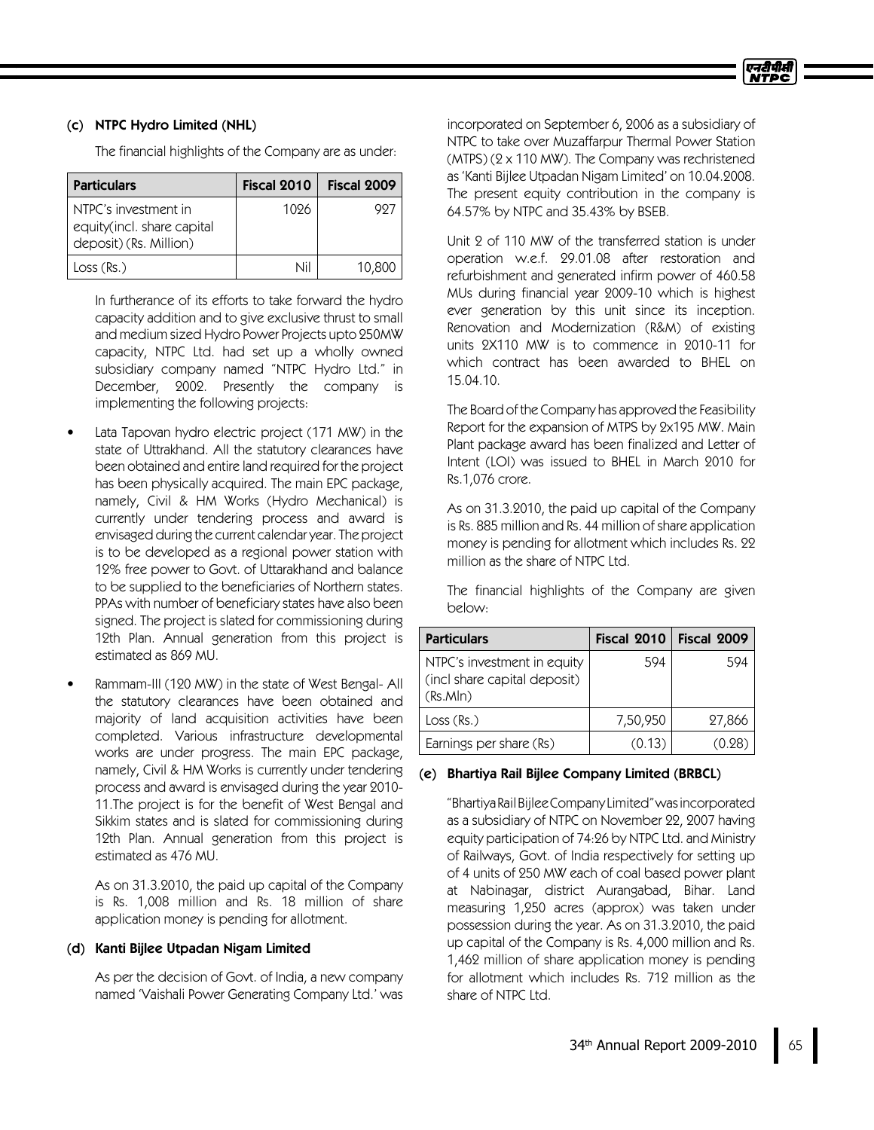## (c) NTPC Hydro Limited (NHL)

The financial highlights of the Company are as under:

| <b>Particulars</b>                                                           | Fiscal 2010 | Fiscal 2009 |
|------------------------------------------------------------------------------|-------------|-------------|
| NTPC's investment in<br>equity(incl. share capital<br>deposit) (Rs. Million) | 1096        | 99.         |
| Loss (Rs.)                                                                   | Nil         | 10,800      |

In furtherance of its efforts to take forward the hydro capacity addition and to give exclusive thrust to small and medium sized Hydro Power Projects upto 250MW capacity, NTPC Ltd. had set up a wholly owned subsidiary company named "NTPC Hydro Ltd." in December, 2002. Presently the company is implementing the following projects:

- Lata Tapovan hydro electric project (171 MW) in the state of Uttrakhand. All the statutory clearances have been obtained and entire land required for the project has been physically acquired. The main EPC package, namely, Civil & HM Works (Hydro Mechanical) is currently under tendering process and award is envisaged during the current calendar year. The project is to be developed as a regional power station with 12% free power to Govt. of Uttarakhand and balance to be supplied to the beneficiaries of Northern states. PPAs with number of beneficiary states have also been signed. The project is slated for commissioning during 12th Plan. Annual generation from this project is estimated as 869 MU.
- Rammam-III (120 MW) in the state of West Bengal- All the statutory clearances have been obtained and majority of land acquisition activities have been completed. Various infrastructure developmental works are under progress. The main EPC package, namely, Civil & HM Works is currently under tendering process and award is envisaged during the year 2010- 11.The project is for the benefit of West Bengal and Sikkim states and is slated for commissioning during 12th Plan. Annual generation from this project is estimated as 476 MU.

As on 31.3.2010, the paid up capital of the Company is Rs. 1,008 million and Rs. 18 million of share application money is pending for allotment.

### (d) Kanti Bijlee Utpadan Nigam Limited

As per the decision of Govt. of India, a new company named 'Vaishali Power Generating Company Ltd.'was incorporated on September 6, 2006 as a subsidiary of NTPC to take over Muzaffarpur Thermal Power Station (MTPS) (2 x 110 MW). The Company was rechristened as 'Kanti Bijlee Utpadan Nigam Limited'on 10.04.2008. The present equity contribution in the company is 64.57% by NTPC and 35.43% by BSEB.

Unit 2 of 110 MW of the transferred station is under operation w.e.f. 29.01.08 after restoration and refurbishment and generated infirm power of 460.58 MUs during financial year 2009-10 which is highest ever generation by this unit since its inception. Renovation and Modernization (R&M) of existing units 2X110 MW is to commence in 2010-11 for which contract has been awarded to BHEL on 15.04.10.

The Board of the Company has approved the Feasibility Report for the expansion of MTPS by 2x195 MW. Main Plant package award has been finalized and Letter of Intent (LOI) was issued to BHEL in March 2010 for Rs.1,076 crore.

As on 31.3.2010, the paid up capital of the Company is Rs. 885 million and Rs. 44 million of share application money is pending for allotment which includes Rs. 22 million as the share of NTPC Ltd.

The financial highlights of the Company are given below:

| <b>Particulars</b>                                                      | Fiscal 2010 | Fiscal 2009 |
|-------------------------------------------------------------------------|-------------|-------------|
| NTPC's investment in equity<br>(incl share capital deposit)<br>(Rs.MIn) | 594         | 594         |
| Loss (Rs.)                                                              | 7,50,950    | 27,866      |
| Earnings per share (Rs)                                                 | (0.13)      |             |

## (e) Bhartiya Rail Bijlee Company Limited (BRBCL)

"BhartiyaRailBijleeCompanyLimited"wasincorporated as a subsidiary of NTPC on November 22, 2007 having equity participation of 74:26 by NTPC Ltd. and Ministry of Railways, Govt. of India respectively for setting up of 4units of 250 MW each of coal based power plant at Nabinagar, district Aurangabad, Bihar. Land measuring 1,250 acres (approx) was taken under possession during the year. As on 31.3.2010, the paid up capital of the Company is Rs. 4,000 million and Rs. 1,462 million of share application money is pending for allotment which includes Rs. 712 million as the share of NTPC Ltd.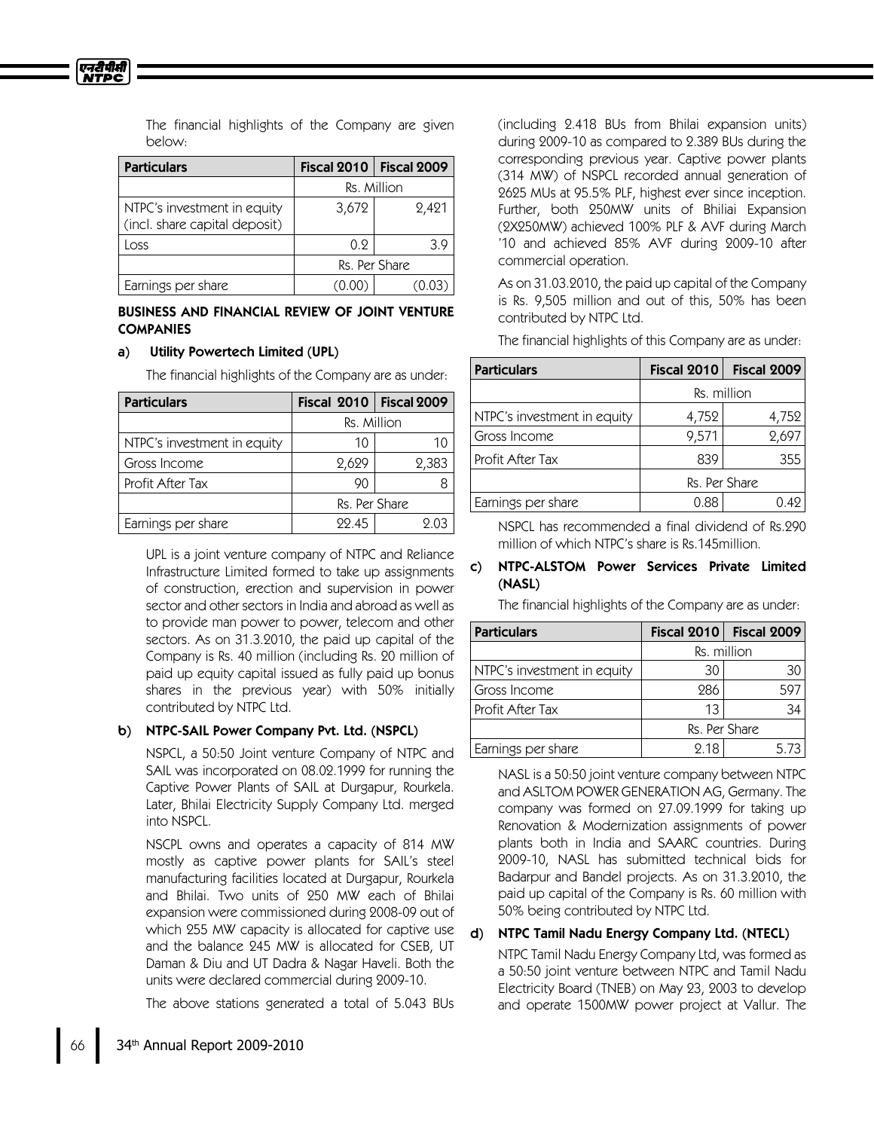एनरीपीसी

The financial highlights of the Company are given below:

| <b>Particulars</b>                                           | Fiscal 2010   | Fiscal 2009 |
|--------------------------------------------------------------|---------------|-------------|
|                                                              | Rs. Million   |             |
| NTPC's investment in equity<br>(incl. share capital deposit) | 3,672         | 2,421       |
| Loss                                                         | 0.9           | 3.9         |
|                                                              | Rs. Per Share |             |
| Earnings per share                                           |               |             |

## BUSINESS AND FINANCIAL REVIEW OF JOINT VENTURE **COMPANIES**

### a) Utility Powertech Limited (UPL)

The financial highlights of the Company are as under:

| <b>Particulars</b>          | <b>Fiscal 2010   Fiscal 2009</b> |       |
|-----------------------------|----------------------------------|-------|
|                             | Rs. Million                      |       |
| NTPC's investment in equity | 10                               | 10    |
| Gross Income                | 2,629                            | 2,383 |
| Profit After Tax            | 90                               |       |
|                             | Rs. Per Share                    |       |
| Earnings per share          | 22.45                            |       |

UPL is a joint venture company of NTPC and Reliance Infrastructure Limited formed to take up assignments of construction, erection and supervision in power sector and other sectors in India and abroad as well as to provide man power to power, telecom and other sectors. As on 31.3.2010, the paid up capital of the Company is Rs. 40 million (including Rs. 20 million of paid up equity capital issued as fully paid up bonus shares in the previous year) with 50% initially contributed by NTPC Ltd.

## b) NTPC-SAIL Power Company Pvt. Ltd. (NSPCL)

NSPCL, a 50:50 Joint venture Company of NTPC and SAILwas incorporated on 08.02.1999 for running the Captive Power Plants of SAIL at Durgapur, Rourkela. Later, Bhilai Electricity Supply Company Ltd. merged into NSPCL.

NSCPL owns and operates a capacity of 814 MW mostly as captive power plants for SAIL's steel manufacturing facilities located at Durgapur, Rourkela and Bhilai. Two units of 250 MW each of Bhilai expansion were commissioned during 2008-09 out of which 255 MW capacity is allocated for captive use and the balance 245 MW is allocated for CSEB, UT Daman & Diu and UT Dadra & Nagar Haveli. Both the units were declared commercial during 2009-10.

The above stations generated a total of 5.043 BUs

(including 2.418 BUs from Bhilai expansion units) during 2009-10 as compared to 2.389 BUs during the corresponding previous year. Captive power plants (314 MW) of NSPCLrecorded annual generation of 2625 MUs at 95.5% PLF, highest ever since inception. Further, both 250MW units of Bhiliai Expansion (2X250MW) achieved 100% PLF & AVF during March '10 and achieved 85% AVF during 2009-10 after commercial operation.

As on 31.03.2010, the paid up capital of the Company is Rs. 9,505 million and out of this, 50% has been contributed by NTPC Ltd.

The financial highlights of this Company are as under:

| <b>Particulars</b>          | Fiscal 2010   | Fiscal 2009 |
|-----------------------------|---------------|-------------|
|                             | Rs. million   |             |
| NTPC's investment in equity | 4,752         | 4,752       |
| Gross Income                | 9,571         | 2,697       |
| Profit After Tax            | 839           | 355         |
|                             | Rs. Per Share |             |
| Earnings per share          | 0.88          | 0.49        |

NSPCLhas recommended a final dividend of Rs.290 million of which NTPC's share is Rs.145million.

## c) NTPC-ALSTOM Power Services Private Limited (NASL)

The financial highlights of the Company are as under:

| <b>Particulars</b>          | Fiscal $2010$ | Fiscal 2009 |
|-----------------------------|---------------|-------------|
|                             | Rs. million   |             |
| NTPC's investment in equity | 30            | 30          |
| Gross Income                | 286           | 597         |
| Profit After Tax            | 13            | 34          |
|                             | Rs. Per Share |             |
| Earnings per share          | 2.18          | 5.73        |

NASLis a 50:50 joint venture company between NTPC and ASLTOM POWER GENERATION AG, Germany. The company was formed on 27.09.1999 for taking up Renovation & Modernization assignments of power plants both in India and SAARC countries. During 2009-10, NASL has submitted technical bids for Badarpur and Bandel projects. As on 31.3.2010, the paid up capital of the Company is Rs. 60 million with 50% being contributed by NTPC Ltd.

## d) NTPC Tamil Nadu Energy Company Ltd. (NTECL)

NTPC Tamil Nadu Energy Company Ltd, was formed as a 50:50 joint venture between NTPC and Tamil Nadu Electricity Board (TNEB) on May 23, 2003 to develop and operate 1500MW power project at Vallur. The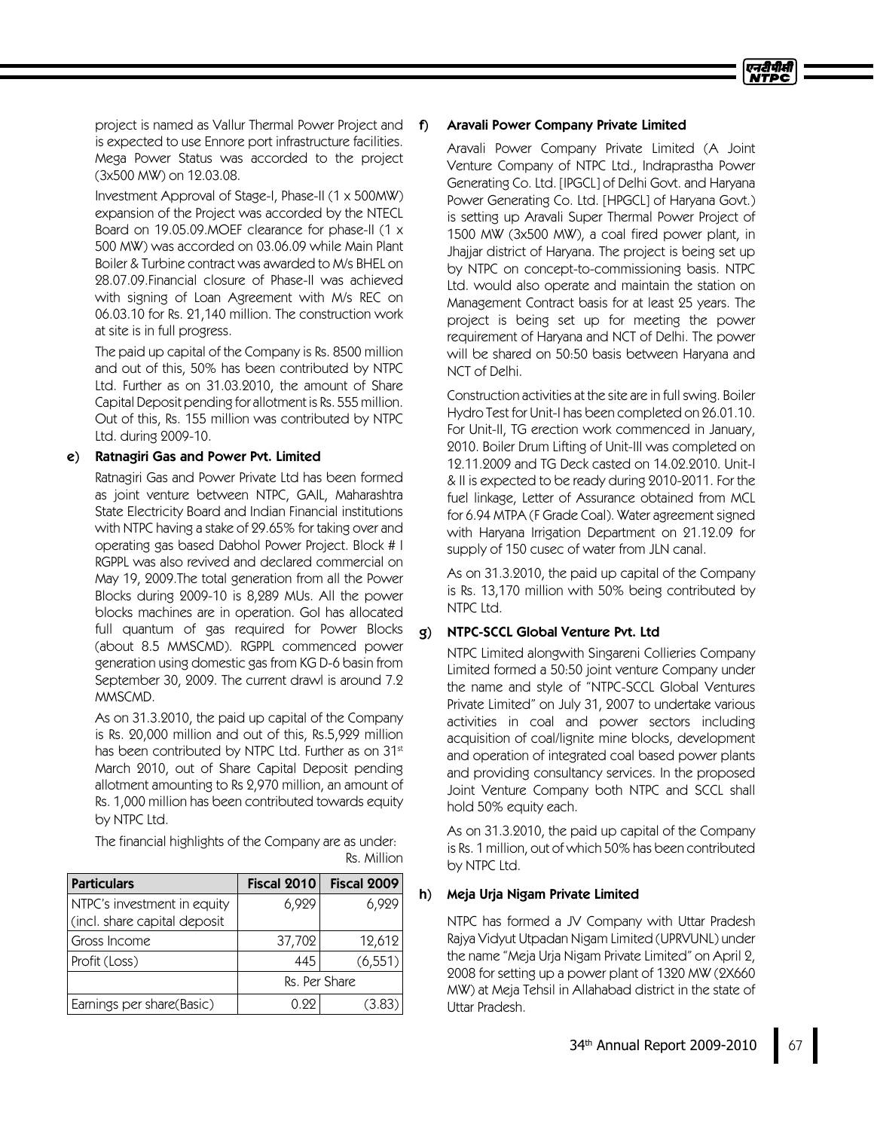project is named as Vallur Thermal Power Project and is expected to use Ennore port infrastructure facilities. Mega Power Status was accorded to the project (3x500 MW) on 12.03.08.

Investment Approval of Stage-I, Phase-II (1 x 500MW) expansion of the Project was accorded by the NTECL Board on 19.05.09. MOEF clearance for phase-II (1 x 500 MW) was accorded on 03.06.09 while Main Plant Boiler &Turbine contract was awarded to M/s BHELon 28.07.09.Financial closure of Phase-II was achieved with signing of Loan Agreement with M/s REC on 06.03.10 for Rs. 21,140 million. The construction work at site is in full progress.

The paid up capital of the Company is Rs. 8500 million and out of this, 50% has been contributed by NTPC Ltd. Further as on 31.03.2010, the amount of Share Capital Deposit pending for allotment is Rs. 555 million. Out of this, Rs. 155 million was contributed by NTPC Ltd. during 2009-10.

## e) Ratnagiri Gas and Power Pvt. Limited

Ratnagiri Gas and Power Private Ltd has been formed as joint venture between NTPC, GAIL, Maharashtra State Electricity Board and Indian Financial institutions with NTPC having a stake of 29.65% for taking over and operating gas based Dabhol Power Project. Block #I RGPPLwas also revived and declared commercial on May 19, 2009.The total generation from all the Power Blocks during 2009-10 is 8,289 MUs. All the power blocks machines are in operation. GoI has allocated full quantum of gas required for Power Blocks (about 8.5 MMSCMD). RGPPL commenced power generation using domestic gas from KG D-6 basin from September 30, 2009. The current drawl is around 7.2 MMSCMD.

As on 31.3.2010, the paid up capital of the Company is Rs. 20,000 million and out of this, Rs.5,929 million has been contributed by NTPC Ltd. Further as on 31st March 2010, out of Share Capital Deposit pending allotment amounting to Rs 2,970 million, an amount of Rs. 1,000 million has been contributed towards equity by NTPC Ltd.

The financial highlights of the Company are as under: Rs. Million

| <b>Particulars</b>                                          | Fiscal 2010   | Fiscal 2009 |
|-------------------------------------------------------------|---------------|-------------|
| NTPC's investment in equity<br>(incl. share capital deposit | 6,929         | 6,929       |
| Gross Income                                                | 37,702        | 12,612      |
| Profit (Loss)                                               | 445           | (6, 551)    |
|                                                             | Rs. Per Share |             |
| Earnings per share(Basic)                                   | N 99          | (3.83)      |

### f) Aravali Power Company Private Limited

Aravali Power Company Private Limited (A Joint Venture Company of NTPC Ltd., Indraprastha Power Generating Co. Ltd. [IPGCL]of Delhi Govt. and Haryana Power Generating Co. Ltd. [HPGCL] of Haryana Govt.) is setting up Aravali Super Thermal Power Project of 1500 MW (3x500 MW), a coal fired power plant, in Jhajjar district of Haryana. The project is being set up by NTPC on concept-to-commissioning basis. NTPC Ltd. would also operate and maintain the station on Management Contract basis for at least 25 years. The project is being set up for meeting the power requirement of Haryana and NCT of Delhi. The power will be shared on 50:50 basis between Haryana and NCT of Delhi.

Construction activities at the site are in full swing. Boiler Hydro Test for Unit-I has been completed on 26.01.10. For Unit-II, TG erection work commenced in January, 2010. Boiler Drum Lifting of Unit-III was completed on 12.11.2009 and TG Deck casted on 14.02.2010. Unit-I &II is expected to be ready during 2010-2011. For the fuel linkage, Letter of Assurance obtained from MCL for 6.94MTPA (FGrade Coal). Water agreement signed with Haryana Irrigation Department on 21.12.09 for supply of 150 cusec of water from JLN canal.

As on 31.3.2010, the paid up capital of the Company is Rs. 13,170 million with 50% being contributed by NTPC Ltd.

## g) NTPC-SCCL Global Venture Pvt. Ltd

NTPC Limited alongwith Singareni Collieries Company Limited formed a 50:50 joint venture Company under the name and style of "NTPC-SCCLGlobal Ventures Private Limited" on July 31, 2007 to undertake various activities in coal and power sectors including acquisition of coal/lignite mine blocks, development and operation of integrated coal based power plants and providing consultancy services. In the proposed Joint Venture Company both NTPC and SCCL shall hold 50% equity each.

As on 31.3.2010, the paid up capital of the Company is Rs. 1 million, out of which 50% has been contributed by NTPC Ltd.

## h) Meja Urja Nigam Private Limited

NTPC has formed a JV Company with Uttar Pradesh Rajya Vidyut Utpadan Nigam Limited (UPRVUNL) under the name "Meja Urja Nigam Private Limited" on April 2, 2008 for setting up a power plant of 1320 MW (2X660 MW) at Meja Tehsil in Allahabad district in the state of Uttar Pradesh.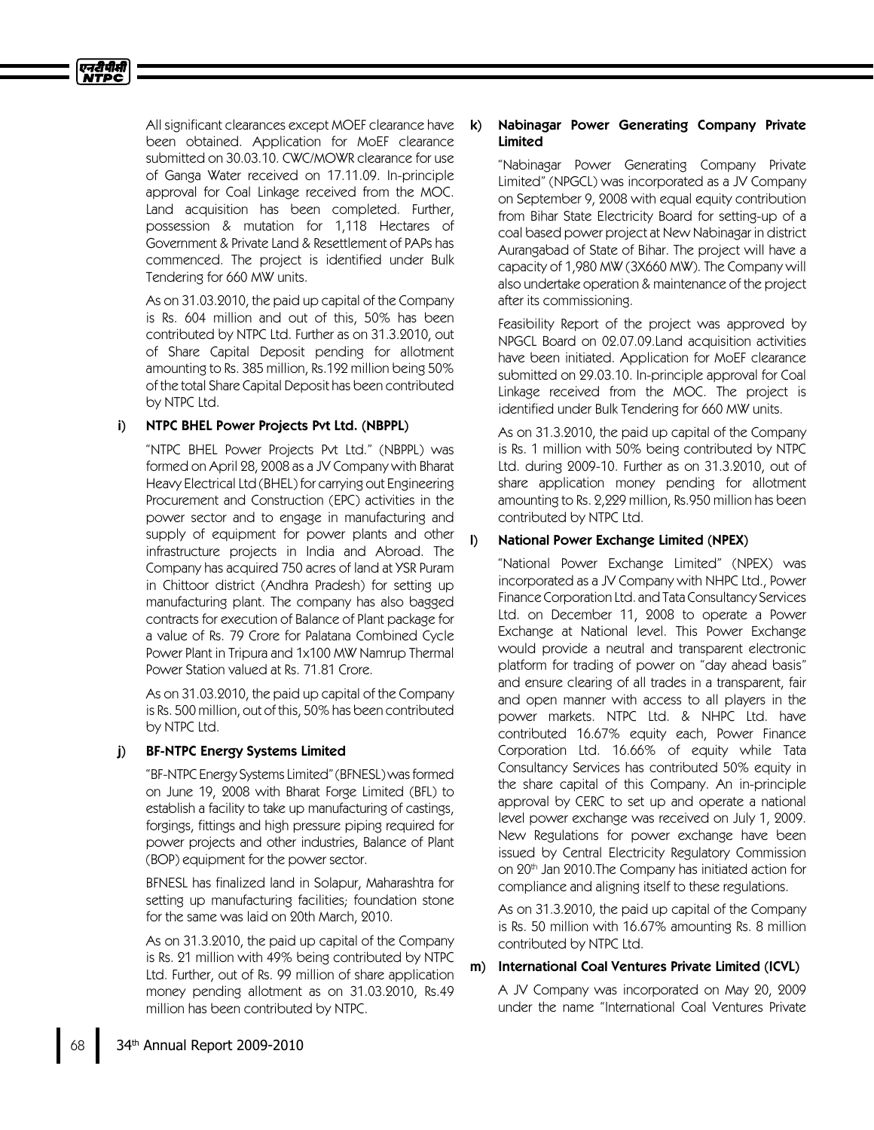

All significant clearances except MOEF clearance have been obtained. Application for MoEF clearance submitted on 30.03.10. CWC/MOWR clearance for use of Ganga Water received on 17.11.09. In-principle approval for Coal Linkage received from the MOC. Land acquisition has been completed. Further, possession & mutation for 1,118 Hectares of Government & Private Land & Resettlement of PAPs has commenced. The project is identified under Bulk Tendering for 660 MW units.

As on 31.03.2010, the paid up capital of the Company is Rs. 604 million and out of this, 50% has been contributed by NTPC Ltd. Further as on 31.3.2010, out of Share Capital Deposit pending for allotment amounting to Rs. 385 million, Rs.192 million being 50% of the total Share Capital Deposit has been contributed by NTPC Ltd.

## i) NTPC BHEL Power Projects Pvt Ltd. (NBPPL)

"NTPC BHEL Power Projects Pvt Ltd." (NBPPL) was formed on April 28, 2008 as a JV Company with Bharat Heavy Electrical Ltd (BHEL) for carrying out Engineering Procurement and Construction (EPC) activities in the power sector and to engage in manufacturing and supply of equipment for power plants and other infrastructure projects in India and Abroad. The Company has acquired 750 acres of land at YSR Puram in Chittoor district (Andhra Pradesh) for setting up manufacturing plant. The company has also bagged contracts for execution of Balance of Plant package for a value of Rs. 79 Crore for Palatana Combined Cycle Power Plant in Tripura and 1x100 MW Namrup Thermal Power Station valued at Rs. 71.81 Crore.

As on 31.03.2010, the paid up capital of the Company is Rs. 500 million, out of this, 50% has been contributed by NTPC Ltd.

## j) BF-NTPC Energy Systems Limited

"BF-NTPC Energy Systems Limited"(BFNESL)wasformed on June 19, 2008 with Bharat Forge Limited (BFL) to establish a facility to take up manufacturing of castings, forgings, fittings and high pressure piping required for power projects and other industries, Balance of Plant (BOP) equipment for the power sector.

BFNESLhas finalized land in Solapur, Maharashtra for setting up manufacturing facilities; foundation stone for the same was laid on 20th March, 2010.

As on 31.3.2010, the paid up capital of the Company is Rs. 21 million with 49% being contributed by NTPC Ltd. Further, out of Rs. 99 million of share application money pending allotment as on 31.03.2010, Rs.49 million has been contributed by NTPC.

## k) Nabinagar Power Generating Company Private Limited

"Nabinagar Power Generating Company Private Limited" (NPGCL) was incorporated as a JV Company on September 9, 2008 with equal equity contribution from Bihar State Electricity Board for setting-up of a coal based power project at New Nabinagar in district Aurangabad of State of Bihar. The project will have a capacity of 1,980 MW (3X660 MW). The Company will also undertake operation & maintenance of the project after its commissioning.

Feasibility Report of the project was approved by NPGCL Board on 02.07.09.Land acquisition activities have been initiated. Application for MoEF clearance submitted on 29.03.10. In-principle approval for Coal Linkage received from the MOC. The project is identified under Bulk Tendering for 660 MW units.

As on 31.3.2010, the paid up capital of the Company is Rs. 1 million with 50% being contributed by NTPC Ltd. during 2009-10. Further as on 31.3.2010, out of share application money pending for allotment amounting to Rs. 2,229 million, Rs.950 million has been contributed by NTPC Ltd.

## l) National Power Exchange Limited (NPEX)

"National Power Exchange Limited" (NPEX) was incorporated as a JV Company with NHPC Ltd., Power Finance Corporation Ltd. and Tata Consultancy Services Ltd. on December 11, 2008 to operate a Power Exchange at National level. This Power Exchange would provide a neutral and transparent electronic platform for trading of power on "day ahead basis" and ensure clearing of all trades in a transparent, fair and open manner with access to all players in the power markets. NTPC Ltd. & NHPC Ltd. have contributed 16.67% equity each, Power Finance Corporation Ltd. 16.66% of equity while Tata Consultancy Services has contributed 50% equity in the share capital of this Company. An in-principle approval by CERC to set up and operate a national level power exchange was received on July 1, 2009. New Regulations for power exchange have been issued by Central Electricity Regulatory Commission on 20 th Jan 2010.The Company has initiated action for compliance and aligning itself to these regulations.

As on 31.3.2010, the paid up capital of the Company is Rs. 50 million with 16.67% amounting Rs. 8 million contributed by NTPC Ltd.

## m) International Coal Ventures Private Limited (ICVL)

A JV Company was incorporated on May 20, 2009 under the name "International Coal Ventures Private